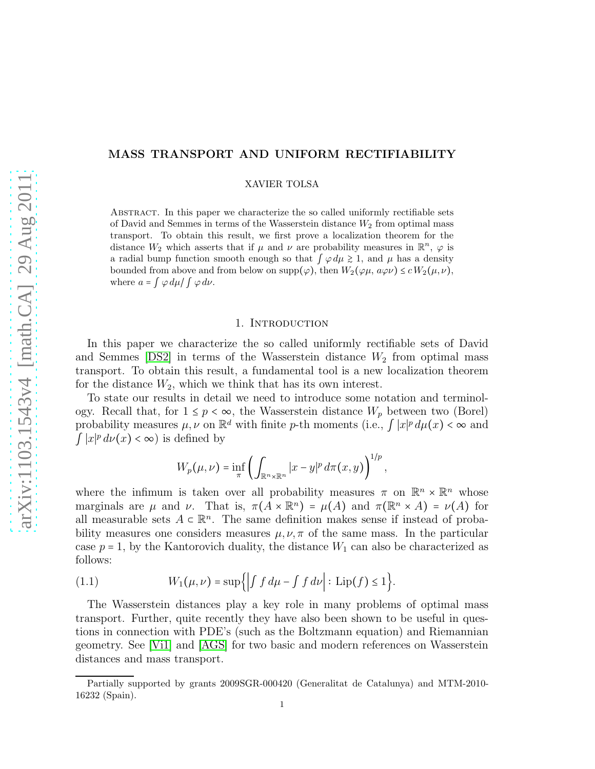# MASS TRANSPORT AND UNIFORM RECTIFIABILITY

XAVIER TOLSA

Abstract. In this paper we characterize the so called uniformly rectifiable sets of David and Semmes in terms of the Wasserstein distance  $W_2$  from optimal mass transport. To obtain this result, we first prove a localization theorem for the distance  $W_2$  which asserts that if  $\mu$  and  $\nu$  are probability measures in  $\mathbb{R}^n$ ,  $\varphi$  is a radial bump function smooth enough so that  $\int \varphi d\mu \gtrsim 1$ , and  $\mu$  has a density bounded from above and from below on supp( $\varphi$ ), then  $W_2(\varphi\mu, a\varphi\nu) \leq c W_2(\mu, \nu)$ , where  $a = \int \varphi \, d\mu / \int \varphi \, d\nu$ .

# 1. INTRODUCTION

In this paper we characterize the so called uniformly rectifiable sets of David and Semmes  $[DS2]$  in terms of the Wasserstein distance  $W_2$  from optimal mass transport. To obtain this result, a fundamental tool is a new localization theorem for the distance  $W_2$ , which we think that has its own interest.

To state our results in detail we need to introduce some notation and terminology. Recall that, for  $1 \leq p < \infty$ , the Wasserstein distance  $W_p$  between two (Borel) probability measures  $\mu, \nu$  on  $\mathbb{R}^d$  with finite p-th moments (i.e.,  $\int |x|^p d\mu(x) < \infty$  and  $\int |x|^p d\nu(x) < \infty$ ) is defined by

$$
W_p(\mu,\nu) = \inf_{\pi} \left( \int_{\mathbb{R}^n \times \mathbb{R}^n} |x - y|^p d\pi(x,y) \right)^{1/p},
$$

where the infimum is taken over all probability measures  $\pi$  on  $\mathbb{R}^n \times \mathbb{R}^n$  whose marginals are  $\mu$  and  $\nu$ . That is,  $\pi(A \times \mathbb{R}^n) = \mu(A)$  and  $\pi(\mathbb{R}^n \times A) = \nu(A)$  for all measurable sets  $A \subset \mathbb{R}^n$ . The same definition makes sense if instead of probability measures one considers measures  $\mu, \nu, \pi$  of the same mass. In the particular case  $p = 1$ , by the Kantorovich duality, the distance  $W_1$  can also be characterized as follows:

<span id="page-0-0"></span>(1.1) 
$$
W_1(\mu,\nu)=\sup\Big\{\Big| \int f\,d\mu-\int f\,d\nu\Big| :\, \text{Lip}(f)\leq 1\Big\}.
$$

The Wasserstein distances play a key role in many problems of optimal mass transport. Further, quite recently they have also been shown to be useful in questions in connection with PDE's (such as the Boltzmann equation) and Riemannian geometry. See [\[Vi1\]](#page-50-1) and [\[AGS\]](#page-50-2) for two basic and modern references on Wasserstein distances and mass transport.

Partially supported by grants 2009SGR-000420 (Generalitat de Catalunya) and MTM-2010- 16232 (Spain).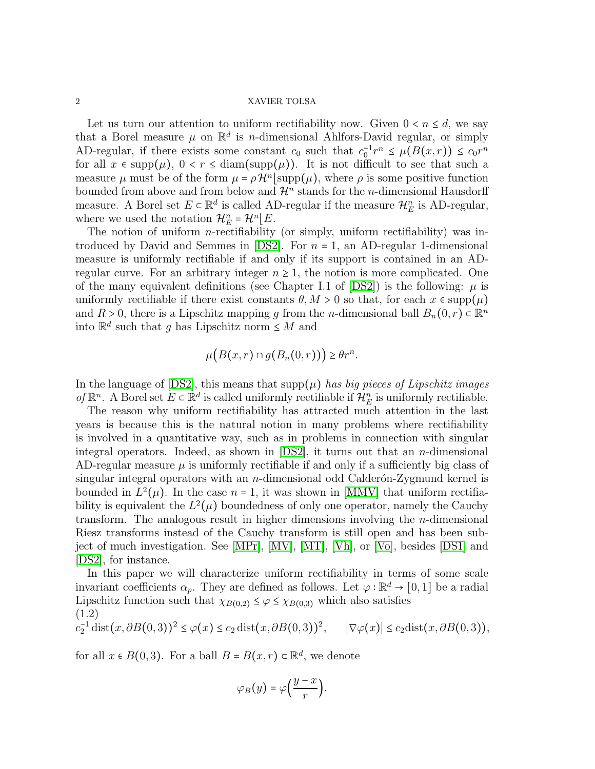Let us turn our attention to uniform rectifiability now. Given  $0 < n \leq d$ , we say that a Borel measure  $\mu$  on  $\mathbb{R}^d$  is *n*-dimensional Ahlfors-David regular, or simply AD-regular, if there exists some constant  $c_0$  such that  $c_0^{-1}r^n \leq \mu(B(x,r)) \leq c_0r^n$ for all  $x \in \text{supp}(\mu)$ ,  $0 < r \leq \text{diam}(\text{supp}(\mu))$ . It is not difficult to see that such a measure  $\mu$  must be of the form  $\mu = \rho \mathcal{H}^n | \text{supp}(\mu)$ , where  $\rho$  is some positive function bounded from above and from below and  $\mathcal{H}^n$  stands for the *n*-dimensional Hausdorff measure. A Borel set  $E \subset \mathbb{R}^d$  is called AD-regular if the measure  $\mathcal{H}_E^n$  is AD-regular, where we used the notation  $\mathcal{H}_E^n = \mathcal{H}^n \mid E$ .

The notion of uniform *n*-rectifiability (or simply, uniform rectifiability) was introduced by David and Semmes in  $[DS2]$ . For  $n = 1$ , an AD-regular 1-dimensional measure is uniformly rectifiable if and only if its support is contained in an ADregular curve. For an arbitrary integer  $n \geq 1$ , the notion is more complicated. One of the many equivalent definitions (see Chapter I.1 of  $|DS2|$ ) is the following:  $\mu$  is uniformly rectifiable if there exist constants  $\theta, M > 0$  so that, for each  $x \in \text{supp}(\mu)$ and  $R > 0$ , there is a Lipschitz mapping g from the n-dimensional ball  $B_n(0,r) \subset \mathbb{R}^n$ into  $\mathbb{R}^d$  such that g has Lipschitz norm  $\leq M$  and

$$
\mu\big(B(x,r)\cap g(B_n(0,r))\big)\geq \theta r^n.
$$

In the language of  $[DS2]$ , this means that  $supp(\mu)$  *has big pieces of Lipschitz images of*  $\mathbb{R}^n$ . A Borel set  $E \subset \mathbb{R}^d$  is called uniformly rectifiable if  $\mathcal{H}_E^n$  is uniformly rectifiable.

The reason why uniform rectifiability has attracted much attention in the last years is because this is the natural notion in many problems where rectifiability is involved in a quantitative way, such as in problems in connection with singular integral operators. Indeed, as shown in  $[DS2]$ , it turns out that an *n*-dimensional AD-regular measure  $\mu$  is uniformly rectifiable if and only if a sufficiently big class of singular integral operators with an  $n$ -dimensional odd Calder $\delta$ n-Zygmund kernel is bounded in  $L^2(\mu)$ . In the case  $n = 1$ , it was shown in [\[MMV\]](#page-50-3) that uniform rectifiability is equivalent the  $L^2(\mu)$  boundedness of only one operator, namely the Cauchy transform. The analogous result in higher dimensions involving the  $n$ -dimensional Riesz transforms instead of the Cauchy transform is still open and has been subject of much investigation. See [\[MPr\]](#page-50-4), [\[MV\]](#page-50-5), [\[MT\]](#page-50-6), [\[Vh\]](#page-50-7), or [\[Vo\]](#page-51-0), besides [\[DS1\]](#page-50-8) and [\[DS2\]](#page-50-0), for instance.

In this paper we will characterize uniform rectifiability in terms of some scale invariant coefficients  $\alpha_p$ . They are defined as follows. Let  $\varphi : \mathbb{R}^d \to [0,1]$  be a radial Lipschitz function such that  $\chi_{B(0,2)} \leq \varphi \leq \chi_{B(0,3)}$  which also satisfies (1.2)

<span id="page-1-0"></span>
$$
c_2^{-1} \operatorname{dist}(x, \partial B(0,3))^2 \le \varphi(x) \le c_2 \operatorname{dist}(x, \partial B(0,3))^2, \qquad |\nabla \varphi(x)| \le c_2 \operatorname{dist}(x, \partial B(0,3)),
$$

for all  $x \in B(0,3)$ . For a ball  $B = B(x,r) \subset \mathbb{R}^d$ , we denote

$$
\varphi_B(y)=\varphi\left(\frac{y-x}{r}\right).
$$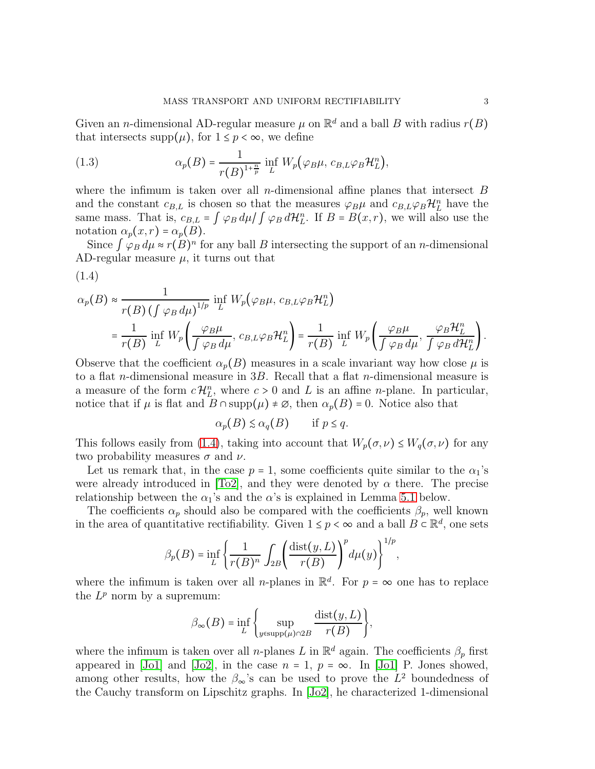Given an *n*-dimensional AD-regular measure  $\mu$  on  $\mathbb{R}^d$  and a ball B with radius  $r(B)$ that intersects supp $(\mu)$ , for  $1 \leq p < \infty$ , we define

<span id="page-2-1"></span>(1.3) 
$$
\alpha_p(B) = \frac{1}{r(B)^{1+\frac{n}{p}}} \inf_L W_p(\varphi_B \mu, c_{B,L} \varphi_B \mathcal{H}_L^n),
$$

<span id="page-2-0"></span>(1.4)

where the infimum is taken over all *n*-dimensional affine planes that intersect  $B$ and the constant  $c_{B,L}$  is chosen so that the measures  $\varphi_B\mu$  and  $c_{B,L}\varphi_B\mathcal{H}_L^n$  have the same mass. That is,  $c_{B,L} = \int \varphi_B d\mu / \int \varphi_B d\mathcal{H}_L^n$ . If  $B = B(x,r)$ , we will also use the notation  $\alpha_p(x,r) = \alpha_p(B)$ .

Since  $\int \varphi_B d\mu \approx r(B)^n$  for any ball B intersecting the support of an *n*-dimensional AD-regular measure  $\mu$ , it turns out that

$$
\alpha_p(B) \approx \frac{1}{r(B) \left( \int \varphi_B d\mu \right)^{1/p}} \inf_L W_p(\varphi_B \mu, c_{B,L} \varphi_B \mathcal{H}_L^n)
$$
  
= 
$$
\frac{1}{r(B)} \inf_L W_p \left( \frac{\varphi_B \mu}{\int \varphi_B d\mu}, c_{B,L} \varphi_B \mathcal{H}_L^n \right) = \frac{1}{r(B)} \inf_L W_p \left( \frac{\varphi_B \mu}{\int \varphi_B d\mu}, \frac{\varphi_B \mathcal{H}_L^n}{\int \varphi_B d\mathcal{H}_L^n} \right).
$$

Observe that the coefficient  $\alpha_p(B)$  measures in a scale invariant way how close  $\mu$  is to a flat *n*-dimensional measure in  $3B$ . Recall that a flat *n*-dimensional measure is a measure of the form  $c\mathcal{H}_L^n$ , where  $c > 0$  and L is an affine *n*-plane. In particular, notice that if  $\mu$  is flat and  $B \cap \text{supp}(\mu) \neq \emptyset$ , then  $\alpha_p(B) = 0$ . Notice also that

$$
\alpha_p(B) \leq \alpha_q(B) \qquad \text{if } p \leq q.
$$

This follows easily from [\(1.4\)](#page-2-0), taking into account that  $W_p(\sigma, \nu) \leq W_q(\sigma, \nu)$  for any two probability measures  $\sigma$  and  $\nu$ .

Let us remark that, in the case  $p = 1$ , some coefficients quite similar to the  $\alpha_1$ 's were already introduced in [\[To2\]](#page-50-9), and they were denoted by  $\alpha$  there. The precise relationship between the  $\alpha_1$ 's and the  $\alpha$ 's is explained in Lemma [5.1](#page-35-0) below.

The coefficients  $\alpha_p$  should also be compared with the coefficients  $\beta_p$ , well known in the area of quantitative rectifiability. Given  $1 \leq p < \infty$  and a ball  $B \subseteq \mathbb{R}^d$ , one sets

$$
\beta_p(B) = \inf_L \left\{ \frac{1}{r(B)^n} \int_{2B} \left( \frac{\text{dist}(y, L)}{r(B)} \right)^p d\mu(y) \right\}^{1/p},
$$

where the infimum is taken over all *n*-planes in  $\mathbb{R}^d$ . For  $p = \infty$  one has to replace the  $L^p$  norm by a supremum:

$$
\beta_{\infty}(B) = \inf_{L} \left\{ \sup_{y \in \text{supp}(\mu) \cap 2B} \frac{\text{dist}(y, L)}{r(B)} \right\},\,
$$

where the infimum is taken over all n-planes L in  $\mathbb{R}^d$  again. The coefficients  $\beta_p$  first appeared in [\[Jo1\]](#page-50-10) and [\[Jo2\]](#page-50-11), in the case  $n = 1$ ,  $p = \infty$ . In [Jo1] P. Jones showed, among other results, how the  $\beta_{\infty}$ 's can be used to prove the  $L^2$  boundedness of the Cauchy transform on Lipschitz graphs. In [\[Jo2\]](#page-50-11), he characterized 1-dimensional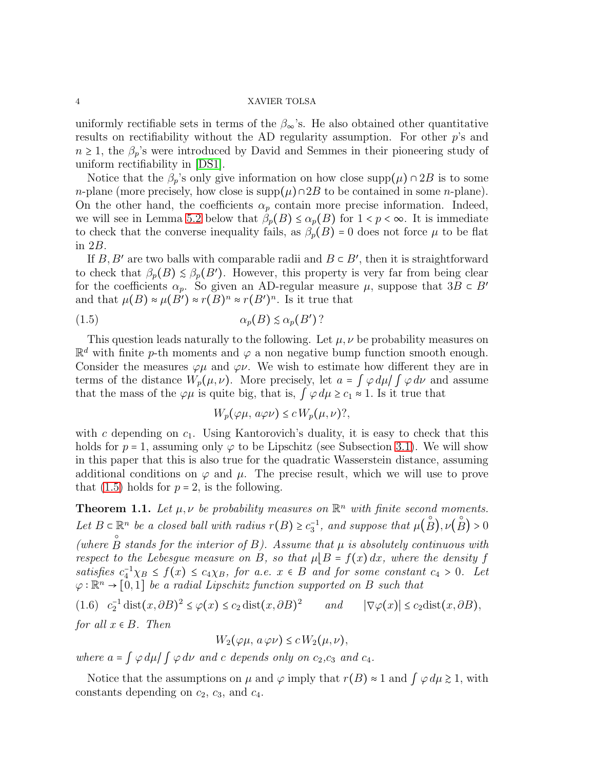uniformly rectifiable sets in terms of the  $\beta_{\infty}$ 's. He also obtained other quantitative results on rectifiability without the AD regularity assumption. For other  $p$ 's and  $n \geq 1$ , the  $\beta_p$ 's were introduced by David and Semmes in their pioneering study of uniform rectifiability in [\[DS1\]](#page-50-8).

Notice that the  $\beta_p$ 's only give information on how close supp $(\mu) \cap 2B$  is to some n-plane (more precisely, how close is supp $(\mu) \cap 2B$  to be contained in some n-plane). On the other hand, the coefficients  $\alpha_p$  contain more precise information. Indeed, we will see in Lemma [5.2](#page-37-0) below that  $\beta_p(B) \leq \alpha_p(B)$  for  $1 < p < \infty$ . It is immediate to check that the converse inequality fails, as  $\beta_p(B) = 0$  does not force  $\mu$  to be flat in 2B.

If  $B, B'$  are two balls with comparable radii and  $B \subset B'$ , then it is straightforward to check that  $\beta_p(B) \leq \beta_p(B')$ . However, this property is very far from being clear for the coefficients  $\alpha_p$ . So given an AD-regular measure  $\mu$ , suppose that  $3B \subset B'$ and that  $\mu(B) \approx \mu(B') \approx r(B)^n \approx r(B')^n$ . Is it true that

(1.5) αp(B) ≲ αp(B ′ ) ?

This question leads naturally to the following. Let  $\mu, \nu$  be probability measures on  $\mathbb{R}^d$  with finite p-th moments and  $\varphi$  a non negative bump function smooth enough. Consider the measures  $\varphi\mu$  and  $\varphi\nu$ . We wish to estimate how different they are in terms of the distance  $W_p(\mu, \nu)$ . More precisely, let  $a = \int \varphi \, d\mu / \int \varphi \, d\nu$  and assume that the mass of the  $\varphi\mu$  is quite big, that is,  $\int \varphi d\mu \geq c_1 \approx 1$ . Is it true that

<span id="page-3-0"></span>
$$
W_p(\varphi\mu, a\varphi\nu) \le c W_p(\mu, \nu)?
$$

with c depending on  $c_1$ . Using Kantorovich's duality, it is easy to check that this holds for  $p = 1$ , assuming only  $\varphi$  to be Lipschitz (see Subsection [3.1\)](#page-6-0). We will show in this paper that this is also true for the quadratic Wasserstein distance, assuming additional conditions on  $\varphi$  and  $\mu$ . The precise result, which we will use to prove that  $(1.5)$  holds for  $p = 2$ , is the following.

<span id="page-3-2"></span>**Theorem 1.1.** Let  $\mu, \nu$  be probability measures on  $\mathbb{R}^n$  with finite second moments. Let  $B \subset \mathbb{R}^n$  be a closed ball with radius  $r(B) \geq c_3^{-1}$ , and suppose that  $\mu(A)$ 。<br>○  $B$ ),  $\nu$ ( ः<br>○  $\mathbb{R}^n$  be a closed ball with radius  $r(B) \ge c_3^{-1}$ , and suppose that  $\mu(B), \nu(B) > 0$ (where  $B$  stands for the interior of  $B$ ). Assume that  $\mu$  is absolutely continuous with *respect to the Lebesgue measure on* B, so that  $\mu |B = f(x) dx$ , where the density f *satisfies*  $c_4^{-1} \chi_B \leq f(x) \leq c_4 \chi_B$ , for a.e.  $x \in B$  and for some constant  $c_4 > 0$ . Let  $\varphi : \mathbb{R}^n \to [0,1]$  *be a radial Lipschitz function supported on* B *such that*  $2(1)$ 

<span id="page-3-1"></span>(1.6) 
$$
c_2^{-1}
$$
 dist $(x, \partial B)^2 \le \varphi(x) \le c_2$  dist $(x, \partial B)^2$  and  $|\nabla \varphi(x)| \le c_2$ dist $(x, \partial B)$ ,  
for all  $x \in B$ . Then

$$
W_2(\varphi\mu, a\,\varphi\nu) \le c\,W_2(\mu, \nu),
$$

*where*  $a = \int \varphi \, d\mu / \int \varphi \, d\nu$  *and c depends only on*  $c_2, c_3$  *and*  $c_4$ *.* 

Notice that the assumptions on  $\mu$  and  $\varphi$  imply that  $r(B) \approx 1$  and  $\varphi \, d\mu \geq 1$ , with constants depending on  $c_2$ ,  $c_3$ , and  $c_4$ .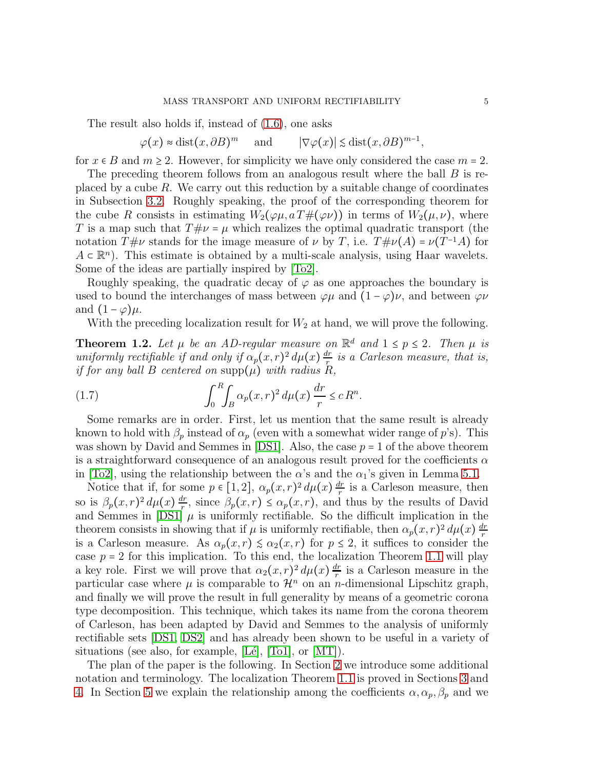The result also holds if, instead of [\(1.6\)](#page-3-1), one asks

 $\varphi(x) \approx \text{dist}(x, \partial B)^m$  $m$  and  $|\nabla \varphi(x)| \lesssim \text{dist}(x, \partial B)^{m-1},$ 

for  $x \in B$  and  $m \ge 2$ . However, for simplicity we have only considered the case  $m = 2$ .

The preceding theorem follows from an analogous result where the ball B is replaced by a cube  $R$ . We carry out this reduction by a suitable change of coordinates in Subsection [3.2.](#page-7-0) Roughly speaking, the proof of the corresponding theorem for the cube R consists in estimating  $W_2(\varphi\mu, a\,T\#(\varphi\nu))$  in terms of  $W_2(\mu, \nu)$ , where T is a map such that  $T \# \nu = \mu$  which realizes the optimal quadratic transport (the notation  $T\#\nu$  stands for the image measure of  $\nu$  by T, i.e.  $T\#\nu(A) = \nu(T^{-1}A)$  for  $A \subset \mathbb{R}^n$ . This estimate is obtained by a multi-scale analysis, using Haar wavelets. Some of the ideas are partially inspired by [\[To2\]](#page-50-9).

Roughly speaking, the quadratic decay of  $\varphi$  as one approaches the boundary is used to bound the interchanges of mass between  $\varphi\mu$  and  $(1-\varphi)\nu$ , and between  $\varphi\nu$ and  $(1 - \varphi)\mu$ .

With the preceding localization result for  $W_2$  at hand, we will prove the following.

<span id="page-4-0"></span>**Theorem 1.2.** Let  $\mu$  be an AD-regular measure on  $\mathbb{R}^d$  and  $1 \leq p \leq 2$ . Then  $\mu$  is *uniformly rectifiable if and only if*  $\alpha_p(x,r)^2 d\mu(x) \frac{dr}{r}$ r *is a Carleson measure, that is, if for any ball* B *centered on*  $\text{supp}(\mu)$  *with radius* R,

(1.7) 
$$
\int_0^R \int_B \alpha_p(x, r)^2 d\mu(x) \frac{dr}{r} \leq c R^n.
$$

Some remarks are in order. First, let us mention that the same result is already known to hold with  $\beta_p$  instead of  $\alpha_p$  (even with a somewhat wider range of p's). This was shown by David and Semmes in [\[DS1\]](#page-50-8). Also, the case  $p = 1$  of the above theorem is a straightforward consequence of an analogous result proved for the coefficients  $\alpha$ in [\[To2\]](#page-50-9), using the relationship between the  $\alpha$ 's and the  $\alpha_1$ 's given in Lemma [5.1.](#page-35-0)

Notice that if, for some  $p \in [1,2]$ ,  $\alpha_p(x,r)^2 d\mu(x) \frac{dr}{r}$  $\frac{dr}{r}$  is a Carleson measure, then so is  $\beta_p(x,r)^2 d\mu(x) \frac{dr}{r}$  $\frac{dr}{r}$ , since  $\beta_p(x,r) \leq \alpha_p(x,r)$ , and thus by the results of David and Semmes in [\[DS1\]](#page-50-8)  $\mu$  is uniformly rectifiable. So the difficult implication in the theorem consists in showing that if  $\mu$  is uniformly rectifiable, then  $\alpha_p(x,r)^2 d\mu(x) \frac{dr}{r}$ r is a Carleson measure. As  $\alpha_p(x,r) \leq \alpha_2(x,r)$  for  $p \leq 2$ , it suffices to consider the case  $p = 2$  for this implication. To this end, the localization Theorem [1.1](#page-3-2) will play a key role. First we will prove that  $\alpha_2(x,r)^2 d\mu(x) \frac{dr}{r}$  $\frac{dr}{r}$  is a Carleson measure in the particular case where  $\mu$  is comparable to  $\mathcal{H}^n$  on an *n*-dimensional Lipschitz graph, and finally we will prove the result in full generality by means of a geometric corona type decomposition. This technique, which takes its name from the corona theorem of Carleson, has been adapted by David and Semmes to the analysis of uniformly rectifiable sets [\[DS1,](#page-50-8) [DS2\]](#page-50-0) and has already been shown to be useful in a variety of situations (see also, for example,  $[L\acute{e}]$ ,  $[T\acute{o}1]$ , or  $[MT]$ ).

The plan of the paper is the following. In Section [2](#page-5-0) we introduce some additional notation and terminology. The localization Theorem [1.1](#page-3-2) is proved in Sections [3](#page-6-1) and [4.](#page-25-0) In Section [5](#page-35-1) we explain the relationship among the coefficients  $\alpha, \alpha_p, \beta_p$  and we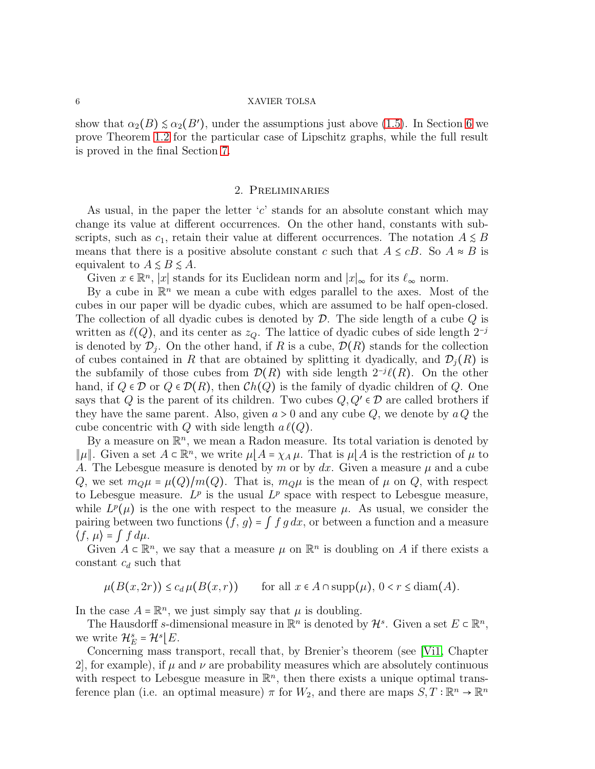show that  $\alpha_2(B) \leq \alpha_2(B')$ , under the assumptions just above [\(1.5\)](#page-3-0). In Section [6](#page-39-0) we prove Theorem [1.2](#page-4-0) for the particular case of Lipschitz graphs, while the full result is proved in the final Section [7.](#page-43-0)

# 2. Preliminaries

<span id="page-5-0"></span>As usual, in the paper the letter  $c'$  stands for an absolute constant which may change its value at different occurrences. On the other hand, constants with subscripts, such as  $c_1$ , retain their value at different occurrences. The notation  $A \leq B$ means that there is a positive absolute constant c such that  $A \leq cB$ . So  $A \approx B$  is equivalent to  $A \leq B \leq A$ .

Given  $x \in \mathbb{R}^n$ , |x| stands for its Euclidean norm and  $|x|_{\infty}$  for its  $\ell_{\infty}$  norm.

By a cube in  $\mathbb{R}^n$  we mean a cube with edges parallel to the axes. Most of the cubes in our paper will be dyadic cubes, which are assumed to be half open-closed. The collection of all dyadic cubes is denoted by  $\mathcal{D}$ . The side length of a cube  $Q$  is written as  $\ell(Q)$ , and its center as  $z_Q$ . The lattice of dyadic cubes of side length  $2^{-j}$ is denoted by  $\mathcal{D}_j$ . On the other hand, if R is a cube,  $\mathcal{D}(R)$  stands for the collection of cubes contained in R that are obtained by splitting it dyadically, and  $\mathcal{D}_i(R)$  is the subfamily of those cubes from  $\mathcal{D}(R)$  with side length  $2^{-j}\ell(R)$ . On the other hand, if  $Q \in \mathcal{D}$  or  $Q \in \mathcal{D}(R)$ , then  $\mathcal{C}h(Q)$  is the family of dyadic children of Q. One says that Q is the parent of its children. Two cubes  $Q, Q' \in \mathcal{D}$  are called brothers if they have the same parent. Also, given  $a > 0$  and any cube  $Q$ , we denote by  $a Q$  the cube concentric with Q with side length  $a \ell(Q)$ .

By a measure on  $\mathbb{R}^n$ , we mean a Radon measure. Its total variation is denoted by  $\|\mu\|$ . Given a set  $A \subset \mathbb{R}^n$ , we write  $\mu\|A = \chi_A \mu$ . That is  $\mu\|A\|$  is the restriction of  $\mu$  to A. The Lebesgue measure is denoted by m or by  $dx$ . Given a measure  $\mu$  and a cube Q, we set  $m_Q\mu = \mu(Q)/m(Q)$ . That is,  $m_Q\mu$  is the mean of  $\mu$  on Q, with respect to Lebesgue measure.  $L^p$  is the usual  $L^p$  space with respect to Lebesgue measure, while  $L^p(\mu)$  is the one with respect to the measure  $\mu$ . As usual, we consider the pairing between two functions  $\langle f, g \rangle = \int f g dx$ , or between a function and a measure  $\langle f, \mu \rangle = \int f d\mu.$ 

Given  $A \subset \mathbb{R}^n$ , we say that a measure  $\mu$  on  $\mathbb{R}^n$  is doubling on A if there exists a constant  $c_d$  such that

 $\mu(B(x, 2r)) \leq c_d \mu(B(x, r))$  for all  $x \in A \cap \text{supp}(\mu)$ ,  $0 < r \leq \text{diam}(A)$ .

In the case  $A = \mathbb{R}^n$ , we just simply say that  $\mu$  is doubling.

The Hausdorff s-dimensional measure in  $\mathbb{R}^n$  is denoted by  $\mathcal{H}^s$ . Given a set  $E \subset \mathbb{R}^n$ , we write  $\mathcal{H}_E^s = \mathcal{H}^s \lfloor E$ .

Concerning mass transport, recall that, by Brenier's theorem (see [\[Vi1,](#page-50-1) Chapter 2, for example), if  $\mu$  and  $\nu$  are probability measures which are absolutely continuous with respect to Lebesgue measure in  $\mathbb{R}^n$ , then there exists a unique optimal transference plan (i.e. an optimal measure)  $\pi$  for  $W_2$ , and there are maps  $S, T : \mathbb{R}^n \to \mathbb{R}^n$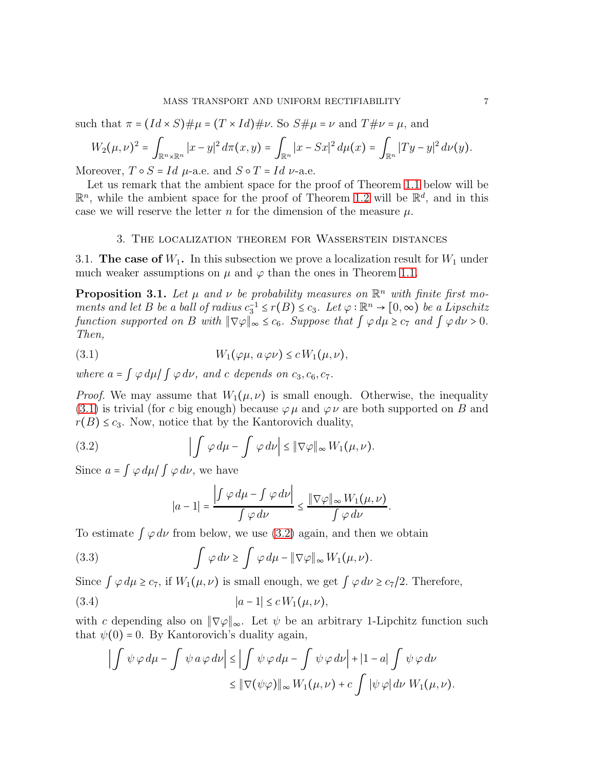such that  $\pi = (Id \times S) \# \mu = (T \times Id) \# \nu$ . So  $S \# \mu = \nu$  and  $T \# \nu = \mu$ , and

$$
W_2(\mu,\nu)^2 = \int_{\mathbb{R}^n \times \mathbb{R}^n} |x-y|^2 d\pi(x,y) = \int_{\mathbb{R}^n} |x - Sx|^2 d\mu(x) = \int_{\mathbb{R}^n} |Ty - y|^2 d\nu(y).
$$

Moreover,  $T \circ S = Id$   $\mu$ -a.e. and  $S \circ T = Id$   $\nu$ -a.e.

Let us remark that the ambient space for the proof of Theorem [1.1](#page-3-2) below will be  $\mathbb{R}^n$ , while the ambient space for the proof of Theorem [1.2](#page-4-0) will be  $\mathbb{R}^d$ , and in this case we will reserve the letter n for the dimension of the measure  $\mu$ .

# 3. The localization theorem for Wasserstein distances

<span id="page-6-1"></span><span id="page-6-0"></span>3.1. The case of  $W_1$ . In this subsection we prove a localization result for  $W_1$  under much weaker assumptions on  $\mu$  and  $\varphi$  than the ones in Theorem [1.1.](#page-3-2)

**Proposition 3.1.** Let  $\mu$  and  $\nu$  be probability measures on  $\mathbb{R}^n$  with finite first mo*ments and let* B *be a ball of radius*  $c_3^{-1} \leq r(B) \leq c_3$ . Let  $\varphi : \mathbb{R}^n \to [0, \infty)$  *be a Lipschitz function supported on* B *with*  $\|\nabla \varphi\|_{\infty} \leq c_6$ *. Suppose that*  $\int \varphi d\mu \geq c_7$  *and*  $\int \varphi d\nu > 0$ *. Then,*

<span id="page-6-2"></span>(3.1) 
$$
W_1(\varphi \mu, a \varphi \nu) \leq c W_1(\mu, \nu),
$$

*where*  $a = \int \varphi \, d\mu / \int \varphi \, d\nu$ , and *c* depends on  $c_3, c_6, c_7$ .

*Proof.* We may assume that  $W_1(\mu, \nu)$  is small enough. Otherwise, the inequality [\(3.1\)](#page-6-2) is trivial (for c big enough) because  $\varphi \mu$  and  $\varphi \nu$  are both supported on B and  $r(B) \leq c_3$ . Now, notice that by the Kantorovich duality,

(3.2) 
$$
\left|\int \varphi \, d\mu - \int \varphi \, d\nu\right| \leq \|\nabla \varphi\|_{\infty} W_1(\mu, \nu).
$$

Since  $a = \int \varphi \, d\mu / \int \varphi \, d\nu$ , we have

<span id="page-6-5"></span><span id="page-6-4"></span><span id="page-6-3"></span>
$$
|a-1|=\frac{\left|\int \varphi\,d\mu-\int \varphi\,d\nu\right|}{\int \varphi\,d\nu}\leq \frac{\|\nabla\varphi\|_{\infty}W_1(\mu,\nu)}{\int \varphi\,d\nu}.
$$

To estimate  $\int \varphi \, d\nu$  from below, we use [\(3.2\)](#page-6-3) again, and then we obtain

(3.3) 
$$
\int \varphi \, d\nu \geq \int \varphi \, d\mu - \|\nabla \varphi\|_{\infty} W_1(\mu, \nu).
$$

Since  $\int \varphi \, d\mu \geq c_7$ , if  $W_1(\mu, \nu)$  is small enough, we get  $\int \varphi \, d\nu \geq c_7/2$ . Therefore,

(3.4) 
$$
|a-1| \le c W_1(\mu, \nu),
$$

with c depending also on  $\|\nabla \varphi\|_{\infty}$ . Let  $\psi$  be an arbitrary 1-Lipchitz function such that  $\psi(0) = 0$ . By Kantorovich's duality again,

$$
\left| \int \psi \varphi \, d\mu - \int \psi \, a \varphi \, d\nu \right| \le \left| \int \psi \varphi \, d\mu - \int \psi \varphi \, d\nu \right| + \left| 1 - a \right| \int \psi \varphi \, d\nu
$$

$$
\le \left\| \nabla (\psi \varphi) \right\|_{\infty} W_1(\mu, \nu) + c \int \left| \psi \varphi \right| d\nu W_1(\mu, \nu).
$$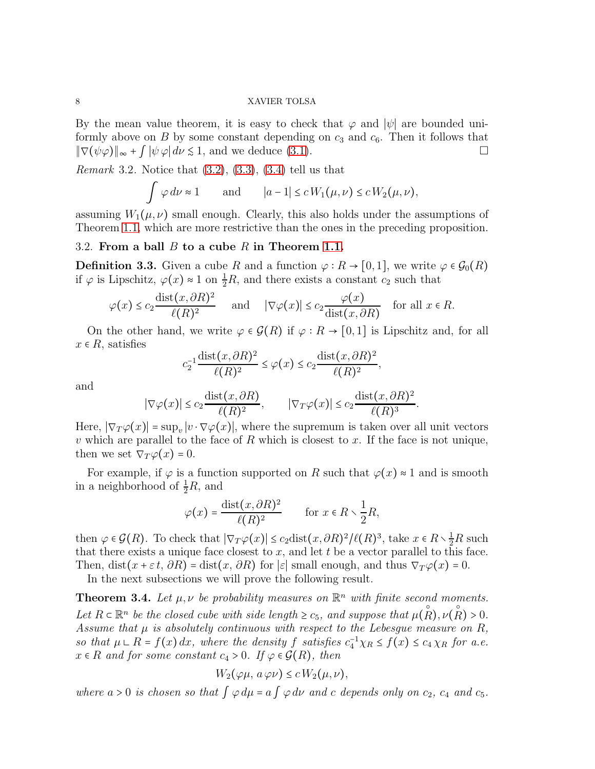By the mean value theorem, it is easy to check that  $\varphi$  and  $|\psi|$  are bounded uniformly above on B by some constant depending on  $c_3$  and  $c_6$ . Then it follows that  $\|\nabla(\psi\varphi)\|_{\infty} + \int |\psi\varphi| d\nu \leq 1$ , and we deduce [\(3.1\)](#page-6-2).

<span id="page-7-2"></span>*Remark* 3.2*.* Notice that [\(3.2\)](#page-6-3), [\(3.3\)](#page-6-4), [\(3.4\)](#page-6-5) tell us that

$$
\int \varphi \, d\nu \approx 1 \qquad \text{and} \qquad |a-1| \le c \, W_1(\mu, \nu) \le c \, W_2(\mu, \nu),
$$

assuming  $W_1(\mu, \nu)$  small enough. Clearly, this also holds under the assumptions of Theorem [1.1,](#page-3-2) which are more restrictive than the ones in the preceding proposition.

# <span id="page-7-0"></span>3.2. From a ball B to a cube R in Theorem [1.1.](#page-3-2)

**Definition 3.3.** Given a cube R and a function  $\varphi : R \to [0,1]$ , we write  $\varphi \in \mathcal{G}_0(R)$ if  $\varphi$  is Lipschitz,  $\varphi(x) \approx 1$  on  $\frac{1}{2}R$ , and there exists a constant  $c_2$  such that

$$
\varphi(x) \le c_2 \frac{\text{dist}(x, \partial R)^2}{\ell(R)^2}
$$
 and  $|\nabla \varphi(x)| \le c_2 \frac{\varphi(x)}{\text{dist}(x, \partial R)}$  for all  $x \in R$ .

On the other hand, we write  $\varphi \in \mathcal{G}(R)$  if  $\varphi: R \to [0,1]$  is Lipschitz and, for all  $x \in R$ , satisfies

$$
c_2^{-1} \frac{\operatorname{dist}(x, \partial R)^2}{\ell(R)^2} \le \varphi(x) \le c_2 \frac{\operatorname{dist}(x, \partial R)^2}{\ell(R)^2},
$$

and

$$
|\nabla \varphi(x)| \le c_2 \frac{\text{dist}(x, \partial R)}{\ell(R)^2}, \qquad |\nabla_T \varphi(x)| \le c_2 \frac{\text{dist}(x, \partial R)^2}{\ell(R)^3}.
$$

Here,  $|\nabla_T \varphi(x)| = \sup_v |v \cdot \nabla \varphi(x)|$ , where the supremum is taken over all unit vectors v which are parallel to the face of R which is closest to x. If the face is not unique, then we set  $\nabla_T \varphi(x) = 0$ .

For example, if  $\varphi$  is a function supported on R such that  $\varphi(x) \approx 1$  and is smooth in a neighborhood of  $\frac{1}{2}R$ , and

$$
\varphi(x) = \frac{\operatorname{dist}(x, \partial R)^2}{\ell(R)^2} \qquad \text{for } x \in R \setminus \frac{1}{2}R,
$$

then  $\varphi \in \mathcal{G}(R)$ . To check that  $|\nabla_T \varphi(x)| \leq c_2 \text{dist}(x, \partial R)^2 / \ell(R)^3$ , take  $x \in R \setminus \frac{1}{2}R$  such that there exists a unique face closest to  $x$ , and let  $t$  be a vector parallel to this face. Then, dist( $x + \varepsilon t$ ,  $\partial R$ ) = dist( $x$ ,  $\partial R$ ) for  $|\varepsilon|$  small enough, and thus  $\nabla_T \varphi(x) = 0$ .

In the next subsections we will prove the following result.

<span id="page-7-1"></span>**Theorem 3.4.** Let  $\mu, \nu$  be probability measures on  $\mathbb{R}^n$  with finite second moments. Let  $R \subset \mathbb{R}^n$  be the closed cube with side length  $\geq c_5$ , and suppose that  $\mu(R), \nu(R) > 0$ . *Assume that*  $\mu$  *is absolutely continuous with respect to the Lebesgue measure on*  $R$ , so that  $\mu \perp R = f(x) dx$ , where the density f satisfies  $c_4^{-1} \chi_R \leq f(x) \leq c_4 \chi_R$  for a.e.  $x \in R$  *and for some constant*  $c_4 > 0$ *. If*  $\varphi \in \mathcal{G}(R)$ *, then* 

$$
W_2(\varphi\mu, a\,\varphi\nu) \le c\,W_2(\mu, \nu),
$$

*where*  $a > 0$  *is chosen so that*  $\int \varphi d\mu = a \int \varphi d\nu$  *and c depends only on*  $c_2$ ,  $c_4$  *and*  $c_5$ *.*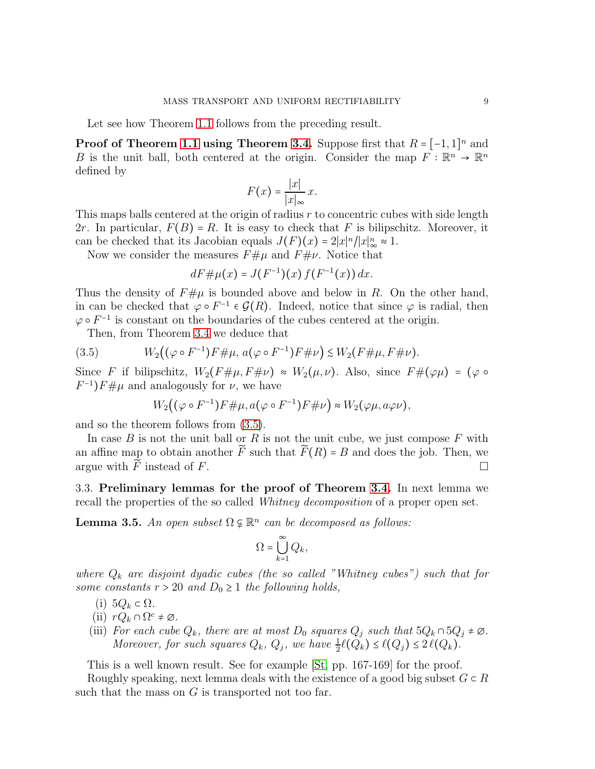Let see how Theorem [1.1](#page-3-2) follows from the preceding result.

**Proof of Theorem [1.1](#page-3-2) using Theorem [3.4.](#page-7-1)** Suppose first that  $R = [-1, 1]^n$  and B is the unit ball, both centered at the origin. Consider the map  $F : \mathbb{R}^n \to \mathbb{R}^n$ defined by

$$
F(x) = \frac{|x|}{|x|_{\infty}} x.
$$

This maps balls centered at the origin of radius  $r$  to concentric cubes with side length 2r. In particular,  $F(B) = R$ . It is easy to check that F is bilipschitz. Moreover, it can be checked that its Jacobian equals  $J(F)(x) = 2|x|^n/|x|_\infty^n \approx 1$ .

Now we consider the measures  $F \# \mu$  and  $F \# \nu$ . Notice that

$$
dF \# \mu(x) = J(F^{-1})(x) f(F^{-1}(x)) dx.
$$

Thus the density of  $F# \mu$  is bounded above and below in R. On the other hand, in can be checked that  $\varphi \circ F^{-1} \in \mathcal{G}(R)$ . Indeed, notice that since  $\varphi$  is radial, then  $\varphi \circ F^{-1}$  is constant on the boundaries of the cubes centered at the origin.

Then, from Theorem [3.4](#page-7-1) we deduce that

(3.5) 
$$
W_2((\varphi \circ F^{-1})F \# \mu, a(\varphi \circ F^{-1})F \# \nu) \leq W_2(F \# \mu, F \# \nu).
$$

Since F if bilipschitz,  $W_2(F \# \mu, F \# \nu) \approx W_2(\mu, \nu)$ . Also, since  $F \# (\varphi \mu) = (\varphi \circ$  $F^{-1}$ ) $F \# \mu$  and analogously for  $\nu$ , we have

<span id="page-8-0"></span>
$$
W_2((\varphi \circ F^{-1})F \# \mu, a(\varphi \circ F^{-1})F \# \nu) \approx W_2(\varphi \mu, a\varphi \nu),
$$

and so the theorem follows from [\(3.5\)](#page-8-0).

In case  $B$  is not the unit ball or  $R$  is not the unit cube, we just compose  $F$  with an affine map to obtain another  $\widetilde{F}$  such that  $\widetilde{F}(R) = B$  and does the job. Then, we argue with  $\widetilde{F}$  instead of  $F$ . argue with  $\widetilde{F}$  instead of F.

3.3. Preliminary lemmas for the proof of Theorem [3.4.](#page-7-1) In next lemma we recall the properties of the so called *Whitney decomposition* of a proper open set.

<span id="page-8-1"></span>**Lemma 3.5.** An open subset  $\Omega \varphi \mathbb{R}^n$  can be decomposed as follows:

$$
\Omega = \bigcup_{k=1}^\infty Q_k,
$$

*where*  $Q_k$  *are disjoint dyadic cubes (the so called "Whitney cubes") such that for some constants*  $r > 20$  *and*  $D_0 \geq 1$  *the following holds,* 

- (i)  $5Q_k \subset \Omega$ .
- (ii)  $rQ_k \cap \Omega^c \neq \emptyset$ *.*
- (iii) *For each cube*  $Q_k$ *, there are at most*  $D_0$  *squares*  $Q_j$  *such that*  $5Q_k \cap 5Q_j \neq \emptyset$ *. Moreover, for such squares*  $Q_k$ ,  $Q_j$ , we have  $\frac{1}{2}\ell(Q_k) \leq \ell(Q_j) \leq 2\ell(Q_k)$ .

This is a well known result. See for example [\[St,](#page-50-14) pp. 167-169] for the proof.

Roughly speaking, next lemma deals with the existence of a good big subset  $G \subset R$ such that the mass on  $G$  is transported not too far.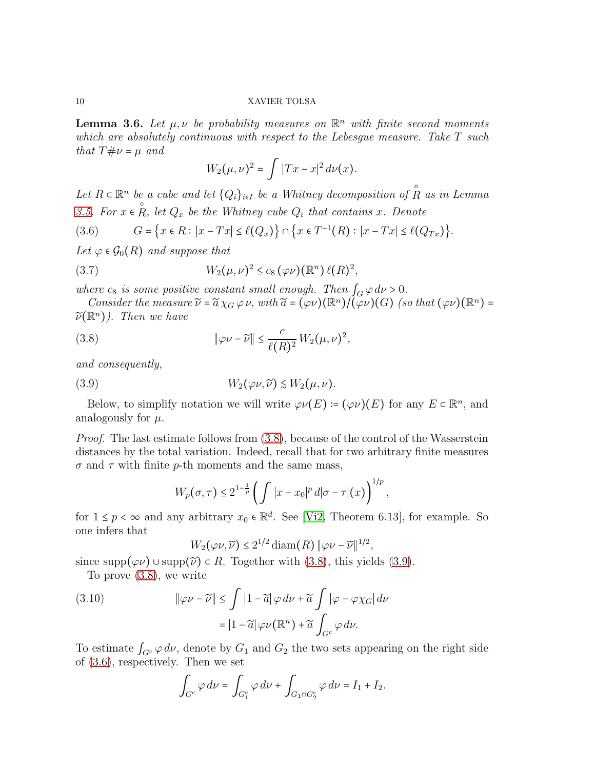<span id="page-9-5"></span>**Lemma 3.6.** Let  $\mu, \nu$  be probability measures on  $\mathbb{R}^n$  with finite second moments *which are absolutely continuous with respect to the Lebesgue measure. Take* T *such that*  $T \# \nu = \mu$  *and* 

<span id="page-9-3"></span>
$$
W_2(\mu,\nu)^2 = \int |Tx - x|^2 \, d\nu(x).
$$

Let  $R \subset \mathbb{R}^n$  *be a cube and let*  $\{Q_i\}_{i \in I}$  *be a Whitney decomposition of*  $\hat{R}$  $\frac{e}{\infty}$  *a cube and let*  $\{Q_i\}_{i\in I}$  *be a Whitney decomposition of R as in Lemma [3.5.](#page-8-1)* For  $x \in R$ , let  $Q_x$  be the Whitney cube  $Q_i$  that contains x. Denote

<span id="page-9-2"></span>
$$
(3.6) \tG = \{x \in R : |x - Tx| \le \ell(Q_x)\} \cap \{x \in T^{-1}(R) : |x - Tx| \le \ell(Q_{Tx})\}.
$$

*Let*  $\varphi \in \mathcal{G}_0(R)$  *and suppose that* 

(3.7) 
$$
W_2(\mu,\nu)^2 \leq c_8 \left(\varphi \nu\right) \left(\mathbb{R}^n\right) \ell(R)^2,
$$

*where*  $c_8$  *is some positive constant small enough. Then*  $\int_G \varphi \, d\nu > 0$ *.* 

*Consider the measure*  $\widetilde{\nu} = \widetilde{a} \chi_G \varphi \nu$ , *with*  $\widetilde{a} = (\varphi \nu)(\mathbb{R}^n) / (\widetilde{\varphi} \nu)(G)$  *(so that*  $(\varphi \nu)(\mathbb{R}^n) =$  $\widetilde{\nu}(\mathbb{R}^n)$ *). Then we have* 

<span id="page-9-0"></span>(3.8) 
$$
\|\varphi\nu - \widetilde{\nu}\| \leq \frac{c}{\ell(R)^2} W_2(\mu, \nu)^2,
$$

*and consequently,*

(3.9) 
$$
W_2(\varphi \nu, \widetilde{\nu}) \lesssim W_2(\mu, \nu).
$$

Below, to simplify notation we will write  $\varphi\nu(E) := (\varphi \nu)(E)$  for any  $E \subset \mathbb{R}^n$ , and analogously for  $\mu$ .

*Proof.* The last estimate follows from  $(3.8)$ , because of the control of the Wasserstein distances by the total variation. Indeed, recall that for two arbitrary finite measures  $\sigma$  and  $\tau$  with finite p-th moments and the same mass,

<span id="page-9-1"></span>
$$
W_p(\sigma,\tau) \leq 2^{1-\frac{1}{p}} \left( \int |x-x_0|^p \, d|\sigma-\tau|(x) \right)^{1/p},
$$

for  $1 \leq p < \infty$  and any arbitrary  $x_0 \in \mathbb{R}^d$ . See [\[Vi2,](#page-50-15) Theorem 6.13], for example. So one infers that

$$
W_2(\varphi\nu,\widetilde{\nu}) \le 2^{1/2}\operatorname{diam}(R) \|\varphi\nu-\widetilde{\nu}\|^{1/2},
$$

since supp $(\varphi \nu)$  ∪ supp $(\widetilde{\nu}) \subset R$ . Together with [\(3.8\)](#page-9-0), this yields [\(3.9\)](#page-9-1).

To prove [\(3.8\)](#page-9-0), we write

<span id="page-9-4"></span>(3.10) 
$$
\|\varphi\nu - \widetilde{\nu}\| \le \int |1 - \widetilde{a}| \varphi \, d\nu + \widetilde{a} \int |\varphi - \varphi \chi_G| \, d\nu
$$

$$
= |1 - \widetilde{a}| \varphi \nu(\mathbb{R}^n) + \widetilde{a} \int_{G^c} \varphi \, d\nu.
$$

To estimate  $\int_{G^c} \varphi \, d\nu$ , denote by  $G_1$  and  $G_2$  the two sets appearing on the right side of [\(3.6\)](#page-9-2), respectively. Then we set

$$
\int_{G^c} \varphi \, d\nu = \int_{G_1^c} \varphi \, d\nu + \int_{G_1 \cap G_2^c} \varphi \, d\nu = I_1 + I_2.
$$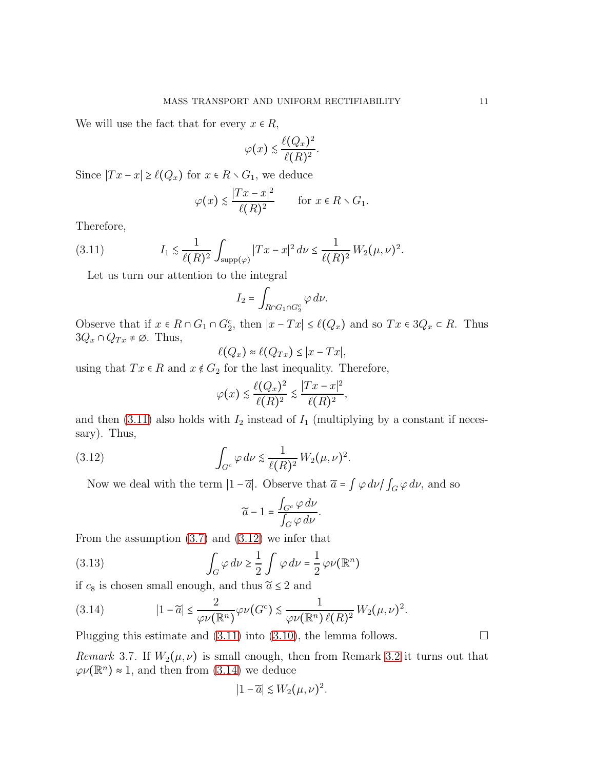We will use the fact that for every  $x \in R$ ,

$$
\varphi(x) \lesssim \frac{\ell(Q_x)^2}{\ell(R)^2}.
$$

Since  $|Tx - x| \ge \ell(Q_x)$  for  $x \in R \setminus G_1$ , we deduce

<span id="page-10-0"></span>
$$
\varphi(x) \le \frac{|Tx - x|^2}{\ell(R)^2}
$$
 for  $x \in R \setminus G_1$ .

Therefore,

(3.11) 
$$
I_1 \lesssim \frac{1}{\ell(R)^2} \int_{\text{supp}(\varphi)} |Tx - x|^2 \, d\nu \le \frac{1}{\ell(R)^2} W_2(\mu, \nu)^2.
$$

Let us turn our attention to the integral

$$
I_2 = \int_{R \cap G_1 \cap G_2^c} \varphi \, d\nu.
$$

Observe that if  $x \in R \cap G_1 \cap G_2^c$ , then  $|x - Tx| \leq \ell(Q_x)$  and so  $Tx \in 3Q_x \subset R$ . Thus  $3Q_x \cap Q_{Tx} \neq \emptyset$ . Thus,

$$
\ell(Q_x) \approx \ell(Q_{Tx}) \leq |x - Tx|,
$$

using that  $Tx \in R$  and  $x \notin G_2$  for the last inequality. Therefore,

$$
\varphi(x) \le \frac{\ell(Q_x)^2}{\ell(R)^2} \le \frac{|Tx - x|^2}{\ell(R)^2},
$$

and then  $(3.11)$  also holds with  $I_2$  instead of  $I_1$  (multiplying by a constant if necessary). Thus,

(3.12) 
$$
\int_{G^c} \varphi \, d\nu \lesssim \frac{1}{\ell(R)^2} W_2(\mu, \nu)^2.
$$

Now we deal with the term  $|1-\tilde{a}|$ . Observe that  $\tilde{a} = \int \varphi \, d\nu / \int_G \varphi \, d\nu$ , and so

<span id="page-10-1"></span>
$$
\widetilde{a}-1=\frac{\int_{G^c}\varphi\,d\nu}{\int_G\varphi\,d\nu}.
$$

From the assumption  $(3.7)$  and  $(3.12)$  we infer that

(3.13) 
$$
\int_G \varphi \, d\nu \ge \frac{1}{2} \int \varphi \, d\nu = \frac{1}{2} \varphi \nu(\mathbb{R}^n)
$$

if  $c_8$  is chosen small enough, and thus  $\tilde{a} \leq 2$  and

<span id="page-10-2"></span>(3.14) 
$$
|1-\widetilde{a}| \leq \frac{2}{\varphi \nu(\mathbb{R}^n)} \varphi \nu(G^c) \leq \frac{1}{\varphi \nu(\mathbb{R}^n) \ell(R)^2} W_2(\mu, \nu)^2.
$$

Plugging this estimate and  $(3.11)$  into  $(3.10)$ , the lemma follows.

<span id="page-10-3"></span>*Remark* 3.7. If  $W_2(\mu, \nu)$  is small enough, then from Remark [3.2](#page-7-2) it turns out that  $\varphi\nu(\mathbb{R}^n) \approx 1$ , and then from [\(3.14\)](#page-10-2) we deduce

$$
|1-\widetilde{a}| \lesssim W_2(\mu,\nu)^2.
$$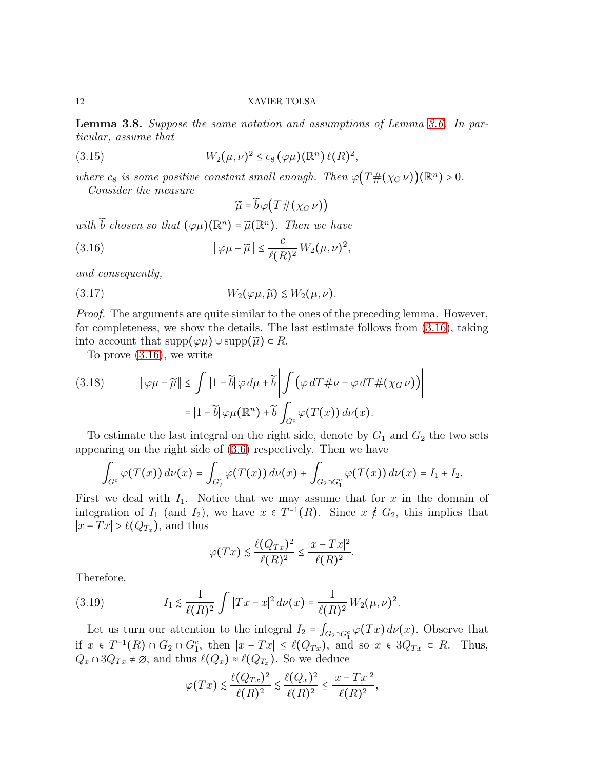<span id="page-11-4"></span>Lemma 3.8. *Suppose the same notation and assumptions of Lemma [3.6.](#page-9-5) In particular, assume that*

(3.15) 
$$
W_2(\mu,\nu)^2 \le c_8 (\varphi \mu) (\mathbb{R}^n) \ell(R)^2,
$$

*where*  $c_8$  *is some positive constant small enough. Then*  $\varphi(T \# (\chi_G \nu))(\mathbb{R}^n) > 0$ *.* 

*Consider the measure*

<span id="page-11-2"></span><span id="page-11-0"></span> $\widetilde{\mu} = \widetilde{b} \varphi(T \#(\chi_G \nu))$ 

*with*  $\widetilde{b}$  *chosen so that*  $(\varphi \mu)(\mathbb{R}^n) = \widetilde{\mu}(\mathbb{R}^n)$ *. Then we have* 

(3.16) 
$$
\|\varphi\mu - \widetilde{\mu}\| \leq \frac{c}{\ell(R)^2} W_2(\mu, \nu)^2,
$$

*and consequently,*

(3.17) 
$$
W_2(\varphi \mu, \widetilde{\mu}) \lesssim W_2(\mu, \nu).
$$

*Proof.* The arguments are quite similar to the ones of the preceding lemma. However, for completeness, we show the details. The last estimate follows from [\(3.16\)](#page-11-0), taking into account that  $\text{supp}(\varphi\mu) \cup \text{supp}(\widetilde{\mu}) \subset R$ .

To prove [\(3.16\)](#page-11-0), we write

<span id="page-11-3"></span>(3.18) 
$$
\|\varphi\mu - \widetilde{\mu}\| \le \int |1 - \widetilde{b}| \varphi \, d\mu + \widetilde{b} \left| \int (\varphi \, dT \# \nu - \varphi \, dT \# (\chi_G \nu)) \right|
$$

$$
= |1 - \widetilde{b}| \varphi \mu(\mathbb{R}^n) + \widetilde{b} \int_{G^c} \varphi(T(x)) \, d\nu(x).
$$

To estimate the last integral on the right side, denote by  $G_1$  and  $G_2$  the two sets appearing on the right side of [\(3.6\)](#page-9-2) respectively. Then we have

$$
\int_{G^c} \varphi(T(x)) d\nu(x) = \int_{G_2^c} \varphi(T(x)) d\nu(x) + \int_{G_2 \cap G_1^c} \varphi(T(x)) d\nu(x) = I_1 + I_2.
$$

First we deal with  $I_1$ . Notice that we may assume that for x in the domain of integration of  $I_1$  (and  $I_2$ ), we have  $x \in T^{-1}(R)$ . Since  $x \notin G_2$ , this implies that  $|x - Tx| > \ell(Q_{T_x})$ , and thus

<span id="page-11-1"></span>
$$
\varphi(Tx) \lesssim \frac{\ell(Q_{Tx})^2}{\ell(R)^2} \le \frac{|x - Tx|^2}{\ell(R)^2}.
$$

Therefore,

(3.19) 
$$
I_1 \lesssim \frac{1}{\ell(R)^2} \int |Tx - x|^2 \, d\nu(x) = \frac{1}{\ell(R)^2} W_2(\mu, \nu)^2.
$$

Let us turn our attention to the integral  $I_2 = \int_{G_2 \cap G_1^c} \varphi(Tx) d\nu(x)$ . Observe that if  $x \in T^{-1}(R) \cap G_2 \cap G_1^c$ , then  $|x - Tx| \leq \ell(Q_{Tx})$ , and so  $x \in 3Q_{Tx} \subset R$ . Thus,  $Q_x \cap 3Q_{Tx} \neq \emptyset$ , and thus  $\ell(Q_x) \approx \ell(Q_{T_x})$ . So we deduce

$$
\varphi(Tx) \lesssim \frac{\ell(Q_{Tx})^2}{\ell(R)^2} \lesssim \frac{\ell(Q_x)^2}{\ell(R)^2} \le \frac{|x - Tx|^2}{\ell(R)^2},
$$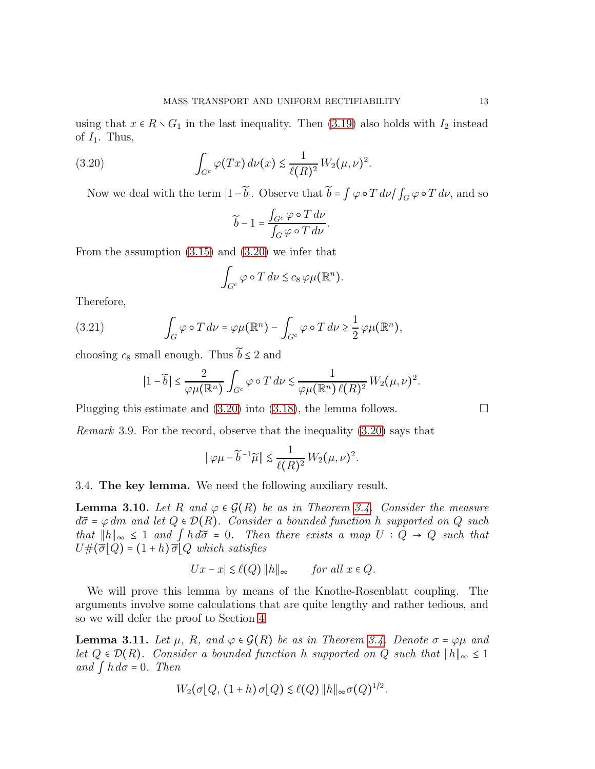using that  $x \in R \setminus G_1$  in the last inequality. Then [\(3.19\)](#page-11-1) also holds with  $I_2$  instead of  $I_1$ . Thus,

(3.20) 
$$
\int_{G^c} \varphi(Tx) d\nu(x) \lesssim \frac{1}{\ell(R)^2} W_2(\mu, \nu)^2.
$$

Now we deal with the term  $|1-\tilde{b}|$ . Observe that  $\tilde{b} = \int \varphi \circ T d\nu / \int_G \varphi \circ T d\nu$ , and so

<span id="page-12-0"></span>
$$
\widetilde{b} - 1 = \frac{\int_{G^c} \varphi \circ T \, d\nu}{\int_G \varphi \circ T \, d\nu}.
$$

From the assumption [\(3.15\)](#page-11-2) and [\(3.20\)](#page-12-0) we infer that

$$
\int_{G^c} \varphi \circ T \, d\nu \lesssim c_8 \, \varphi \mu(\mathbb{R}^n).
$$

Therefore,

(3.21) 
$$
\int_G \varphi \circ T \, d\nu = \varphi \mu(\mathbb{R}^n) - \int_{G^c} \varphi \circ T \, d\nu \ge \frac{1}{2} \varphi \mu(\mathbb{R}^n),
$$

choosing  $c_8$  small enough. Thus  $\widetilde{b} \leq 2$  and

$$
|1-\widetilde{b}| \leq \frac{2}{\varphi\mu(\mathbb{R}^n)} \int_{G^c} \varphi \circ T \, d\nu \lesssim \frac{1}{\varphi\mu(\mathbb{R}^n) \ell(R)^2} W_2(\mu, \nu)^2.
$$

Plugging this estimate and  $(3.20)$  into  $(3.18)$ , the lemma follows.

<span id="page-12-3"></span>*Remark* 3.9*.* For the record, observe that the inequality [\(3.20\)](#page-12-0) says that

$$
\|\varphi\mu - \widetilde{b}^{-1}\widetilde{\mu}\| \lesssim \frac{1}{\ell(R)^2} W_2(\mu, \nu)^2.
$$

3.4. The key lemma. We need the following auxiliary result.

<span id="page-12-1"></span>**Lemma 3.10.** Let R and  $\varphi \in \mathcal{G}(R)$  be as in Theorem [3.4.](#page-7-1) Consider the measure  $d\tilde{\sigma} = \varphi dm$  and let  $Q \in \mathcal{D}(R)$ . Consider a bounded function h supported on Q such *that*  $||h||_{\infty}$  ≤ 1 *and*  $\int h d\tilde{\sigma} = 0$ *. Then there exists a map*  $U : Q \rightarrow Q$  *such that*  $U#(\widetilde{\sigma}|Q) = (1+h)\widetilde{\sigma}|Q$  which satisfies

$$
|Ux - x| \lesssim \ell(Q) ||h||_{\infty} \quad \text{for all } x \in Q.
$$

We will prove this lemma by means of the Knothe-Rosenblatt coupling. The arguments involve some calculations that are quite lengthy and rather tedious, and so we will defer the proof to Section [4.](#page-25-0)

<span id="page-12-2"></span>**Lemma 3.11.** Let  $\mu$ , R, and  $\varphi \in \mathcal{G}(R)$  be as in Theorem [3.4.](#page-7-1) Denote  $\sigma = \varphi \mu$  and *let*  $Q \in \mathcal{D}(R)$ *. Consider a bounded function* h *supported on*  $Q$  *such that*  $||h||_{\infty} \leq 1$ *and*  $\int h d\sigma = 0$ *. Then* 

$$
W_2(\sigma[Q, (1+h)\sigma[Q) \leq \ell(Q) ||h||_{\infty} \sigma(Q)^{1/2}.
$$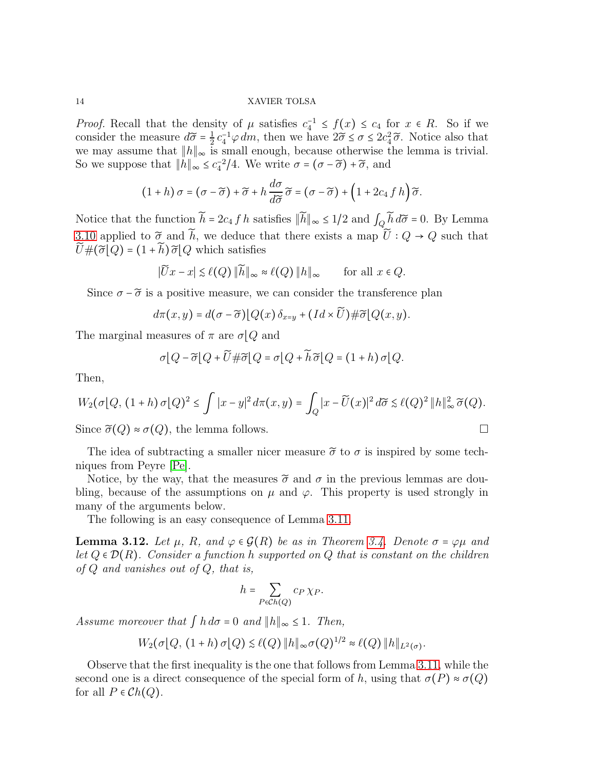*Proof.* Recall that the density of  $\mu$  satisfies  $c_4^{-1} \leq f(x) \leq c_4$  for  $x \in R$ . So if we consider the measure  $d\widetilde{\sigma} = \frac{1}{2}$  $\frac{1}{2} c_4^{-1} \varphi dm$ , then we have  $2\tilde{\sigma} \leq \sigma \leq 2c_4^2 \tilde{\sigma}$ . Notice also that we may assume that  $||h||_{\infty}$  is small enough, because otherwise the lemma is trivial. So we suppose that  $||h||_{\infty} \leq c_4^{-2}/4$ . We write  $\sigma = (\sigma - \tilde{\sigma}) + \tilde{\sigma}$ , and

$$
(1+h)\sigma = (\sigma - \widetilde{\sigma}) + \widetilde{\sigma} + h\frac{d\sigma}{d\widetilde{\sigma}}\widetilde{\sigma} = (\sigma - \widetilde{\sigma}) + (1 + 2c_4\int h)\widetilde{\sigma}.
$$

Notice that the function  $\hat{h} = 2c_4 f h$  satisfies  $||\hat{h}||_{\infty} \leq 1/2$  and  $\int_Q \hat{h} d\tilde{\sigma} = 0$ . By Lemma [3.10](#page-12-1) applied to  $\tilde{\sigma}$  and  $\tilde{h}$ , we deduce that there exists a map  $\tilde{U}$  :  $Q \to Q$  such that  $\widetilde{U} \# (\widetilde{\sigma} | Q) = (1 + \widetilde{h}) \widetilde{\sigma} | Q$  which satisfies

$$
|\widetilde{U}x - x| \lesssim \ell(Q) \|\widetilde{h}\|_{\infty} \approx \ell(Q) \|h\|_{\infty} \quad \text{for all } x \in Q.
$$

Since  $\sigma - \tilde{\sigma}$  is a positive measure, we can consider the transference plan

$$
d\pi(x,y) = d(\sigma - \widetilde{\sigma})[Q(x)\,\delta_{x=y} + (Id \times \widetilde{U}) \#\widetilde{\sigma}[Q(x,y)].
$$

The marginal measures of  $\pi$  are  $\sigma$ [Q and

$$
\sigma[Q - \widetilde{\sigma}[Q + \widetilde{U} \# \widetilde{\sigma}[Q = \sigma]Q + \widetilde{h}\widetilde{\sigma}[Q = (1+h)\sigma]Q.
$$

Then,

$$
W_2(\sigma[Q, (1+h)\sigma[Q)^2 \leq \int |x-y|^2 d\pi(x,y) = \int_Q |x-\widetilde{U}(x)|^2 d\widetilde{\sigma} \lesssim \ell(Q)^2 ||h||_{\infty}^2 \widetilde{\sigma}(Q).
$$

Since  $\tilde{\sigma}(Q) \approx \sigma(Q)$ , the lemma follows.

The idea of subtracting a smaller nicer measure  $\tilde{\sigma}$  to  $\sigma$  is inspired by some techniques from Peyre [\[Pe\]](#page-50-16).

Notice, by the way, that the measures  $\tilde{\sigma}$  and  $\sigma$  in the previous lemmas are doubling, because of the assumptions on  $\mu$  and  $\varphi$ . This property is used strongly in many of the arguments below.

The following is an easy consequence of Lemma [3.11.](#page-12-2)

<span id="page-13-0"></span>**Lemma 3.12.** Let  $\mu$ , R, and  $\varphi \in \mathcal{G}(R)$  be as in Theorem [3.4.](#page-7-1) Denote  $\sigma = \varphi \mu$  and *let* Q ∈ D(R)*. Consider a function* h *supported on* Q *that is constant on the children of* Q *and vanishes out of* Q*, that is,*

$$
h=\sum_{P\in\mathcal{C}h(Q)}c_P\,\chi_P.
$$

*Assume moreover that*  $\int h d\sigma = 0$  *and*  $\|h\|_{\infty} \leq 1$ *. Then,* 

$$
W_2(\sigma[Q, (1+h)\sigma[Q) \leq \ell(Q) ||h||_{\infty} \sigma(Q)^{1/2} \approx \ell(Q) ||h||_{L^2(\sigma)}.
$$

Observe that the first inequality is the one that follows from Lemma [3.11,](#page-12-2) while the second one is a direct consequence of the special form of h, using that  $\sigma(P) \approx \sigma(Q)$ for all  $P \in Ch(Q)$ .

$$
\sqcup
$$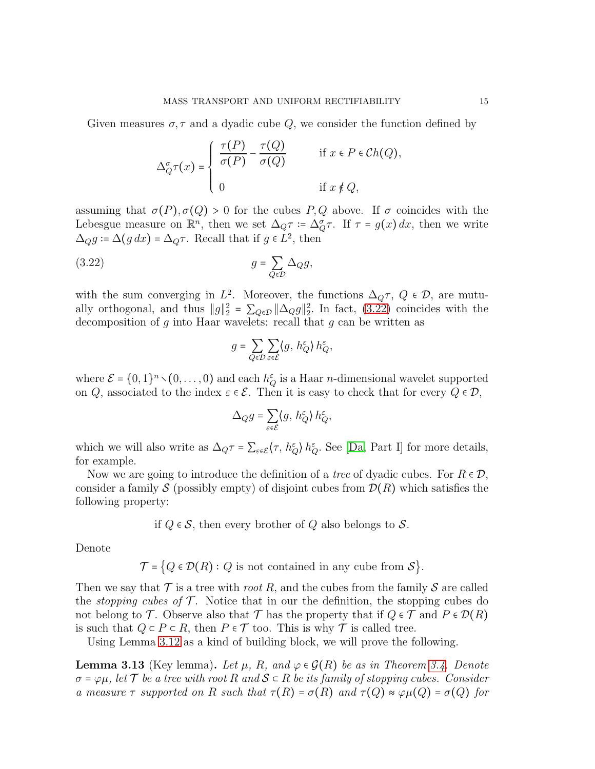Given measures  $\sigma, \tau$  and a dyadic cube Q, we consider the function defined by

$$
\Delta_Q^{\sigma} \tau(x) = \begin{cases} \frac{\tau(P)}{\sigma(P)} - \frac{\tau(Q)}{\sigma(Q)} & \text{if } x \in P \in Ch(Q), \\ 0 & \text{if } x \notin Q, \end{cases}
$$

assuming that  $\sigma(P), \sigma(Q) > 0$  for the cubes P, Q above. If  $\sigma$  coincides with the Lebesgue measure on  $\mathbb{R}^n$ , then we set  $\Delta_{Q}\tau = \Delta_{Q}^{\sigma}\tau$ . If  $\tau = g(x) dx$ , then we write  $\Delta_{Q}g \coloneqq \Delta(g dx) = \Delta_{Q}\tau$ . Recall that if  $g \in L^{2}$ , then

$$
(3.22)\t\t\t g = \sum_{Q \in \mathcal{D}} \Delta_Q g,
$$

with the sum converging in  $L^2$ . Moreover, the functions  $\Delta_{Q}\tau$ ,  $Q \in \mathcal{D}$ , are mutually orthogonal, and thus  $||g||_2^2 = \sum_{Q \in \mathcal{D}} ||\Delta_Q g||_2^2$ . In fact, [\(3.22\)](#page-14-0) coincides with the decomposition of g into Haar wavelets: recall that g can be written as

<span id="page-14-0"></span>
$$
g = \sum_{Q \in \mathcal{D}} \sum_{\varepsilon \in \mathcal{E}} \langle g, h_Q^{\varepsilon} \rangle h_Q^{\varepsilon},
$$

where  $\mathcal{E} = \{0, 1\}^n \setminus (0, \ldots, 0)$  and each  $h_Q^{\varepsilon}$  is a Haar *n*-dimensional wavelet supported on Q, associated to the index  $\varepsilon \in \mathcal{E}$ . Then it is easy to check that for every  $Q \in \mathcal{D}$ ,

$$
\Delta_{Q}g = \sum_{\varepsilon \in \mathcal{E}} \langle g, h_{Q}^{\varepsilon} \rangle h_{Q}^{\varepsilon},
$$

which we will also write as  $\Delta_{Q}\tau = \sum_{\varepsilon \in \mathcal{E}} \langle \tau, h_{Q}^{\varepsilon} \rangle h_{Q}^{\varepsilon}$ . See [\[Da,](#page-50-17) Part I] for more details, for example.

Now we are going to introduce the definition of a *tree* of dyadic cubes. For  $R \in \mathcal{D}$ , consider a family S (possibly empty) of disjoint cubes from  $\mathcal{D}(R)$  which satisfies the following property:

if 
$$
Q \in \mathcal{S}
$$
, then every brother of  $Q$  also belongs to  $\mathcal{S}$ .

Denote

 $\mathcal{T} = \{Q \in \mathcal{D}(R) : Q \text{ is not contained in any cube from } \mathcal{S}\}.$ 

Then we say that  $\mathcal T$  is a tree with *root* R, and the cubes from the family  $\mathcal S$  are called the *stopping cubes of*  $\mathcal T$ . Notice that in our the definition, the stopping cubes do not belong to T. Observe also that T has the property that if  $Q \in \mathcal{T}$  and  $P \in \mathcal{D}(R)$ is such that  $Q \subset P \subset R$ , then  $P \in \mathcal{T}$  too. This is why  $\mathcal{T}$  is called tree.

Using Lemma [3.12](#page-13-0) as a kind of building block, we will prove the following.

<span id="page-14-1"></span>**Lemma 3.13** (Key lemma). Let  $\mu$ , R, and  $\varphi \in \mathcal{G}(R)$  be as in Theorem [3.4.](#page-7-1) Denote σ = ϕµ*, let* T *be a tree with root* R *and* S ⊂ R *be its family of stopping cubes. Consider a* measure  $\tau$  *supported on* R *such that*  $\tau(R) = \sigma(R)$  *and*  $\tau(Q) \approx \varphi \mu(Q) = \sigma(Q)$  *for*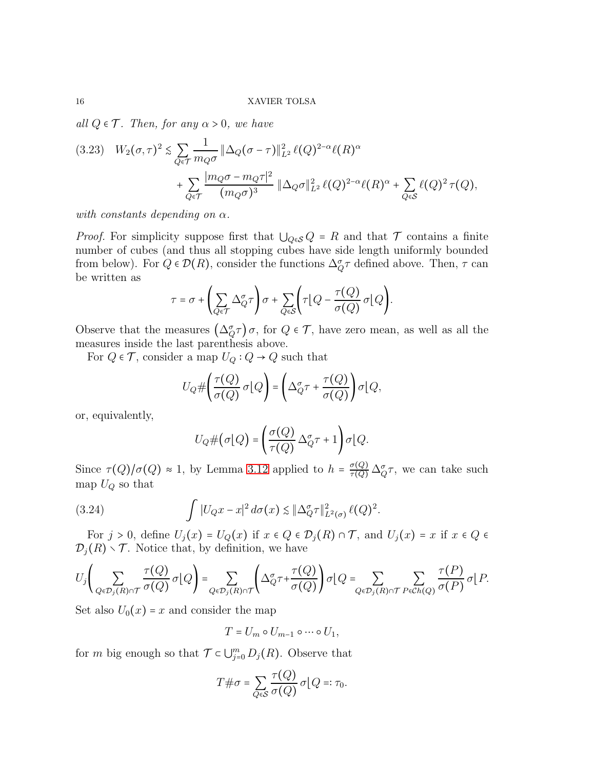*all*  $Q \in \mathcal{T}$ *. Then, for any*  $\alpha > 0$ *, we have* 

$$
(3.23) \quad W_2(\sigma,\tau)^2 \lesssim \sum_{Q \in \mathcal{T}} \frac{1}{m_Q \sigma} \|\Delta_Q(\sigma - \tau)\|_{L^2}^2 \,\ell(Q)^{2-\alpha} \ell(R)^{\alpha} + \sum_{Q \in \mathcal{T}} \frac{|m_Q \sigma - m_Q \tau|^2}{(m_Q \sigma)^3} \|\Delta_Q \sigma\|_{L^2}^2 \,\ell(Q)^{2-\alpha} \ell(R)^{\alpha} + \sum_{Q \in \mathcal{S}} \ell(Q)^2 \,\tau(Q),
$$

*with constants depending on*  $\alpha$ *.* 

*Proof.* For simplicity suppose first that  $\bigcup_{Q \in \mathcal{S}} Q = R$  and that  $\mathcal T$  contains a finite number of cubes (and thus all stopping cubes have side length uniformly bounded from below). For  $Q \in \mathcal{D}(R)$ , consider the functions  $\Delta_{Q}^{\sigma} \tau$  defined above. Then,  $\tau$  can be written as

$$
\tau = \sigma + \left(\sum_{Q \in \mathcal{T}} \Delta_Q^{\sigma} \tau\right) \sigma + \sum_{Q \in \mathcal{S}} \left(\tau \big[Q - \frac{\tau(Q)}{\sigma(Q)} \sigma \big] Q\right).
$$

Observe that the measures  $(\Delta_{Q}^{\sigma}\tau)\sigma$ , for  $Q \in \mathcal{T}$ , have zero mean, as well as all the measures inside the last parenthesis above.

For  $Q \in \mathcal{T}$ , consider a map  $U_Q: Q \to Q$  such that

$$
U_{Q} \# \left( \frac{\tau(Q)}{\sigma(Q)} \sigma(Q) \right) = \left( \Delta_{Q}^{\sigma} \tau + \frac{\tau(Q)}{\sigma(Q)} \right) \sigma(Q),
$$

or, equivalently,

<span id="page-15-0"></span>
$$
U_{Q} \# \big( \sigma \big[ Q \big] = \bigg( \frac{\sigma(Q)}{\tau(Q)} \, \Delta^{\sigma}_{Q} \tau + 1 \bigg) \sigma \big[ Q.
$$

Since  $\tau(Q)/\sigma(Q) \approx 1$ , by Lemma [3.12](#page-13-0) applied to  $h = \frac{\sigma(Q)}{\tau(Q)} \Delta_{Q}^{\sigma} \tau$ , we can take such map  $U_Q$  so that

(3.24) 
$$
\int |U_Q x - x|^2 d\sigma(x) \lesssim |\Delta_Q^{\sigma} \tau|_{L^2(\sigma)}^2 \ell(Q)^2.
$$

For  $j > 0$ , define  $U_j(x) = U_Q(x)$  if  $x \in Q \in \mathcal{D}_j(R) \cap \mathcal{T}$ , and  $U_j(x) = x$  if  $x \in Q \in \mathcal{T}_j(R)$  $\mathcal{D}_i(R) \setminus \mathcal{T}$ . Notice that, by definition, we have

$$
U_j\left(\sum_{Q\in\mathcal{D}_j(R)\cap\mathcal{T}}\frac{\tau(Q)}{\sigma(Q)}\sigma\big|Q\right)=\sum_{Q\in\mathcal{D}_j(R)\cap\mathcal{T}}\left(\Delta_Q^{\sigma}\tau+\frac{\tau(Q)}{\sigma(Q)}\right)\sigma\big|Q=\sum_{Q\in\mathcal{D}_j(R)\cap\mathcal{T}}\sum_{P\in\mathcal{C}h(Q)}\frac{\tau(P)}{\sigma(P)}\sigma\big|P.
$$

Set also  $U_0(x) = x$  and consider the map

$$
T=U_m\circ U_{m-1}\circ\cdots\circ U_1,
$$

for m big enough so that  $\mathcal{T} \subset \bigcup_{j=0}^m D_j(R)$ . Observe that

$$
T \# \sigma = \sum_{Q \in \mathcal{S}} \frac{\tau(Q)}{\sigma(Q)} \, \sigma(Q =: \tau_0.
$$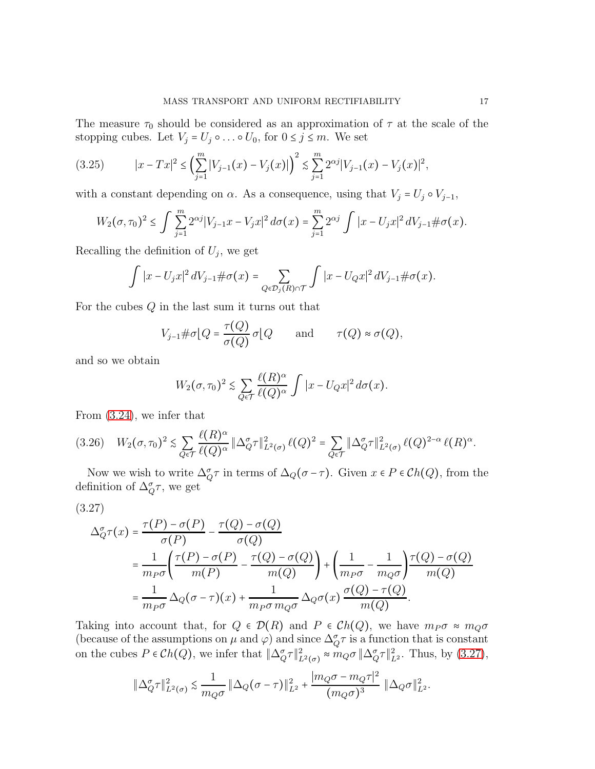The measure  $\tau_0$  should be considered as an approximation of  $\tau$  at the scale of the stopping cubes. Let  $V_j = U_j \circ \dots \circ U_0$ , for  $0 \le j \le m$ . We set

$$
(3.25) \t |x - Tx|^2 \le \left(\sum_{j=1}^m |V_{j-1}(x) - V_j(x)|\right)^2 \le \sum_{j=1}^m 2^{\alpha j} |V_{j-1}(x) - V_j(x)|^2,
$$

with a constant depending on  $\alpha$ . As a consequence, using that  $V_j = U_j \circ V_{j-1}$ ,

$$
W_2(\sigma,\tau_0)^2 \leq \int \sum_{j=1}^m 2^{\alpha j} |V_{j-1}x - V_jx|^2 d\sigma(x) = \sum_{j=1}^m 2^{\alpha j} \int |x - U_jx|^2 dV_{j-1} \#\sigma(x).
$$

Recalling the definition of  $U_j$ , we get

$$
\int |x-U_jx|^2 dV_{j-1} \#\sigma(x) = \sum_{Q \in \mathcal{D}_j(R) \cap \mathcal{T}} \int |x-U_Qx|^2 dV_{j-1} \#\sigma(x).
$$

For the cubes  $Q$  in the last sum it turns out that

$$
V_{j-1} \# \sigma \big[ Q = \frac{\tau(Q)}{\sigma(Q)} \sigma \big] Q \quad \text{and} \quad \tau(Q) \approx \sigma(Q),
$$

and so we obtain

$$
W_2(\sigma,\tau_0)^2 \lesssim \sum_{Q \in \mathcal{T}} \frac{\ell(R)^{\alpha}}{\ell(Q)^{\alpha}} \int |x - U_Q x|^2 d\sigma(x).
$$

From [\(3.24\)](#page-15-0), we infer that

<span id="page-16-1"></span>
$$
(3.26) \quad W_2(\sigma, \tau_0)^2 \lesssim \sum_{Q \in \mathcal{T}} \frac{\ell(R)^{\alpha}}{\ell(Q)^{\alpha}} \|\Delta_Q^{\sigma}\tau\|_{L^2(\sigma)}^2 \,\ell(Q)^2 = \sum_{Q \in \mathcal{T}} \|\Delta_Q^{\sigma}\tau\|_{L^2(\sigma)}^2 \,\ell(Q)^{2-\alpha} \,\ell(R)^{\alpha}.
$$

Now we wish to write  $\Delta_{Q}^{\sigma} \tau$  in terms of  $\Delta_{Q}(\sigma - \tau)$ . Given  $x \in P \in Ch(Q)$ , from the definition of  $\Delta_{Q}^{\sigma} \tau$ , we get

<span id="page-16-0"></span>
$$
(3.27)
$$

$$
\Delta_{Q}^{\sigma}\tau(x) = \frac{\tau(P) - \sigma(P)}{\sigma(P)} - \frac{\tau(Q) - \sigma(Q)}{\sigma(Q)}
$$
  
= 
$$
\frac{1}{m_{P}\sigma} \left( \frac{\tau(P) - \sigma(P)}{m(P)} - \frac{\tau(Q) - \sigma(Q)}{m(Q)} \right) + \left( \frac{1}{m_{P}\sigma} - \frac{1}{m_{Q}\sigma} \right) \frac{\tau(Q) - \sigma(Q)}{m(Q)}
$$
  
= 
$$
\frac{1}{m_{P}\sigma} \Delta_{Q} (\sigma - \tau)(x) + \frac{1}{m_{P}\sigma m_{Q}\sigma} \Delta_{Q}\sigma(x) \frac{\sigma(Q) - \tau(Q)}{m(Q)}.
$$

Taking into account that, for  $Q \in \mathcal{D}(R)$  and  $P \in \mathcal{C}h(Q)$ , we have  $m_P \sigma \approx m_Q \sigma$ (because of the assumptions on  $\mu$  and  $\varphi$ ) and since  $\Delta_{Q}^{\sigma} \tau$  is a function that is constant on the cubes  $P \in Ch(Q)$ , we infer that  $\|\Delta_Q^{\sigma}\tau\|_{L^2(\sigma)}^2 \approx m_Q \sigma \|\Delta_Q^{\sigma}\tau\|_{L^2}^2$ . Thus, by [\(3.27\)](#page-16-0),

$$
\|\Delta_Q^{\sigma}\tau\|_{L^2(\sigma)}^2 \lesssim \frac{1}{m_Q\sigma} \|\Delta_Q(\sigma-\tau)\|_{L^2}^2 + \frac{|m_Q\sigma - m_Q\tau|^2}{(m_Q\sigma)^3} \|\Delta_Q\sigma\|_{L^2}^2.
$$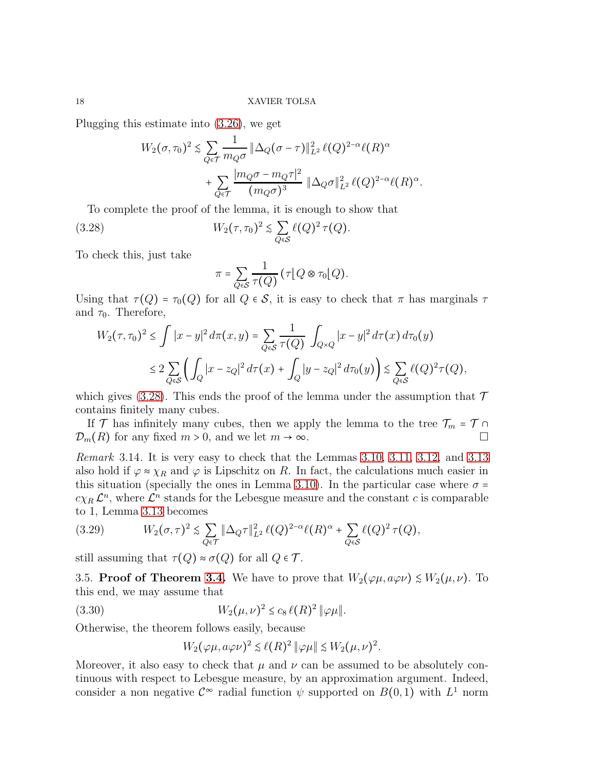Plugging this estimate into [\(3.26\)](#page-16-1), we get

$$
W_2(\sigma, \tau_0)^2 \lesssim \sum_{Q \in \mathcal{T}} \frac{1}{m_Q \sigma} \|\Delta_Q(\sigma - \tau)\|_{L^2}^2 \ell(Q)^{2-\alpha} \ell(R)^{\alpha} + \sum_{Q \in \mathcal{T}} \frac{|m_Q \sigma - m_Q \tau|^2}{(m_Q \sigma)^3} \|\Delta_Q \sigma\|_{L^2}^2 \ell(Q)^{2-\alpha} \ell(R)^{\alpha}.
$$

To complete the proof of the lemma, it is enough to show that

(3.28) 
$$
W_2(\tau, \tau_0)^2 \lesssim \sum_{Q \in \mathcal{S}} \ell(Q)^2 \tau(Q).
$$

To check this, just take

<span id="page-17-0"></span>
$$
\pi = \sum_{Q \in \mathcal{S}} \frac{1}{\tau(Q)} \left( \tau \big[ Q \otimes \tau_0 \big] Q \right).
$$

Using that  $\tau(Q) = \tau_0(Q)$  for all  $Q \in \mathcal{S}$ , it is easy to check that  $\pi$  has marginals  $\tau$ and  $\tau_0$ . Therefore,

$$
W_2(\tau, \tau_0)^2 \le \int |x - y|^2 d\pi(x, y) = \sum_{Q \in \mathcal{S}} \frac{1}{\tau(Q)} \int_{Q \times Q} |x - y|^2 d\tau(x) d\tau_0(y)
$$
  

$$
\le 2 \sum_{Q \in \mathcal{S}} \left( \int_Q |x - z_Q|^2 d\tau(x) + \int_Q |y - z_Q|^2 d\tau_0(y) \right) \lesssim \sum_{Q \in \mathcal{S}} \ell(Q)^2 \tau(Q),
$$

which gives [\(3.28\)](#page-17-0). This ends the proof of the lemma under the assumption that  $\mathcal T$ contains finitely many cubes.

If T has infinitely many cubes, then we apply the lemma to the tree  $\mathcal{T}_m = \mathcal{T} \cap$  $\mathcal{D}_m(R)$  for any fixed  $m > 0$ , and we let  $m \to \infty$ .

<span id="page-17-3"></span>*Remark* 3.14*.* It is very easy to check that the Lemmas [3.10,](#page-12-1) [3.11,](#page-12-2) [3.12,](#page-13-0) and [3.13](#page-14-1) also hold if  $\varphi \approx \chi_R$  and  $\varphi$  is Lipschitz on R. In fact, the calculations much easier in this situation (specially the ones in Lemma [3.10\)](#page-12-1). In the particular case where  $\sigma$  =  $c_{XR} \mathcal{L}^n$ , where  $\mathcal{L}^n$  stands for the Lebesgue measure and the constant c is comparable to 1, Lemma [3.13](#page-14-1) becomes

<span id="page-17-2"></span>(3.29) 
$$
W_2(\sigma,\tau)^2 \lesssim \sum_{Q \in \mathcal{T}} \|\Delta_Q \tau\|_{L^2}^2 \ell(Q)^{2-\alpha} \ell(R)^{\alpha} + \sum_{Q \in \mathcal{S}} \ell(Q)^2 \tau(Q),
$$

still assuming that  $\tau(Q) \approx \sigma(Q)$  for all  $Q \in \mathcal{T}$ .

3.5. Proof of Theorem [3.4.](#page-7-1) We have to prove that  $W_2(\varphi\mu, a\varphi\nu) \leq W_2(\mu, \nu)$ . To this end, we may assume that

(3.30) 
$$
W_2(\mu,\nu)^2 \le c_8 \,\ell(R)^2 \, \|\varphi\mu\|.
$$

Otherwise, the theorem follows easily, because

<span id="page-17-1"></span>
$$
W_2(\varphi\mu, a\varphi\nu)^2 \lesssim \ell(R)^2 \|\varphi\mu\| \lesssim W_2(\mu, \nu)^2.
$$

Moreover, it also easy to check that  $\mu$  and  $\nu$  can be assumed to be absolutely continuous with respect to Lebesgue measure, by an approximation argument. Indeed, consider a non negative  $\mathcal{C}^{\infty}$  radial function  $\psi$  supported on  $B(0,1)$  with  $L^1$  norm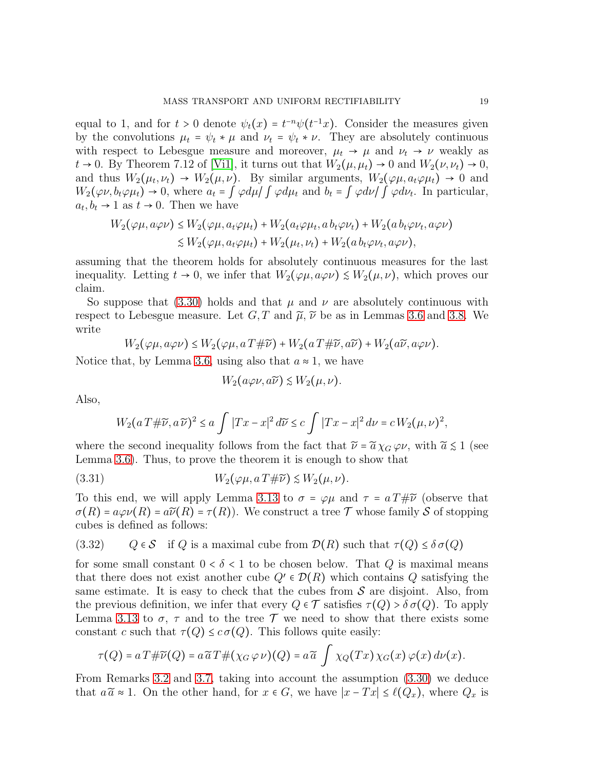equal to 1, and for  $t > 0$  denote  $\psi_t(x) = t^{-n} \psi(t^{-1}x)$ . Consider the measures given by the convolutions  $\mu_t = \psi_t * \mu$  and  $\nu_t = \psi_t * \nu$ . They are absolutely continuous with respect to Lebesgue measure and moreover,  $\mu_t \rightarrow \mu$  and  $\nu_t \rightarrow \nu$  weakly as  $t \to 0$ . By Theorem 7.12 of [\[Vi1\]](#page-50-1), it turns out that  $W_2(\mu, \mu_t) \to 0$  and  $W_2(\nu, \nu_t) \to 0$ , and thus  $W_2(\mu_t, \nu_t) \to W_2(\mu, \nu)$ . By similar arguments,  $W_2(\varphi \mu, a_t \varphi \mu_t) \to 0$  and  $W_2(\varphi\nu, b_t\varphi\mu_t) \to 0$ , where  $a_t = \int \varphi d\mu / \int \varphi d\mu_t$  and  $b_t = \int \varphi d\nu / \int \varphi d\nu_t$ . In particular,  $a_t, b_t \to 1$  as  $t \to 0$ . Then we have

$$
W_2(\varphi\mu, a\varphi\nu) \le W_2(\varphi\mu, a_t\varphi\mu_t) + W_2(a_t\varphi\mu_t, a_b_t\varphi\nu_t) + W_2(a_b_t\varphi\mu_t, a\varphi\nu)
$$
  

$$
\le W_2(\varphi\mu, a_t\varphi\mu_t) + W_2(\mu_t, \nu_t) + W_2(a_b_t\varphi\mu_t, a\varphi\nu),
$$

assuming that the theorem holds for absolutely continuous measures for the last inequality. Letting  $t \to 0$ , we infer that  $W_2(\varphi \mu, a\varphi \nu) \leq W_2(\mu, \nu)$ , which proves our claim.

So suppose that [\(3.30\)](#page-17-1) holds and that  $\mu$  and  $\nu$  are absolutely continuous with respect to Lebesgue measure. Let  $G, T$  and  $\tilde{\mu}, \tilde{\nu}$  be as in Lemmas [3.6](#page-9-5) and [3.8.](#page-11-4) We write

$$
W_2(\varphi\mu, a\varphi\nu) \le W_2(\varphi\mu, a\,T \# \widetilde{\nu}) + W_2(a\,T \# \widetilde{\nu}, a\widetilde{\nu}) + W_2(a\widetilde{\nu}, a\varphi\nu).
$$

Notice that, by Lemma [3.6,](#page-9-5) using also that  $a \approx 1$ , we have

$$
W_2(a\varphi\nu,a\widetilde{\nu}) \lesssim W_2(\mu,\nu).
$$

Also,

$$
W_2(a T \# \widetilde{\nu}, a \widetilde{\nu})^2 \le a \int |Tx - x|^2 d\widetilde{\nu} \le c \int |Tx - x|^2 d\nu = c W_2(\mu, \nu)^2,
$$

where the second inequality follows from the fact that  $\tilde{\nu} = \tilde{\alpha} \chi_G \varphi \nu$ , with  $\tilde{\alpha} \leq 1$  (see Lemma [3.6\)](#page-9-5). Thus, to prove the theorem it is enough to show that

(3.31) 
$$
W_2(\varphi \mu, a T \# \widetilde{\nu}) \lesssim W_2(\mu, \nu).
$$

To this end, we will apply Lemma [3.13](#page-14-1) to  $\sigma = \varphi\mu$  and  $\tau = a T \# \tilde{\nu}$  (observe that  $\sigma(R) = a\varphi\varphi(R) = a\widetilde{\varphi}(R) = \tau(R)$ . We construct a tree  $\mathcal T$  whose family  $\mathcal S$  of stopping cubes is defined as follows:

(3.32)  $Q \in \mathcal{S}$  if Q is a maximal cube from  $\mathcal{D}(R)$  such that  $\tau(Q) \leq \delta \sigma(Q)$ 

for some small constant  $0 < \delta < 1$  to be chosen below. That Q is maximal means that there does not exist another cube  $Q' \in \mathcal{D}(R)$  which contains Q satisfying the same estimate. It is easy to check that the cubes from  $\mathcal S$  are disjoint. Also, from the previous definition, we infer that every  $Q \in \mathcal{T}$  satisfies  $\tau(Q) > \delta \sigma(Q)$ . To apply Lemma [3.13](#page-14-1) to  $\sigma$ ,  $\tau$  and to the tree  $\mathcal T$  we need to show that there exists some constant c such that  $\tau(Q) \leq c \sigma(Q)$ . This follows quite easily:

$$
\tau(Q) = a T \# \widetilde{\nu}(Q) = a \widetilde{a} T \# (\chi_G \varphi \nu)(Q) = a \widetilde{a} \int \chi_Q(Tx) \chi_G(x) \varphi(x) d\nu(x).
$$

From Remarks [3.2](#page-7-2) and [3.7,](#page-10-3) taking into account the assumption [\(3.30\)](#page-17-1) we deduce that  $a\tilde{a} \approx 1$ . On the other hand, for  $x \in G$ , we have  $|x - Tx| \leq \ell(Q_x)$ , where  $Q_x$  is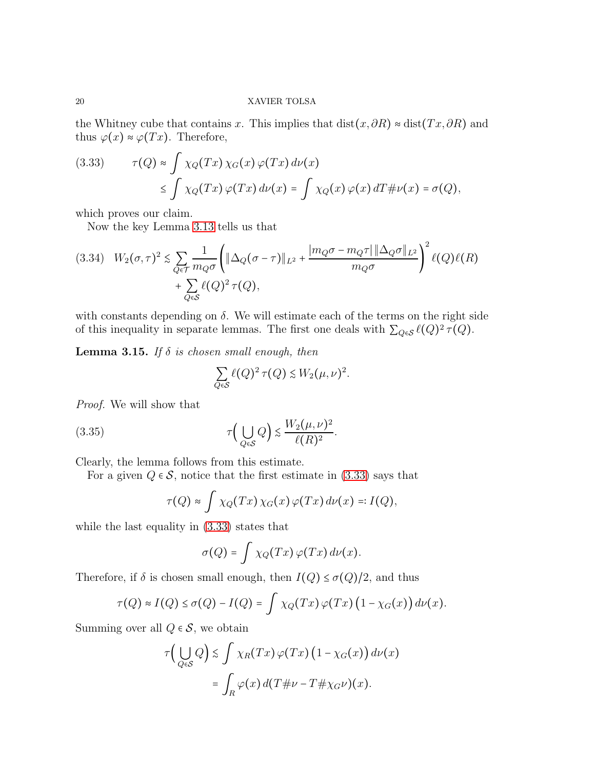the Whitney cube that contains x. This implies that  $dist(x, \partial R) \approx dist(Tx, \partial R)$  and thus  $\varphi(x) \approx \varphi(Tx)$ . Therefore,

<span id="page-19-0"></span>(3.33) 
$$
\tau(Q) \approx \int \chi_Q(Tx) \chi_G(x) \varphi(Tx) d\nu(x) \leq \int \chi_Q(Tx) \varphi(Tx) d\nu(x) = \int \chi_Q(x) \varphi(x) dT \# \nu(x) = \sigma(Q),
$$

which proves our claim.

Now the key Lemma [3.13](#page-14-1) tells us that

<span id="page-19-2"></span>
$$
(3.34) \quad W_2(\sigma,\tau)^2 \lesssim \sum_{Q \in \mathcal{T}} \frac{1}{m_Q \sigma} \left( \|\Delta_Q(\sigma - \tau)\|_{L^2} + \frac{|m_Q \sigma - m_Q \tau| \|\Delta_Q \sigma\|_{L^2}}{m_Q \sigma} \right)^2 \ell(Q) \ell(R) + \sum_{Q \in \mathcal{S}} \ell(Q)^2 \tau(Q),
$$

with constants depending on  $\delta$ . We will estimate each of the terms on the right side of this inequality in separate lemmas. The first one deals with  $\sum_{Q \in \mathcal{S}} \ell(Q)^2 \tau(Q)$ .

Lemma 3.15. *If* δ *is chosen small enough, then*

<span id="page-19-1"></span>
$$
\sum_{Q \in \mathcal{S}} \ell(Q)^2 \tau(Q) \lesssim W_2(\mu, \nu)^2.
$$

*Proof.* We will show that

(3.35) 
$$
\tau\Big(\bigcup_{Q\in\mathcal{S}}Q\Big)\lesssim \frac{W_2(\mu,\nu)^2}{\ell(R)^2}.
$$

Clearly, the lemma follows from this estimate.

For a given  $Q \in \mathcal{S}$ , notice that the first estimate in [\(3.33\)](#page-19-0) says that

$$
\tau(Q) \approx \int \chi_Q(Tx) \chi_G(x) \varphi(Tx) d\nu(x) =: I(Q),
$$

while the last equality in [\(3.33\)](#page-19-0) states that

$$
\sigma(Q) = \int \chi_Q(Tx) \, \varphi(Tx) \, d\nu(x).
$$

Therefore, if  $\delta$  is chosen small enough, then  $I(Q) \leq \sigma(Q)/2$ , and thus

$$
\tau(Q) \approx I(Q) \le \sigma(Q) - I(Q) = \int \chi_Q(Tx) \, \varphi(Tx) \left(1 - \chi_G(x)\right) d\nu(x).
$$

Summing over all  $Q \in \mathcal{S}$ , we obtain

$$
\tau\Big(\bigcup_{Q\in\mathcal{S}}Q\Big) \lesssim \int \chi_R(Tx)\,\varphi(Tx)\,\big(1-\chi_G(x)\big)\,d\nu(x)
$$

$$
= \int_R \varphi(x)\,d(T\#\nu - T\#\chi_G\nu)(x).
$$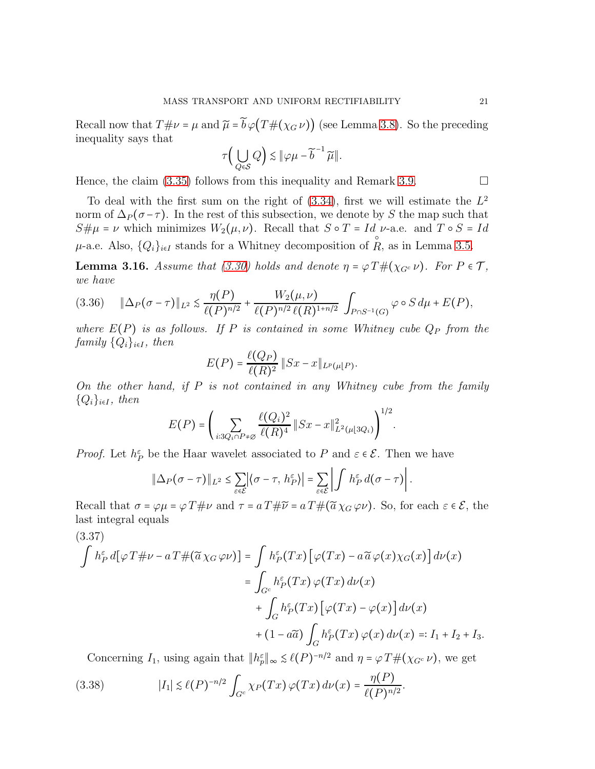Recall now that  $T\#\nu = \mu$  and  $\tilde{\mu} = \tilde{b}\varphi(T\#(\chi_G \nu))$  (see Lemma [3.8\)](#page-11-4). So the preceding inequality says that

$$
\tau\Big(\bigcup_{Q\in\mathcal{S}}Q\Big)\lesssim\|\varphi\mu-\widetilde b^{-1}\,\widetilde\mu\|.
$$

Hence, the claim [\(3.35\)](#page-19-1) follows from this inequality and Remark [3.9.](#page-12-3)  $\Box$ 

To deal with the first sum on the right of  $(3.34)$ , first we will estimate the  $L^2$ norm of  $\Delta_P(\sigma-\tau)$ . In the rest of this subsection, we denote by S the map such that  $S\#\mu = \nu$  which minimizes  $W_2(\mu, \nu)$ . Recall that  $S \circ T = Id \nu$ -a.e. and  $T \circ S = Id$  $\mu$ -a.e. Also,  $\{Q_i\}_{i\in I}$  stands for a Whitney decomposition of R, as in Lemma [3.5.](#page-8-1)

<span id="page-20-1"></span>**Lemma 3.16.** *Assume that* [\(3.30\)](#page-17-1) *holds and denote*  $\eta = \varphi T \# (\chi_{G^c} \nu)$ *. For*  $P \in \mathcal{T}$ *, we have*

<span id="page-20-2"></span>
$$
(3.36) \quad \|\Delta_P(\sigma-\tau)\|_{L^2} \leq \frac{\eta(P)}{\ell(P)^{n/2}} + \frac{W_2(\mu,\nu)}{\ell(P)^{n/2} \ell(R)^{1+n/2}} \int_{P \cap S^{-1}(G)} \varphi \circ S d\mu + E(P),
$$

*where*  $E(P)$  *is as follows.* If P *is contained in some Whitney cube*  $Q_P$  *from the family*  $\{Q_i\}_{i\in I}$ *, then* 

$$
E(P) = \frac{\ell(Q_P)}{\ell(R)^2} ||Sx - x||_{L^p(\mu\|P)}.
$$

*On the other hand, if* P *is not contained in any Whitney cube from the family*  $\{Q_i\}_{i\in I}$ *, then*  $1/2$ 

$$
E(P) = \left(\sum_{i:3Q_i \cap P \neq \emptyset} \frac{\ell(Q_i)^2}{\ell(R)^4} \|Sx - x\|_{L^2(\mu[3Q_i)}^2\right)^{1/2}.
$$

*Proof.* Let  $h_P^{\varepsilon}$  be the Haar wavelet associated to P and  $\varepsilon \in \mathcal{E}$ . Then we have

$$
\|\Delta_P(\sigma-\tau)\|_{L^2}\leq \sum_{\varepsilon\in\mathcal{E}}|\langle \sigma-\tau,\,h_P^{\varepsilon}\rangle|=\sum_{\varepsilon\in\mathcal{E}}\left|\int\,h_P^{\varepsilon}\,d(\sigma-\tau)\right|.
$$

Recall that  $\sigma = \varphi \mu = \varphi T \# \nu$  and  $\tau = a T \# \widetilde{\nu} = a T \# (\widetilde{a} \chi_G \varphi \nu)$ . So, for each  $\varepsilon \in \mathcal{E}$ , the last integral equals

<span id="page-20-0"></span>(3.37)  
\n
$$
\int h_P^{\varepsilon} d[\varphi T \# \nu - aT \# (\widetilde{a} \chi_G \varphi \nu)] = \int h_P^{\varepsilon} (Tx) [\varphi (Tx) - a\widetilde{a} \varphi(x) \chi_G(x)] d\nu(x)
$$
\n
$$
= \int_{G^c} h_P^{\varepsilon} (Tx) \varphi (Tx) d\nu(x)
$$
\n
$$
+ \int_G h_P^{\varepsilon} (Tx) [\varphi (Tx) - \varphi (x)] d\nu(x)
$$
\n
$$
+ (1 - a\widetilde{a}) \int_G h_P^{\varepsilon} (Tx) \varphi (x) d\nu(x) =: I_1 + I_2 + I_3.
$$

Concerning  $I_1$ , using again that  $||h_p^{\varepsilon}||_{\infty} \leq \ell(P)^{-n/2}$  and  $\eta = \varphi T \#(\chi_{G^c} \nu)$ , we get

(3.38) 
$$
|I_1| \lesssim \ell(P)^{-n/2} \int_{G^c} \chi_P(Tx) \, \varphi(Tx) \, d\nu(x) = \frac{\eta(P)}{\ell(P)^{n/2}}.
$$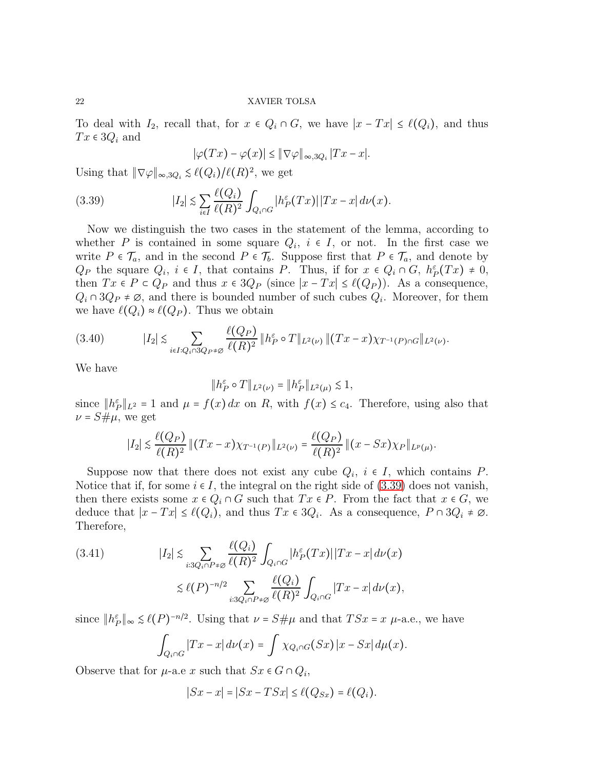To deal with  $I_2$ , recall that, for  $x \in Q_i \cap G$ , we have  $|x - Tx| \leq \ell(Q_i)$ , and thus  $Tx \in 3Q_i$  and

<span id="page-21-0"></span>
$$
|\varphi(Tx) - \varphi(x)| \leq ||\nabla \varphi||_{\infty, 3Q_i} |Tx - x|.
$$

Using that  $\|\nabla \varphi\|_{\infty,3Q_i} \leq \ell(Q_i)/\ell(R)^2$ , we get

(3.39) 
$$
|I_2| \lesssim \sum_{i \in I} \frac{\ell(Q_i)}{\ell(R)^2} \int_{Q_i \cap G} |h_P^{\varepsilon}(Tx)| |Tx - x| d\nu(x).
$$

Now we distinguish the two cases in the statement of the lemma, according to whether P is contained in some square  $Q_i$ ,  $i \in I$ , or not. In the first case we write  $P \in \mathcal{T}_a$ , and in the second  $P \in \mathcal{T}_b$ . Suppose first that  $P \in \mathcal{T}_a$ , and denote by  $Q_P$  the square  $Q_i$ ,  $i \in I$ , that contains P. Thus, if for  $x \in Q_i \cap G$ ,  $h_P^{\varepsilon}(Tx) \neq 0$ , then  $Tx \in P \subset Q_P$  and thus  $x \in 3Q_P$  (since  $|x - Tx| \leq \ell(Q_P)$ ). As a consequence,  $Q_i \cap 3Q_P \neq \emptyset$ , and there is bounded number of such cubes  $Q_i$ . Moreover, for them we have  $\ell(Q_i) \approx \ell(Q_P)$ . Thus we obtain

$$
(3.40) \t|I_2| \lesssim \sum_{i \in I: Q_i \cap 3Q_P \neq \emptyset} \frac{\ell(Q_P)}{\ell(R)^2} \|h_P^{\varepsilon} \circ T\|_{L^2(\nu)} \|(Tx - x)\chi_{T^{-1}(P) \cap G}\|_{L^2(\nu)}.
$$

We have

$$
\|h_P^\varepsilon\circ T\|_{L^2(\nu)}=\|h_P^\varepsilon\|_{L^2(\mu)}\lesssim 1,
$$

since  $||h_P^{\varepsilon}||_{L^2} = 1$  and  $\mu = f(x) dx$  on R, with  $f(x) \leq c_4$ . Therefore, using also that  $\nu = S \# \mu$ , we get

$$
|I_2| \lesssim \frac{\ell(Q_P)}{\ell(R)^2} ||(Tx-x)\chi_{T^{-1}(P)}||_{L^2(\nu)} = \frac{\ell(Q_P)}{\ell(R)^2} ||(x-Sx)\chi_P||_{L^p(\mu)}.
$$

Suppose now that there does not exist any cube  $Q_i$ ,  $i \in I$ , which contains  $P$ . Notice that if, for some  $i \in I$ , the integral on the right side of [\(3.39\)](#page-21-0) does not vanish, then there exists some  $x \in Q_i \cap G$  such that  $Tx \in P$ . From the fact that  $x \in G$ , we deduce that  $|x - Tx| \le \ell(Q_i)$ , and thus  $Tx \in 3Q_i$ . As a consequence,  $P \cap 3Q_i \neq \emptyset$ . Therefore,

<span id="page-21-1"></span>(3.41) 
$$
|I_2| \lesssim \sum_{i:3Q_i \cap P \neq \emptyset} \frac{\ell(Q_i)}{\ell(R)^2} \int_{Q_i \cap G} |h_P^{\varepsilon}(Tx)| |Tx - x| d\nu(x)
$$

$$
\lesssim \ell(P)^{-n/2} \sum_{i:3Q_i \cap P \neq \emptyset} \frac{\ell(Q_i)}{\ell(R)^2} \int_{Q_i \cap G} |Tx - x| d\nu(x),
$$

since  $||h_P^{\varepsilon}||_{\infty} \leq \ell(P)^{-n/2}$ . Using that  $\nu = S \# \mu$  and that  $TSx = x \mu$ -a.e., we have

$$
\int_{Q_i \cap G} |Tx - x| d\nu(x) = \int \chi_{Q_i \cap G}(Sx) |x - Sx| d\mu(x).
$$

Observe that for  $\mu$ -a.e x such that  $S_x \in G \cap Q_i$ ,

$$
|Sx - x| = |Sx - TSx| \le \ell(Q_{Sx}) = \ell(Q_i).
$$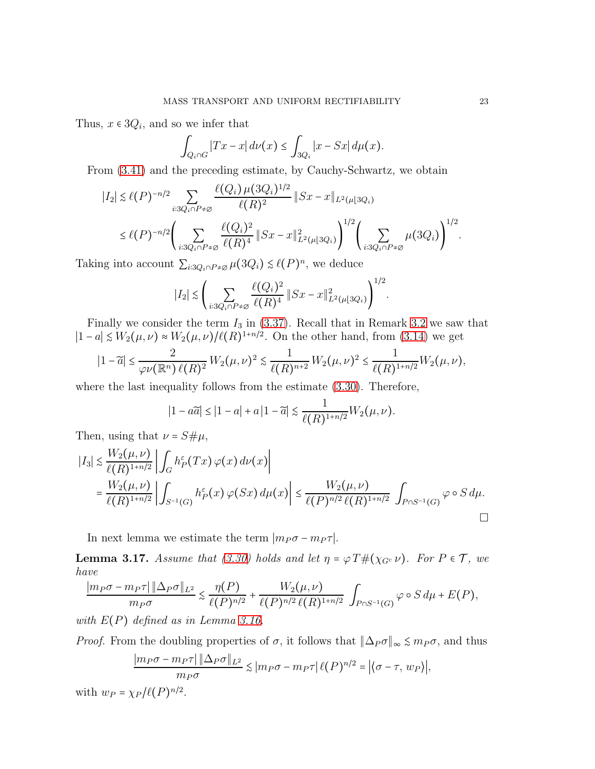Thus,  $x \in 3Q_i$ , and so we infer that

$$
\int_{Q_i \cap G} |Tx - x| \, d\nu(x) \le \int_{3Q_i} |x - Sx| \, d\mu(x).
$$

From [\(3.41\)](#page-21-1) and the preceding estimate, by Cauchy-Schwartz, we obtain

$$
|I_2| \lesssim \ell(P)^{-n/2} \sum_{i:3Q_i \cap P \neq \emptyset} \frac{\ell(Q_i) \mu(3Q_i)^{1/2}}{\ell(R)^2} \|Sx - x\|_{L^2(\mu|3Q_i)} \leq \ell(P)^{-n/2} \Biggl( \sum_{i:3Q_i \cap P \neq \emptyset} \frac{\ell(Q_i)^2}{\ell(R)^4} \|Sx - x\|_{L^2(\mu|3Q_i)}^2 \Biggr)^{1/2} \Biggl( \sum_{i:3Q_i \cap P \neq \emptyset} \mu(3Q_i) \Biggr)^{1/2}.
$$

Taking into account  $\sum_{i:3Q_i \cap P \neq \emptyset} \mu(3Q_i) \leq \ell(P)^n$ , we deduce

$$
|I_2| \lesssim \left( \sum_{i:3Q_i \cap P \neq \varnothing} \frac{\ell(Q_i)^2}{\ell(R)^4} \, \| Sx - x \|^2_{L^2(\mu[3Q_i)} \right)^{1/2}.
$$

Finally we consider the term  $I_3$  in [\(3.37\)](#page-20-0). Recall that in Remark [3.2](#page-7-2) we saw that  $|1-a| \leq W_2(\mu, \nu) \approx W_2(\mu, \nu) / \ell(R)^{1+n/2}$ . On the other hand, from [\(3.14\)](#page-10-2) we get

$$
|1-\widetilde{a}|\leq \frac{2}{\varphi\nu(\mathbb{R}^n)\ell(R)^2}W_2(\mu,\nu)^2\lesssim \frac{1}{\ell(R)^{n+2}}W_2(\mu,\nu)^2\leq \frac{1}{\ell(R)^{1+n/2}}W_2(\mu,\nu),
$$

where the last inequality follows from the estimate [\(3.30\)](#page-17-1). Therefore,

$$
|1 - a\widetilde{a}| \le |1 - a| + a\left|1 - \widetilde{a}\right| \lesssim \frac{1}{\ell(R)^{1 + n/2}} W_2(\mu, \nu).
$$

Then, using that  $\nu = S \# \mu$ ,

$$
|I_3| \lesssim \frac{W_2(\mu, \nu)}{\ell(R)^{1+n/2}} \left| \int_G h_P^{\varepsilon}(Tx) \, \varphi(x) \, d\nu(x) \right|
$$
  
= 
$$
\frac{W_2(\mu, \nu)}{\ell(R)^{1+n/2}} \left| \int_{S^{-1}(G)} h_P^{\varepsilon}(x) \, \varphi(Sx) \, d\mu(x) \right| \le \frac{W_2(\mu, \nu)}{\ell(P)^{n/2} \, \ell(R)^{1+n/2}} \int_{P \cap S^{-1}(G)} \varphi \circ S \, d\mu.
$$

In next lemma we estimate the term  $|m_P \sigma - m_P \tau|$ .

<span id="page-22-0"></span>**Lemma 3.17.** *Assume that* [\(3.30\)](#page-17-1) *holds and let*  $\eta = \varphi T \# (\chi_{G^c} \nu)$ *. For*  $P \in \mathcal{T}$ *, we have*

$$
\frac{|m_P\sigma - m_P\tau| \|\Delta_P\sigma\|_{L^2}}{m_P\sigma} \lesssim \frac{\eta(P)}{\ell(P)^{n/2}} + \frac{W_2(\mu,\nu)}{\ell(P)^{n/2} \ell(R)^{1+n/2}} \int_{P\cap S^{-1}(G)} \varphi \circ S d\mu + E(P),
$$

*with* E(P) *defined as in Lemma [3.16.](#page-20-1)*

*Proof.* From the doubling properties of  $\sigma$ , it follows that  $\|\Delta_P \sigma\|_{\infty} \leq m_P \sigma$ , and thus

$$
\frac{|m_P\sigma - m_P\tau| \|\Delta_P\sigma\|_{L^2}}{m_P\sigma} \lesssim |m_P\sigma - m_P\tau| \ell(P)^{n/2} = |\langle \sigma - \tau, w_P \rangle|,
$$

with  $w_P = \chi_P / \ell(P)^{n/2}$ .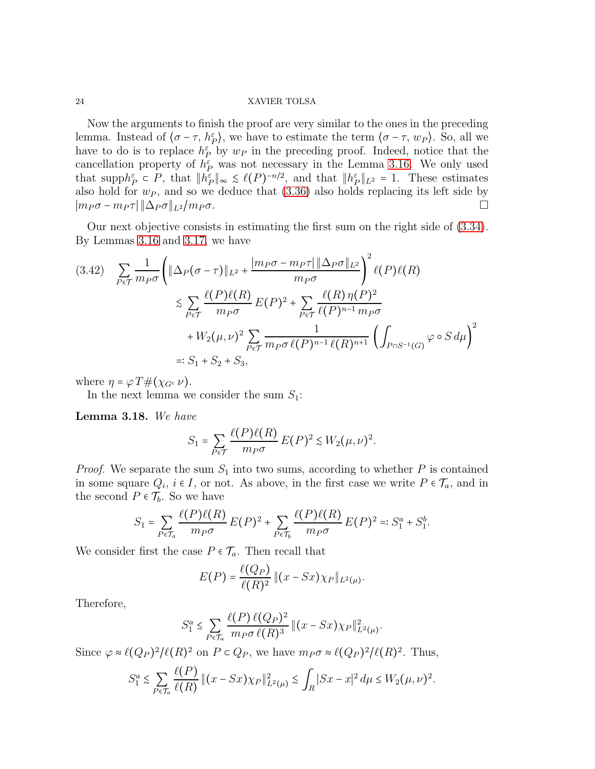Now the arguments to finish the proof are very similar to the ones in the preceding lemma. Instead of  $\langle \sigma - \tau, h_P^{\varepsilon} \rangle$ , we have to estimate the term  $\langle \sigma - \tau, w_P \rangle$ . So, all we have to do is to replace  $h_P^{\varepsilon}$  by  $w_P$  in the preceding proof. Indeed, notice that the cancellation property of  $h_P^{\varepsilon}$  was not necessary in the Lemma [3.16.](#page-20-1) We only used that supp $h_P^{\varepsilon} \subset P$ , that  $||h_P^{\varepsilon}||_{\infty} \leq \ell(P)^{-n/2}$ , and that  $||h_P^{\varepsilon}||_{L^2} = 1$ . These estimates also hold for  $w_P$ , and so we deduce that  $(3.36)$  also holds replacing its left side by  $|m_P \sigma - m_P \tau| \|\Delta_P \sigma\|_{L^2}/m_P \sigma.$ 

Our next objective consists in estimating the first sum on the right side of [\(3.34\)](#page-19-2). By Lemmas [3.16](#page-20-1) and [3.17,](#page-22-0) we have

<span id="page-23-0"></span>
$$
(3.42) \sum_{P \in \mathcal{T}} \frac{1}{m_P \sigma} \left( \|\Delta_P(\sigma - \tau)\|_{L^2} + \frac{|m_P \sigma - m_P \tau| \|\Delta_P \sigma\|_{L^2}}{m_P \sigma} \right)^2 \ell(P) \ell(R)
$$
  

$$
\lesssim \sum_{P \in \mathcal{T}} \frac{\ell(P) \ell(R)}{m_P \sigma} E(P)^2 + \sum_{P \in \mathcal{T}} \frac{\ell(R) \eta(P)^2}{\ell(P)^{n-1} m_P \sigma}
$$
  

$$
+ W_2(\mu, \nu)^2 \sum_{P \in \mathcal{T}} \frac{1}{m_P \sigma \ell(P)^{n-1} \ell(R)^{n+1}} \left( \int_{P \cap S^{-1}(G)} \varphi \circ S d\mu \right)^2
$$
  
=:  $S_1 + S_2 + S_3$ ,

where  $\eta = \varphi T \#(\chi_{G^c} \nu)$ .

In the next lemma we consider the sum  $S_1$ :

Lemma 3.18. *We have*

$$
S_1 = \sum_{P \in \mathcal{T}} \frac{\ell(P)\ell(R)}{m_P \sigma} E(P)^2 \lesssim W_2(\mu, \nu)^2.
$$

*Proof.* We separate the sum  $S_1$  into two sums, according to whether P is contained in some square  $Q_i$ ,  $i \in I$ , or not. As above, in the first case we write  $P \in \mathcal{T}_a$ , and in the second  $P \in \mathcal{T}_b$ . So we have

$$
S_1 = \sum_{P \in \mathcal{T}_a} \frac{\ell(P)\ell(R)}{m_P \sigma} E(P)^2 + \sum_{P \in \mathcal{T}_b} \frac{\ell(P)\ell(R)}{m_P \sigma} E(P)^2 =: S_1^a + S_1^b.
$$

We consider first the case  $P \in \mathcal{T}_a$ . Then recall that

$$
E(P) = \frac{\ell(Q_P)}{\ell(R)^2} ||(x - Sx)\chi_P||_{L^2(\mu)}.
$$

Therefore,

$$
S_1^a \le \sum_{P \in \mathcal{T}_a} \frac{\ell(P) \ell(Q_P)^2}{m_P \sigma \ell(R)^3} \left( |x - Sx \rangle \chi_P \right)_{L^2(\mu)}^2.
$$

Since  $\varphi \approx \ell(Q_P)^2/\ell(R)^2$  on  $P \subset Q_P$ , we have  $m_P \sigma \approx \ell(Q_P)^2/\ell(R)^2$ . Thus,

$$
S_1^a \lesssim \sum_{P \in \mathcal{T}_a} \frac{\ell(P)}{\ell(R)} \, \| (x - Sx) \chi_P \|_{L^2(\mu)}^2 \lesssim \int_R |Sx - x|^2 \, d\mu \le W_2(\mu, \nu)^2.
$$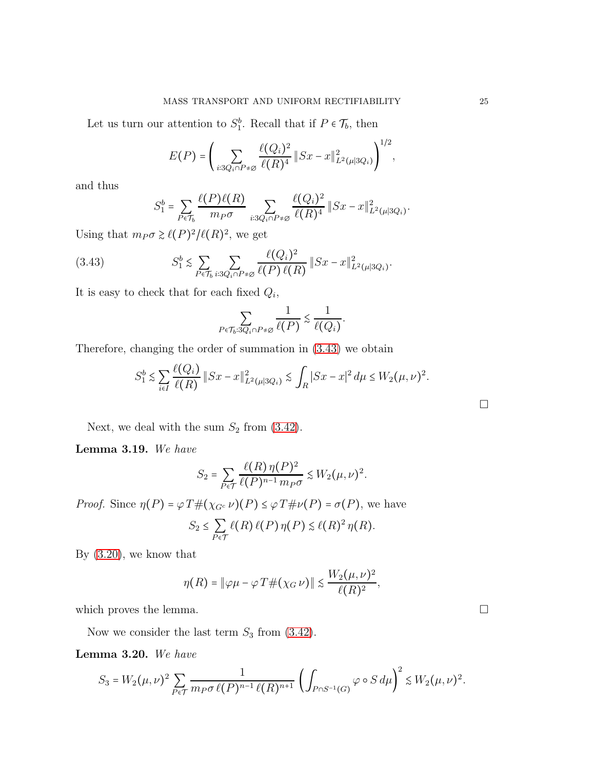Let us turn our attention to  $S_1^b$ . Recall that if  $P \in \mathcal{T}_b$ , then

$$
E(P) = \left(\sum_{i:3Q_i \cap P \neq \emptyset} \frac{\ell(Q_i)^2}{\ell(R)^4} \|Sx - x\|_{L^2(\mu|3Q_i)}^2\right)^{1/2},
$$

and thus

$$
S_1^b = \sum_{P \in \mathcal{T}_b} \frac{\ell(P)\ell(R)}{m_P \sigma} \sum_{i:3Q_i \cap P \neq \emptyset} \frac{\ell(Q_i)^2}{\ell(R)^4} \|Sx - x\|_{L^2(\mu|3Q_i)}^2.
$$

Using that  $m_P \sigma \ge \ell(P)^2/\ell(R)^2$ , we get

<span id="page-24-0"></span>(3.43) 
$$
S_1^b \lesssim \sum_{P \in \mathcal{T}_b} \sum_{i:3Q_i \cap P \neq \emptyset} \frac{\ell(Q_i)^2}{\ell(P) \ell(R)} \|Sx - x\|_{L^2(\mu|3Q_i)}^2.
$$

It is easy to check that for each fixed  $Q_i$ ,

$$
\sum_{P \in \mathcal{T}_b: 3Q_i \cap P \neq \varnothing} \frac{1}{\ell(P)} \lesssim \frac{1}{\ell(Q_i)}.
$$

Therefore, changing the order of summation in [\(3.43\)](#page-24-0) we obtain

$$
S_1^b \lesssim \sum_{i \in I} \frac{\ell(Q_i)}{\ell(R)} \|Sx - x\|_{L^2(\mu|3Q_i)}^2 \lesssim \int_R |Sx - x|^2 d\mu \le W_2(\mu, \nu)^2.
$$

Next, we deal with the sum  $S_2$  from [\(3.42\)](#page-23-0).

Lemma 3.19. *We have*

$$
S_2 = \sum_{P \in \mathcal{T}} \frac{\ell(R) \eta(P)^2}{\ell(P)^{n-1} m_P \sigma} \lesssim W_2(\mu, \nu)^2.
$$

*Proof.* Since  $\eta(P) = \varphi T \#(\chi_{G^c} \nu)(P) \leq \varphi T \# \nu(P) = \sigma(P)$ , we have

$$
S_2 \leq \sum_{P \in \mathcal{T}} \ell(R) \ell(P) \eta(P) \lesssim \ell(R)^2 \eta(R).
$$

By [\(3.20\)](#page-12-0), we know that

$$
\eta(R) = \|\varphi\mu - \varphi T\#(\chi_G \nu)\| \le \frac{W_2(\mu, \nu)^2}{\ell(R)^2},
$$

which proves the lemma.  $\Box$ 

Now we consider the last term  $S_3$  from [\(3.42\)](#page-23-0).

Lemma 3.20. *We have*

$$
S_3=W_2(\mu,\nu)^2\sum_{P\in\mathcal{T}}\frac{1}{m_P\sigma\,\ell(P)^{n-1}\,\ell(R)^{n+1}}\left(\int_{P\cap S^{-1}(G)}\varphi\circ S\,d\mu\right)^2\lesssim W_2(\mu,\nu)^2.
$$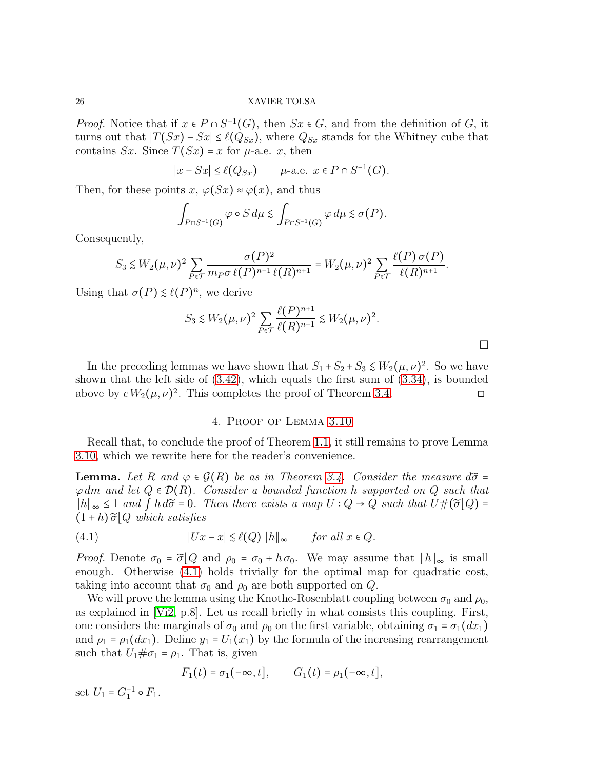*Proof.* Notice that if  $x \in P \cap S^{-1}(G)$ , then  $Sx \in G$ , and from the definition of G, it turns out that  $|T(Sx) - Sx| \leq \ell(Q_{Sx})$ , where  $Q_{Sx}$  stands for the Whitney cube that contains Sx. Since  $T(Sx) = x$  for  $\mu$ -a.e. x, then

$$
|x - Sx| \le \ell(Q_{Sx}) \qquad \mu\text{-a.e. } x \in P \cap S^{-1}(G).
$$

Then, for these points x,  $\varphi(Sx) \approx \varphi(x)$ , and thus

$$
\int_{P \cap S^{-1}(G)} \varphi \circ S d\mu \lesssim \int_{P \cap S^{-1}(G)} \varphi d\mu \lesssim \sigma(P).
$$

Consequently,

$$
S_3 \lesssim W_2(\mu,\nu)^2 \sum_{P \in \mathcal{T}} \frac{\sigma(P)^2}{m_P \sigma \,\ell(P)^{n-1} \,\ell(R)^{n+1}} = W_2(\mu,\nu)^2 \sum_{P \in \mathcal{T}} \frac{\ell(P) \,\sigma(P)}{\ell(R)^{n+1}}.
$$

Using that  $\sigma(P) \leq \ell(P)^n$ , we derive

$$
S_3 \lesssim W_2(\mu,\nu)^2 \sum_{P \in \mathcal{T}} \frac{\ell(P)^{n+1}}{\ell(R)^{n+1}} \lesssim W_2(\mu,\nu)^2.
$$

 $\Box$ 

In the preceding lemmas we have shown that  $S_1 + S_2 + S_3 \leq W_2(\mu, \nu)^2$ . So we have shown that the left side of [\(3.42\)](#page-23-0), which equals the first sum of [\(3.34\)](#page-19-2), is bounded above by  $c W_2(\mu, \nu)^2$ . This completes the proof of Theorem [3.4.](#page-7-1)

# 4. Proof of Lemma [3.10](#page-12-1)

<span id="page-25-0"></span>Recall that, to conclude the proof of Theorem [1.1,](#page-3-2) it still remains to prove Lemma [3.10,](#page-12-1) which we rewrite here for the reader's convenience.

**Lemma.** Let R and  $\varphi \in \mathcal{G}(R)$  be as in Theorem [3.4.](#page-7-1) Consider the measure  $d\tilde{\sigma} =$ ϕ dm *and let* Q ∈ D(R)*. Consider a bounded function* h *supported on* Q *such that*  $||h||_{\infty}$  ≤ 1 *and*  $\int h d\tilde{\sigma} = 0$ . Then there exists a map  $U : Q \to Q$  such that  $U#(\tilde{\sigma} | Q) =$  $(1+h)\,\widetilde{\sigma}|Q$  which satisfies

<span id="page-25-1"></span>(4.1) 
$$
|Ux - x| \leq \ell(Q) ||h||_{\infty} \quad \text{for all } x \in Q.
$$

*Proof.* Denote  $\sigma_0 = \tilde{\sigma} \big[ Q$  and  $\rho_0 = \sigma_0 + h \sigma_0$ . We may assume that  $||h||_{\infty}$  is small enough. Otherwise [\(4.1\)](#page-25-1) holds trivially for the optimal map for quadratic cost, taking into account that  $\sigma_0$  and  $\rho_0$  are both supported on Q.

We will prove the lemma using the Knothe-Rosenblatt coupling between  $\sigma_0$  and  $\rho_0$ , as explained in [\[Vi2,](#page-50-15) p.8]. Let us recall briefly in what consists this coupling. First, one considers the marginals of  $\sigma_0$  and  $\rho_0$  on the first variable, obtaining  $\sigma_1 = \sigma_1(dx_1)$ and  $\rho_1 = \rho_1(dx_1)$ . Define  $y_1 = U_1(x_1)$  by the formula of the increasing rearrangement such that  $U_1 \# \sigma_1 = \rho_1$ . That is, given

$$
F_1(t) = \sigma_1(-\infty, t], \qquad G_1(t) = \rho_1(-\infty, t],
$$

set  $U_1 = G_1^{-1} \circ F_1$ .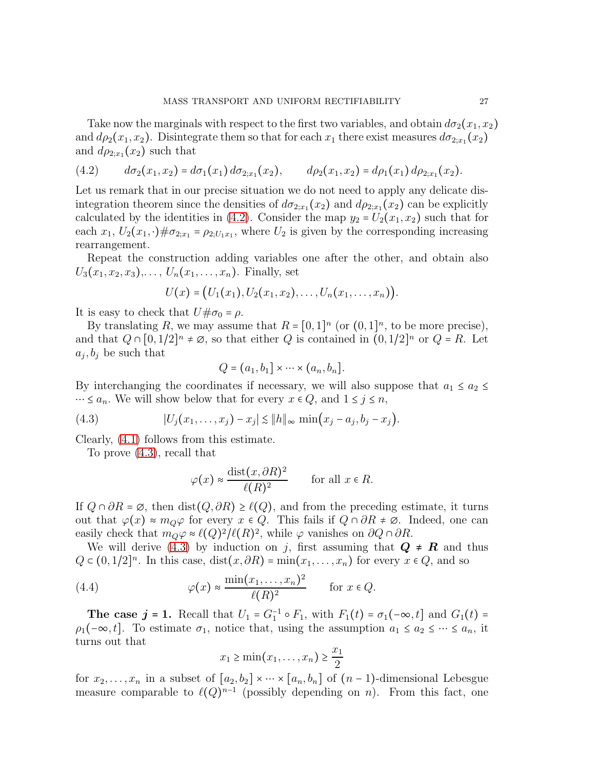Take now the marginals with respect to the first two variables, and obtain  $d\sigma_2(x_1, x_2)$ and  $d\rho_2(x_1, x_2)$ . Disintegrate them so that for each  $x_1$  there exist measures  $d\sigma_{2;x_1}(x_2)$ and  $d\rho_{2;x_1}(x_2)$  such that

<span id="page-26-0"></span>
$$
(4.2) \t d\sigma_2(x_1,x_2) = d\sigma_1(x_1) d\sigma_{2;x_1}(x_2), \t d\rho_2(x_1,x_2) = d\rho_1(x_1) d\rho_{2;x_1}(x_2).
$$

Let us remark that in our precise situation we do not need to apply any delicate disintegration theorem since the densities of  $d\sigma_{2;x_1}(x_2)$  and  $d\rho_{2;x_1}(x_2)$  can be explicitly calculated by the identities in [\(4.2\)](#page-26-0). Consider the map  $y_2 = U_2(x_1, x_2)$  such that for each  $x_1, U_2(x_1, \cdot) \# \sigma_{2; x_1} = \rho_{2; U_1 x_1}$ , where  $U_2$  is given by the corresponding increasing rearrangement.

Repeat the construction adding variables one after the other, and obtain also  $U_3(x_1, x_2, x_3), \ldots, U_n(x_1, \ldots, x_n)$ . Finally, set

$$
U(x) = (U_1(x_1), U_2(x_1, x_2), \ldots, U_n(x_1, \ldots, x_n)).
$$

It is easy to check that  $U\#\sigma_0 = \rho$ .

By translating R, we may assume that  $R = [0,1]^n$  (or  $(0,1]^n$ , to be more precise), and that  $Q \cap [0,1/2]^n \neq \emptyset$ , so that either  $Q$  is contained in  $(0,1/2]^n$  or  $Q = R$ . Let  $a_j, b_j$  be such that

$$
Q = (a_1, b_1] \times \cdots \times (a_n, b_n].
$$

By interchanging the coordinates if necessary, we will also suppose that  $a_1 \le a_2 \le$  $\cdots$  ≤  $a_n$ . We will show below that for every  $x \in Q$ , and  $1 \le j \le n$ ,

(4.3) 
$$
|U_j(x_1,...,x_j)-x_j| \lesssim ||h||_{\infty} \min(x_j-a_j,b_j-x_j).
$$

Clearly, [\(4.1\)](#page-25-1) follows from this estimate.

To prove [\(4.3\)](#page-26-1), recall that

<span id="page-26-1"></span>
$$
\varphi(x) \approx \frac{\text{dist}(x, \partial R)^2}{\ell(R)^2}
$$
 for all  $x \in R$ .

If  $Q \cap \partial R = \emptyset$ , then dist $(Q, \partial R) \geq \ell(Q)$ , and from the preceding estimate, it turns out that  $\varphi(x) \approx m_Q \varphi$  for every  $x \in Q$ . This fails if  $Q \cap \partial R \neq \emptyset$ . Indeed, one can easily check that  $m_Q \varphi \approx \ell(Q)^2/\ell(R)^2$ , while  $\varphi$  vanishes on  $\partial Q \cap \partial R$ .

We will derive [\(4.3\)](#page-26-1) by induction on j, first assuming that  $Q \neq R$  and thus  $Q \subset (0, 1/2]^n$ . In this case, dist $(x, \partial R) = \min(x_1, \dots, x_n)$  for every  $x \in Q$ , and so

(4.4) 
$$
\varphi(x) \approx \frac{\min(x_1, \dots, x_n)^2}{\ell(R)^2} \quad \text{for } x \in Q.
$$

The case  $j = 1$ . Recall that  $U_1 = G_1^{-1} \circ F_1$ , with  $F_1(t) = \sigma_1(-\infty, t]$  and  $G_1(t) =$  $\rho_1(-\infty, t]$ . To estimate  $\sigma_1$ , notice that, using the assumption  $a_1 \le a_2 \le \cdots \le a_n$ , it turns out that

$$
x_1 \ge \min(x_1, \dots, x_n) \ge \frac{x_1}{2}
$$

for  $x_2, \ldots, x_n$  in a subset of  $[a_2, b_2] \times \cdots \times [a_n, b_n]$  of  $(n-1)$ -dimensional Lebesgue measure comparable to  $\ell(Q)^{n-1}$  (possibly depending on n). From this fact, one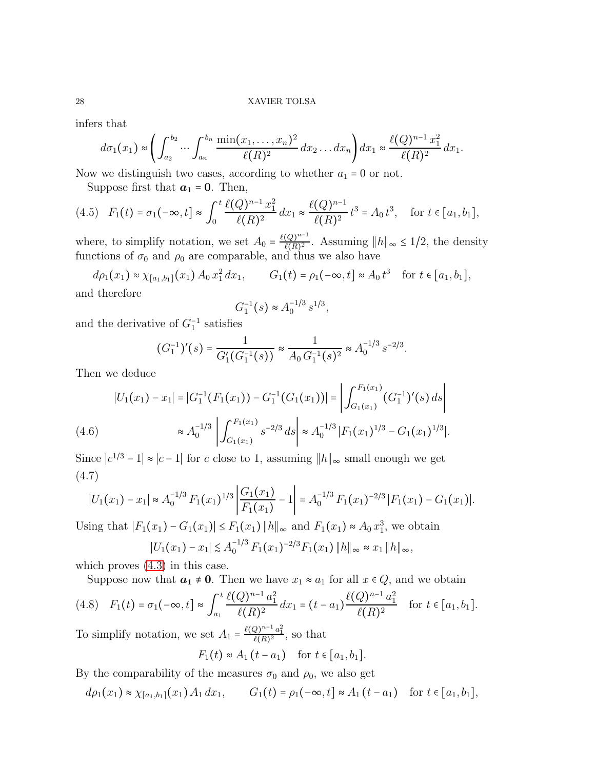infers that

$$
d\sigma_1(x_1) \approx \left( \int_{a_2}^{b_2} \cdots \int_{a_n}^{b_n} \frac{\min(x_1, \ldots, x_n)^2}{\ell(R)^2} dx_2 \ldots dx_n \right) dx_1 \approx \frac{\ell(Q)^{n-1} x_1^2}{\ell(R)^2} dx_1.
$$

Now we distinguish two cases, according to whether  $a_1 = 0$  or not.

<span id="page-27-1"></span>Suppose first that  $a_1 = 0$ . Then,

$$
(4.5) \quad F_1(t) = \sigma_1(-\infty, t] \approx \int_0^t \frac{\ell(Q)^{n-1} x_1^2}{\ell(R)^2} dx_1 \approx \frac{\ell(Q)^{n-1}}{\ell(R)^2} t^3 = A_0 t^3, \quad \text{for } t \in [a_1, b_1],
$$

where, to simplify notation, we set  $A_0 = \frac{\ell(Q)^{n-1}}{\ell(R)^2}$  $\frac{(Q)^{n-1}}{\ell(R)^2}$ . Assuming  $||h||_{\infty} \leq 1/2$ , the density functions of  $\sigma_0$  and  $\rho_0$  are comparable, and thus we also have

 $d\rho_1(x_1) \approx \chi_{[a_1,b_1]}(x_1) A_0 x_1^2 dx_1, \qquad G_1(t) = \rho_1(-\infty, t] \approx A_0 t^3 \quad \text{for } t \in [a_1, b_1],$ and therefore

$$
G_1^{-1}(s) \approx A_0^{-1/3} s^{1/3},
$$

and the derivative of  $G_1^{-1}$  satisfies

$$
(G_1^{-1})'(s) = \frac{1}{G_1'(G_1^{-1}(s))} \approx \frac{1}{A_0 G_1^{-1}(s)^2} \approx A_0^{-1/3} s^{-2/3}.
$$

Then we deduce

$$
|U_1(x_1) - x_1| = |G_1^{-1}(F_1(x_1)) - G_1^{-1}(G_1(x_1))| = \left| \int_{G_1(x_1)}^{F_1(x_1)} (G_1^{-1})'(s) ds \right|
$$
  
(4.6) 
$$
\approx A_0^{-1/3} \left| \int_{G_1(x_1)}^{F_1(x_1)} s^{-2/3} ds \right| \approx A_0^{-1/3} |F_1(x_1)^{1/3} - G_1(x_1)^{1/3}|.
$$

<span id="page-27-2"></span><span id="page-27-0"></span>Since  $|c^{1/3} - 1| \approx |c - 1|$  for c close to 1, assuming  $||h||_{\infty}$  small enough we get (4.7)

$$
|U_1(x_1)-x_1| \approx A_0^{-1/3} F_1(x_1)^{1/3} \left| \frac{G_1(x_1)}{F_1(x_1)} - 1 \right| = A_0^{-1/3} F_1(x_1)^{-2/3} |F_1(x_1)-G_1(x_1)|.
$$

Using that  $|F_1(x_1) - G_1(x_1)| \le F_1(x_1) ||h||_{\infty}$  and  $F_1(x_1) \approx A_0 x_1^3$ , we obtain  $|U_1(x_1) - x_1|$   $\leq A_0^{-1/3} F_1(x_1)^{-2/3} F_1(x_1) ||h||_{\infty} \approx x_1 ||h||_{\infty}$ ,

which proves [\(4.3\)](#page-26-1) in this case.

<span id="page-27-3"></span>Suppose now that  $a_1 \neq 0$ . Then we have  $x_1 \approx a_1$  for all  $x \in Q$ , and we obtain

$$
(4.8) \quad F_1(t) = \sigma_1(-\infty, t] \approx \int_{a_1}^t \frac{\ell(Q)^{n-1} a_1^2}{\ell(R)^2} dx_1 = (t - a_1) \frac{\ell(Q)^{n-1} a_1^2}{\ell(R)^2} \quad \text{for } t \in [a_1, b_1].
$$

To simplify notation, we set  $A_1 = \frac{\ell(Q)^{n-1} a_1^2}{\ell(R)^2}$ , so that

$$
F_1(t) \approx A_1(t - a_1) \quad \text{for } t \in [a_1, b_1].
$$

By the comparability of the measures  $\sigma_0$  and  $\rho_0$ , we also get

$$
d\rho_1(x_1) \approx \chi_{[a_1,b_1]}(x_1) A_1 dx_1
$$
,  $G_1(t) = \rho_1(-\infty, t] \approx A_1(t - a_1)$  for  $t \in [a_1, b_1]$ ,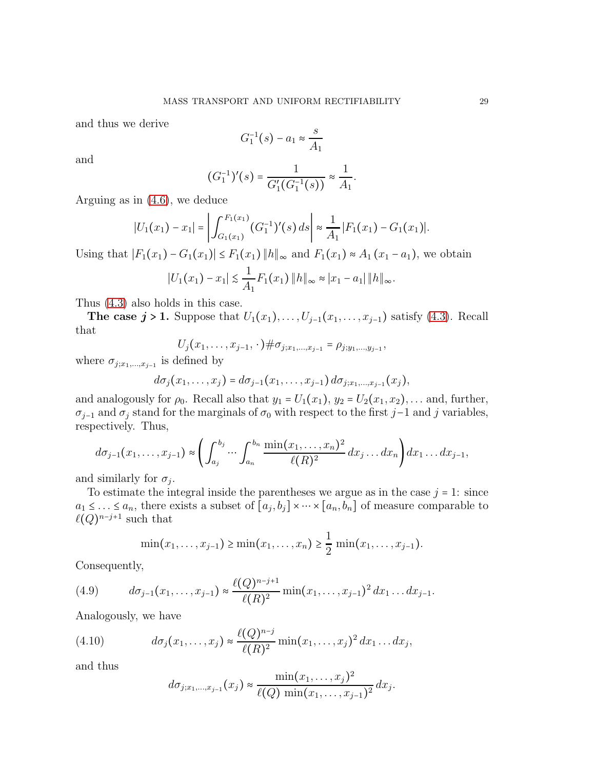and thus we derive

$$
G_1^{-1}(s) - a_1 \approx \frac{s}{A_1}
$$

and

$$
(G_1^{-1})'(s) = \frac{1}{G'_1(G_1^{-1}(s))} \approx \frac{1}{A_1}.
$$

Arguing as in [\(4.6\)](#page-27-0), we deduce

$$
|U_1(x_1)-x_1|=\left|\int_{G_1(x_1)}^{F_1(x_1)}(G_1^{-1})'(s)\,ds\right|\approx \frac{1}{A_1}|F_1(x_1)-G_1(x_1)|.
$$

Using that  $|F_1(x_1) - G_1(x_1)| \le F_1(x_1) ||h||_{\infty}$  and  $F_1(x_1) \approx A_1(x_1 - a_1)$ , we obtain

$$
|U_1(x_1)-x_1|\lesssim \frac{1}{A_1}F_1(x_1)\,||h||_{\infty}\approx |x_1-a_1|\,||h||_{\infty}.
$$

Thus [\(4.3\)](#page-26-1) also holds in this case.

The case  $j > 1$ . Suppose that  $U_1(x_1), \ldots, U_{j-1}(x_1, \ldots, x_{j-1})$  satisfy [\(4.3\)](#page-26-1). Recall that

$$
U_j(x_1,\ldots,x_{j-1},\cdot)\#\sigma_{j;x_1,\ldots,x_{j-1}}=\rho_{j;y_1,\ldots,y_{j-1}},
$$

where  $\sigma_{j;x_1,\ldots,x_{j-1}}$  is defined by

$$
d\sigma_j(x_1,\ldots,x_j) = d\sigma_{j-1}(x_1,\ldots,x_{j-1}) d\sigma_{j;x_1,\ldots,x_{j-1}}(x_j),
$$

and analogously for  $\rho_0$ . Recall also that  $y_1 = U_1(x_1)$ ,  $y_2 = U_2(x_1, x_2)$ , ... and, further,  $\sigma_{j-1}$  and  $\sigma_j$  stand for the marginals of  $\sigma_0$  with respect to the first j–1 and j variables, respectively. Thus,

$$
d\sigma_{j-1}(x_1,\ldots,x_{j-1})\approx\left(\int_{a_j}^{b_j}\cdots\int_{a_n}^{b_n}\frac{\min(x_1,\ldots,x_n)^2}{\ell(R)^2}dx_j\ldots dx_n\right)dx_1\ldots dx_{j-1},
$$

and similarly for  $\sigma_j$ .

To estimate the integral inside the parentheses we argue as in the case  $j = 1$ : since  $a_1 \leq \ldots \leq a_n$ , there exists a subset of  $[a_j, b_j] \times \cdots \times [a_n, b_n]$  of measure comparable to  $\ell(Q)^{n-j+1}$  such that

<span id="page-28-0"></span>
$$
\min(x_1, ..., x_{j-1}) \ge \min(x_1, ..., x_n) \ge \frac{1}{2} \min(x_1, ..., x_{j-1}).
$$

Consequently,

(4.9) 
$$
d\sigma_{j-1}(x_1,\ldots,x_{j-1}) \approx \frac{\ell(Q)^{n-j+1}}{\ell(R)^2} \min(x_1,\ldots,x_{j-1})^2 dx_1 \ldots dx_{j-1}.
$$

Analogously, we have

(4.10) 
$$
d\sigma_j(x_1,...,x_j) \approx \frac{\ell(Q)^{n-j}}{\ell(R)^2} \min(x_1,...,x_j)^2 dx_1...dx_j,
$$

and thus

<span id="page-28-1"></span>
$$
d\sigma_{j;x_1,...,x_{j-1}}(x_j) \approx \frac{\min(x_1,...,x_j)^2}{\ell(Q) \min(x_1,...,x_{j-1})^2} dx_j.
$$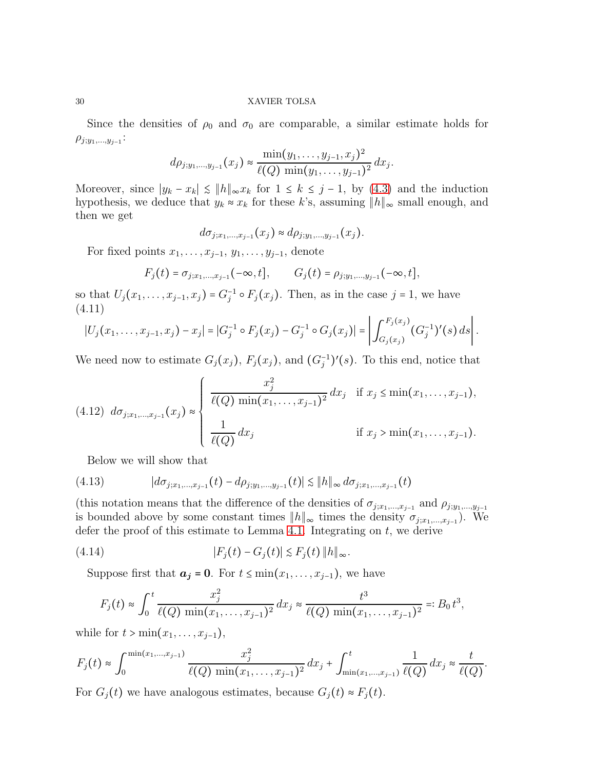Since the densities of  $\rho_0$  and  $\sigma_0$  are comparable, a similar estimate holds for  $\rho_{j;y_1,...,y_{j-1}}$ :

$$
d\rho_{j;y_1,\ldots,y_{j-1}}(x_j) \approx \frac{\min(y_1,\ldots,y_{j-1},x_j)^2}{\ell(Q)\min(y_1,\ldots,y_{j-1})^2} dx_j.
$$

Moreover, since  $|y_k - x_k| \leq ||h||_{\infty} x_k$  for  $1 \leq k \leq j-1$ , by [\(4.3\)](#page-26-1) and the induction hypothesis, we deduce that  $y_k \approx x_k$  for these k's, assuming  $||h||_{\infty}$  small enough, and then we get

$$
d\sigma_{j;x_1,...,x_{j-1}}(x_j) \approx d\rho_{j;y_1,...,y_{j-1}}(x_j).
$$

For fixed points  $x_1, \ldots, x_{j-1}, y_1, \ldots, y_{j-1}$ , denote

$$
F_j(t) = \sigma_{j;x_1,...,x_{j-1}}(-\infty, t], \qquad G_j(t) = \rho_{j;y_1,...,y_{j-1}}(-\infty, t],
$$

so that  $U_j(x_1,\ldots,x_{j-1},x_j) = G_j^{-1} \circ F_j(x_j)$ . Then, as in the case  $j = 1$ , we have (4.11)

<span id="page-29-0"></span>
$$
|U_j(x_1,\ldots,x_{j-1},x_j)-x_j|=|G_j^{-1}\circ F_j(x_j)-G_j^{-1}\circ G_j(x_j)|=\left|\int_{G_j(x_j)}^{F_j(x_j)}(G_j^{-1})'(s)\,ds\right|.
$$

We need now to estimate  $G_j(x_j)$ ,  $F_j(x_j)$ , and  $(G_j^{-1})'(s)$ . To this end, notice that

<span id="page-29-2"></span>
$$
(4.12) \ d\sigma_{j;x_1,...,x_{j-1}}(x_j) \approx \begin{cases} \frac{x_j^2}{\ell(Q) \min(x_1,...,x_{j-1})^2} dx_j & \text{if } x_j \le \min(x_1,...,x_{j-1}), \\ \frac{1}{\ell(Q)} dx_j & \text{if } x_j > \min(x_1,...,x_{j-1}). \end{cases}
$$

<span id="page-29-3"></span>Below we will show that

(4.13) 
$$
|d\sigma_{j;x_1,...,x_{j-1}}(t) - d\rho_{j;y_1,...,y_{j-1}}(t)| \lesssim ||h||_{\infty} d\sigma_{j;x_1,...,x_{j-1}}(t)
$$

(this notation means that the difference of the densities of  $\sigma_{j;x_1,...,x_{j-1}}$  and  $\rho_{j;y_1,...,y_{j-1}}$ is bounded above by some constant times  $||h||_{\infty}$  times the density  $\sigma_{j;x_1,\dots,x_{j-1}}$ ). We defer the proof of this estimate to Lemma [4.1.](#page-31-0) Integrating on  $t$ , we derive

(4.14) 
$$
|F_j(t) - G_j(t)| \lesssim F_j(t) \|h\|_{\infty}.
$$

Suppose first that  $a_j = 0$ . For  $t \leq \min(x_1, \ldots, x_{j-1})$ , we have

<span id="page-29-1"></span>
$$
F_j(t) \approx \int_0^t \frac{x_j^2}{\ell(Q) \min(x_1,\ldots,x_{j-1})^2} dx_j \approx \frac{t^3}{\ell(Q) \min(x_1,\ldots,x_{j-1})^2} =: B_0 t^3,
$$

while for  $t > min(x_1, \ldots, x_{i-1}),$ 

$$
F_j(t) \approx \int_0^{\min(x_1,\dots,x_{j-1})} \frac{x_j^2}{\ell(Q) \, \min(x_1,\dots,x_{j-1})^2} \, dx_j + \int_{\min(x_1,\dots,x_{j-1})}^t \frac{1}{\ell(Q)} \, dx_j \approx \frac{t}{\ell(Q)}.
$$

For  $G_j(t)$  we have analogous estimates, because  $G_j(t) \approx F_j(t)$ .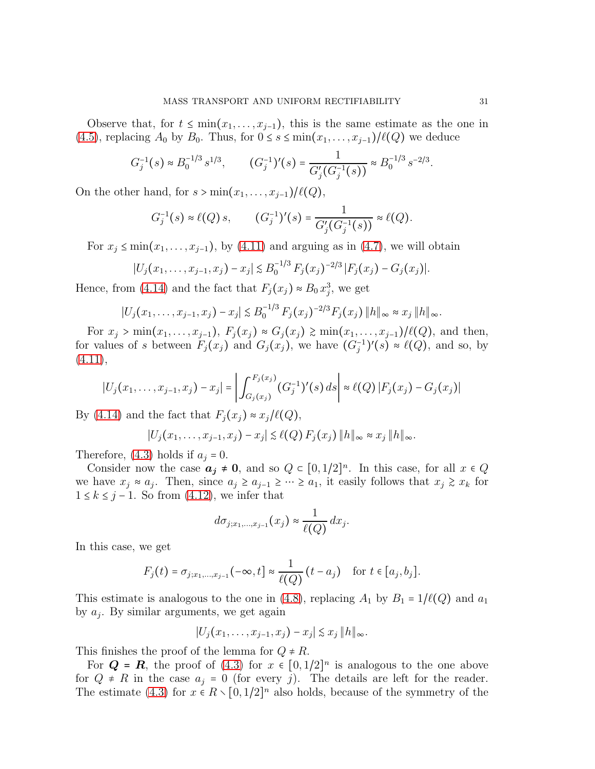Observe that, for  $t \leq \min(x_1, \ldots, x_{j-1})$ , this is the same estimate as the one in [\(4.5\)](#page-27-1), replacing  $A_0$  by  $B_0$ . Thus, for  $0 \le s \le \min(x_1, \ldots, x_{j-1})/\ell(Q)$  we deduce

$$
G_j^{-1}(s) \approx B_0^{-1/3} s^{1/3}, \qquad (G_j^{-1})'(s) = \frac{1}{G_j'(G_j^{-1}(s))} \approx B_0^{-1/3} s^{-2/3}.
$$

On the other hand, for  $s > min(x_1, \ldots, x_{j-1})/\ell(Q)$ ,

$$
G_j^{-1}(s) \approx \ell(Q) s, \qquad (G_j^{-1})'(s) = \frac{1}{G_j'(G_j^{-1}(s))} \approx \ell(Q).
$$

For  $x_i \leq \min(x_1, \ldots, x_{i-1})$ , by [\(4.11\)](#page-29-0) and arguing as in [\(4.7\)](#page-27-2), we will obtain

$$
|U_j(x_1,\ldots,x_{j-1},x_j)-x_j|\lesssim B_0^{-1/3} F_j(x_j)^{-2/3} |F_j(x_j)-G_j(x_j)|.
$$

Hence, from [\(4.14\)](#page-29-1) and the fact that  $F_j(x_j) \approx B_0 x_j^3$ , we get

$$
|U_j(x_1,\ldots,x_{j-1},x_j)-x_j| \lesssim B_0^{-1/3} F_j(x_j)^{-2/3} F_j(x_j) \|h\|_{\infty} \approx x_j \|h\|_{\infty}.
$$

For  $x_j > min(x_1, ..., x_{j-1}), F_j(x_j) ≈ G_j(x_j) ≥ min(x_1, ..., x_{j-1})/ℓ(Q)$ , and then, for values of s between  $F_j(x_j)$  and  $G_j(x_j)$ , we have  $(G_j^{-1})'(s) \approx \ell(Q)$ , and so, by  $(4.11),$  $(4.11),$ 

$$
|U_j(x_1,\ldots,x_{j-1},x_j)-x_j|=\left|\int_{G_j(x_j)}^{F_j(x_j)}(G_j^{-1})'(s)\,ds\right| \approx \ell(Q)|F_j(x_j)-G_j(x_j)|
$$

By [\(4.14\)](#page-29-1) and the fact that  $F_j(x_j) \approx x_j/\ell(Q)$ ,

$$
|U_j(x_1,\ldots,x_{j-1},x_j)-x_j|\lesssim \ell(Q)\,F_j(x_j)\,\|h\|_{\infty}\approx x_j\,\|h\|_{\infty}.
$$

Therefore, [\(4.3\)](#page-26-1) holds if  $a_j = 0$ .

Consider now the case  $a_j \neq 0$ , and so  $Q \subset [0, 1/2]^n$ . In this case, for all  $x \in Q$ we have  $x_j \approx a_j$ . Then, since  $a_j \ge a_{j-1} \ge \cdots \ge a_1$ , it easily follows that  $x_j \ge x_k$  for  $1 \leq k \leq j-1$ . So from  $(4.12)$ , we infer that

$$
d\sigma_{j;x_1,\ldots,x_{j-1}}(x_j) \approx \frac{1}{\ell(Q)} dx_j.
$$

In this case, we get

$$
F_j(t) = \sigma_{j;x_1,\dots,x_{j-1}}(-\infty,t] \approx \frac{1}{\ell(Q)}(t-a_j) \quad \text{for } t \in [a_j,b_j].
$$

This estimate is analogous to the one in [\(4.8\)](#page-27-3), replacing  $A_1$  by  $B_1 = 1/\ell(Q)$  and  $a_1$ by  $a_j$ . By similar arguments, we get again

$$
|U_j(x_1,\ldots,x_{j-1},x_j)-x_j|\lesssim x_j\,||h||_{\infty}.
$$

This finishes the proof of the lemma for  $Q \neq R$ .

For  $Q = R$ , the proof of [\(4.3\)](#page-26-1) for  $x \in [0, 1/2]^n$  is analogous to the one above for  $Q \neq R$  in the case  $a_j = 0$  (for every j). The details are left for the reader. The estimate [\(4.3\)](#page-26-1) for  $x \in R \setminus [0, 1/2]^n$  also holds, because of the symmetry of the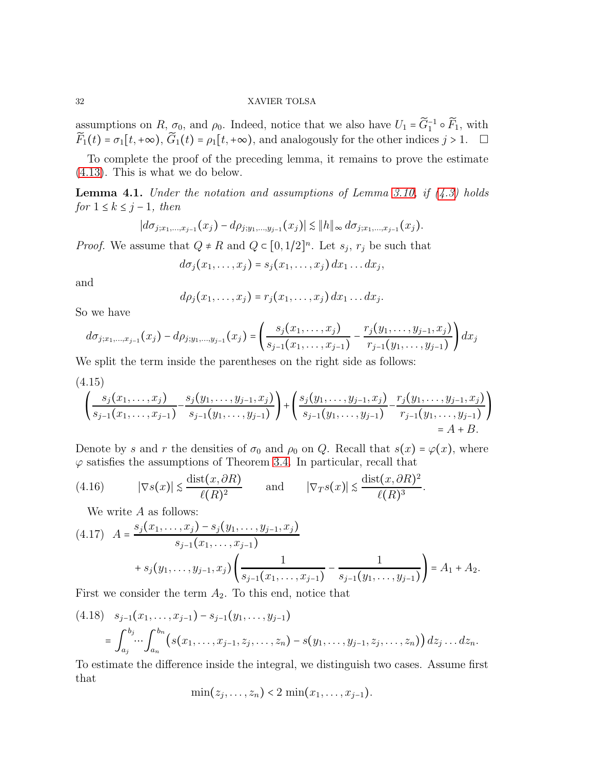assumptions on  $R, \sigma_0$ , and  $\rho_0$ . Indeed, notice that we also have  $U_1 = \widetilde{G}_1^{-1} \circ \widetilde{F}_1$ , with  $\widetilde{F}_1(t) = \sigma_1[t, +\infty), \widetilde{G}_1(t) = \rho_1[t, +\infty),$  and analogously for the other indices  $j > 1$ .  $\Box$ 

To complete the proof of the preceding lemma, it remains to prove the estimate [\(4.13\)](#page-29-3). This is what we do below.

<span id="page-31-0"></span>Lemma 4.1. *Under the notation and assumptions of Lemma [3.10,](#page-12-1) if [\(4.3\)](#page-26-1) holds*  $for 1 \leq k \leq j-1, then$ 

$$
|d\sigma_{j;x_1,...,x_{j-1}}(x_j)-d\rho_{j;y_1,...,y_{j-1}}(x_j)| \lesssim \|h\|_{\infty} d\sigma_{j;x_1,...,x_{j-1}}(x_j).
$$

*Proof.* We assume that  $Q \neq R$  and  $Q \subset [0, 1/2]^n$ . Let  $s_j$ ,  $r_j$  be such that

$$
d\sigma_j(x_1,\ldots,x_j)=s_j(x_1,\ldots,x_j) dx_1\ldots dx_j,
$$

and

$$
d\rho_j(x_1,\ldots,x_j)=r_j(x_1,\ldots,x_j)\,dx_1\ldots dx_j.
$$

So we have

$$
d\sigma_{j;x_1,...,x_{j-1}}(x_j) - d\rho_{j;y_1,...,y_{j-1}}(x_j) = \left(\frac{s_j(x_1,...,x_j)}{s_{j-1}(x_1,...,x_{j-1})} - \frac{r_j(y_1,...,y_{j-1},x_j)}{r_{j-1}(y_1,...,y_{j-1})}\right)dx_j
$$

We split the term inside the parentheses on the right side as follows:

<span id="page-31-4"></span>
$$
\left(\frac{s_j(x_1,\ldots,x_j)}{s_{j-1}(x_1,\ldots,x_{j-1})} - \frac{s_j(y_1,\ldots,y_{j-1},x_j)}{s_{j-1}(y_1,\ldots,y_{j-1})}\right) + \left(\frac{s_j(y_1,\ldots,y_{j-1},x_j)}{s_{j-1}(y_1,\ldots,y_{j-1})} - \frac{r_j(y_1,\ldots,y_{j-1},x_j)}{r_{j-1}(y_1,\ldots,y_{j-1})}\right) = A + B.
$$

Denote by s and r the densities of  $\sigma_0$  and  $\rho_0$  on Q. Recall that  $s(x) = \varphi(x)$ , where  $\varphi$  satisfies the assumptions of Theorem [3.4.](#page-7-1) In particular, recall that

(4.16) 
$$
|\nabla s(x)| \le \frac{\text{dist}(x, \partial R)}{\ell(R)^2}
$$
 and  $|\nabla_T s(x)| \le \frac{\text{dist}(x, \partial R)^2}{\ell(R)^3}$ .

<span id="page-31-1"></span>We write  $A$  as follows:

<span id="page-31-3"></span>
$$
(4.17) \quad A = \frac{s_j(x_1, \dots, x_j) - s_j(y_1, \dots, y_{j-1}, x_j)}{s_{j-1}(x_1, \dots, x_{j-1})} + s_j(y_1, \dots, y_{j-1}, x_j) \left(\frac{1}{s_{j-1}(x_1, \dots, x_{j-1})} - \frac{1}{s_{j-1}(y_1, \dots, y_{j-1})}\right) = A_1 + A_2.
$$

First we consider the term  $A_2$ . To this end, notice that

<span id="page-31-2"></span>
$$
(4.18) \quad s_{j-1}(x_1,\ldots,x_{j-1}) - s_{j-1}(y_1,\ldots,y_{j-1})
$$
  
=  $\int_{a_j}^{b_j} \cdots \int_{a_n}^{b_n} \left(s(x_1,\ldots,x_{j-1},z_j,\ldots,z_n) - s(y_1,\ldots,y_{j-1},z_j,\ldots,z_n)\right) dz_j \ldots dz_n.$ 

To estimate the difference inside the integral, we distinguish two cases. Assume first that

$$
\min(z_j,\ldots,z_n)<2\,\min(x_1,\ldots,x_{j-1}).
$$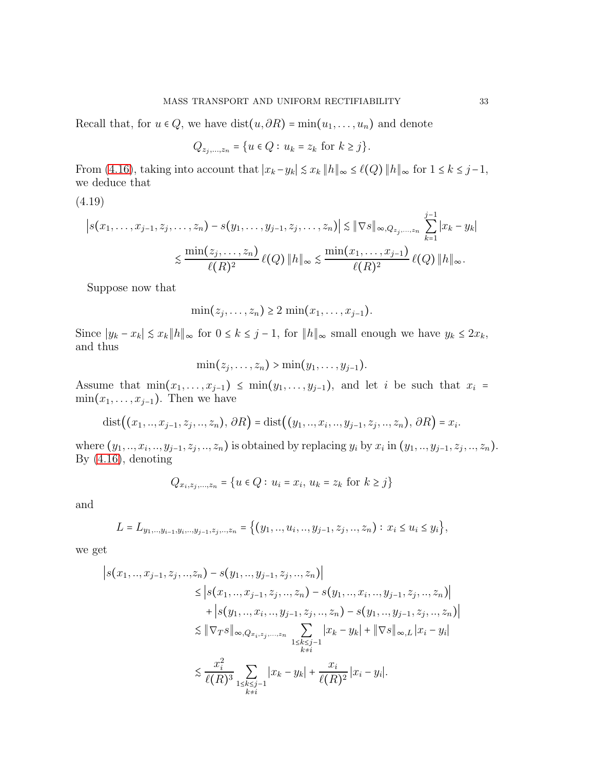Recall that, for  $u \in Q$ , we have  $dist(u, \partial R) = min(u_1, \ldots, u_n)$  and denote

$$
Q_{z_j,...,z_n} = \{ u \in Q : u_k = z_k \text{ for } k \ge j \}.
$$

From [\(4.16\)](#page-31-1), taking into account that  $|x_k - y_k| \leq x_k ||h||_{\infty} \leq \ell(Q) ||h||_{\infty}$  for  $1 \leq k \leq j-1$ , we deduce that

<span id="page-32-0"></span>(4.19)

$$
\left| s(x_1, \ldots, x_{j-1}, z_j, \ldots, z_n) - s(y_1, \ldots, y_{j-1}, z_j, \ldots, z_n) \right| \lesssim \|\nabla s\|_{\infty, Q_{z_j, \ldots, z_n}} \sum_{k=1}^{j-1} |x_k - y_k|
$$
  

$$
\lesssim \frac{\min(z_j, \ldots, z_n)}{\ell(R)^2} \ell(Q) \|h\|_{\infty} \lesssim \frac{\min(x_1, \ldots, x_{j-1})}{\ell(R)^2} \ell(Q) \|h\|_{\infty}.
$$

Suppose now that

 $\min(z_j, \ldots, z_n) \geq 2 \min(x_1, \ldots, x_{j-1}).$ 

Since  $|y_k - x_k| \leq x_k ||h||_{\infty}$  for  $0 \leq k \leq j-1$ , for  $||h||_{\infty}$  small enough we have  $y_k \leq 2x_k$ , and thus

$$
\min(z_j,\ldots,z_n) > \min(y_1,\ldots,y_{j-1}).
$$

Assume that  $\min(x_1, \ldots, x_{j-1}) \leq \min(y_1, \ldots, y_{j-1})$ , and let i be such that  $x_i =$  $min(x_1, \ldots, x_{j-1})$ . Then we have

$$
dist((x_1, ..., x_{j-1}, z_j, ..., z_n), \partial R) = dist((y_1, ..., x_i, ..., y_{j-1}, z_j, ..., z_n), \partial R) = x_i.
$$

where  $(y_1, ..., x_i, ..., y_{j-1}, z_j, ..., z_n)$  is obtained by replacing  $y_i$  by  $x_i$  in  $(y_1, ..., y_{j-1}, z_j, ..., z_n)$ . By [\(4.16\)](#page-31-1), denoting

$$
Q_{x_i, z_j, ..., z_n} = \{ u \in Q : u_i = x_i, u_k = z_k \text{ for } k \ge j \}
$$

and

$$
L = L_{y_1, \dots, y_{i-1}, y_i, \dots, y_{j-1}, z_j, \dots, z_n} = \{(y_1, \dots, u_i, \dots, y_{j-1}, z_j, \dots, z_n) : x_i \le u_i \le y_i\},\
$$

we get

$$
\begin{split} \left| s(x_1,..,x_{j-1},z_j,..,z_n) - s(y_1,..,y_{j-1},z_j,..,z_n) \right| \\ &\leq \left| s(x_1,..,x_{j-1},z_j,..,z_n) - s(y_1,..,x_i,..,y_{j-1},z_j,..,z_n) \right| \\ &\quad + \left| s(y_1,..,x_i,..,y_{j-1},z_j,..,z_n) - s(y_1,..,y_{j-1},z_j,..,z_n) \right| \\ &\leq \|\nabla_T s\|_{\infty, Q_{x_i, z_j,...,z_n}} \sum_{\substack{1 \leq k \leq j-1 \\ k \neq i}} \left| x_k - y_k \right| + \|\nabla s\|_{\infty,L} \left| x_i - y_i \right| \\ &\leq \frac{x_i^2}{\ell(R)^3} \sum_{\substack{1 \leq k \leq j-1 \\ k \neq i}} \left| x_k - y_k \right| + \frac{x_i}{\ell(R)^2} \left| x_i - y_i \right|. \end{split}
$$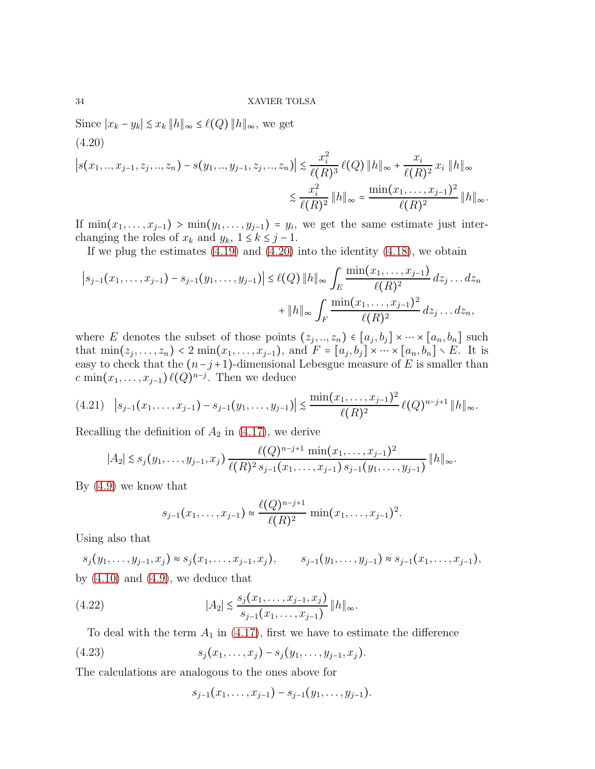Since  $|x_k - y_k| \leq x_k ||h||_{\infty} \leq \ell(Q) ||h||_{\infty}$ , we get

<span id="page-33-0"></span>
$$
(4.20)
$$
\n
$$
\left|s(x_1, ..., x_{j-1}, z_j, ..., z_n) - s(y_1, ..., y_{j-1}, z_j, ..., z_n)\right| \le \frac{x_i^2}{\ell(R)^3} \ell(Q) \|h\|_{\infty} + \frac{x_i}{\ell(R)^2} x_i \|h\|_{\infty}
$$
\n
$$
\le \frac{x_i^2}{\ell(R)^2} \|h\|_{\infty} = \frac{\min(x_1, ..., x_{j-1})^2}{\ell(R)^2} \|h\|_{\infty}.
$$

If  $\min(x_1, \ldots, x_{j-1})$  >  $\min(y_1, \ldots, y_{j-1}) = y_i$ , we get the same estimate just interchanging the roles of  $x_k$  and  $y_k$ ,  $1 \le k \le j - 1$ .

If we plug the estimates  $(4.19)$  and  $(4.20)$  into the identity  $(4.18)$ , we obtain

$$
\left|s_{j-1}(x_1,\ldots,x_{j-1})-s_{j-1}(y_1,\ldots,y_{j-1})\right| \leq \ell(Q) \|h\|_{\infty} \int_{E} \frac{\min(x_1,\ldots,x_{j-1})}{\ell(R)^2} dz_j \ldots dz_n + \|h\|_{\infty} \int_{F} \frac{\min(x_1,\ldots,x_{j-1})^2}{\ell(R)^2} dz_j \ldots dz_n,
$$

where E denotes the subset of those points  $(z_j, ..., z_n) \in [a_j, b_j] \times \cdots \times [a_n, b_n]$  such that  $\min(z_j, ..., z_n) < 2 \min(x_1, ..., x_{j-1})$ , and  $F = [a_j, b_j] \times \cdots \times [a_n, b_n] \times E$ . It is easy to check that the  $(n-j+1)$ -dimensional Lebesgue measure of E is smaller than c min $(x_1, \ldots, x_{j-1}) \ell(Q)^{n-j}$ . Then we deduce

<span id="page-33-2"></span>
$$
(4.21) \quad |s_{j-1}(x_1,\ldots,x_{j-1})-s_{j-1}(y_1,\ldots,y_{j-1})| \leq \frac{\min(x_1,\ldots,x_{j-1})^2}{\ell(R)^2} \ell(Q)^{n-j+1} \|h\|_{\infty}.
$$

Recalling the definition of  $A_2$  in [\(4.17\)](#page-31-3), we derive

$$
|A_2| \lesssim s_j(y_1,\ldots,y_{j-1},x_j) \frac{\ell(Q)^{n-j+1} \min(x_1,\ldots,x_{j-1})^2}{\ell(R)^2 s_{j-1}(x_1,\ldots,x_{j-1}) s_{j-1}(y_1,\ldots,y_{j-1})} \|h\|_{\infty}.
$$

By [\(4.9\)](#page-28-0) we know that

$$
s_{j-1}(x_1,\ldots,x_{j-1}) \approx \frac{\ell(Q)^{n-j+1}}{\ell(R)^2} \min(x_1,\ldots,x_{j-1})^2.
$$

Using also that

 $s_j(y_1, \ldots, y_{j-1}, x_j) \approx s_j(x_1, \ldots, x_{j-1}, x_j), \qquad s_{j-1}(y_1, \ldots, y_{j-1}) \approx s_{j-1}(x_1, \ldots, x_{j-1}),$ by  $(4.10)$  and  $(4.9)$ , we deduce that

(4.22) 
$$
|A_2| \lesssim \frac{s_j(x_1,\ldots,x_{j-1},x_j)}{s_{j-1}(x_1,\ldots,x_{j-1})} \|h\|_{\infty}.
$$

To deal with the term  $A_1$  in [\(4.17\)](#page-31-3), first we have to estimate the difference

(4.23) 
$$
s_j(x_1,\ldots,x_j) - s_j(y_1,\ldots,y_{j-1},x_j).
$$

The calculations are analogous to the ones above for

<span id="page-33-1"></span>
$$
s_{j-1}(x_1,\ldots,x_{j-1})-s_{j-1}(y_1,\ldots,y_{j-1}).
$$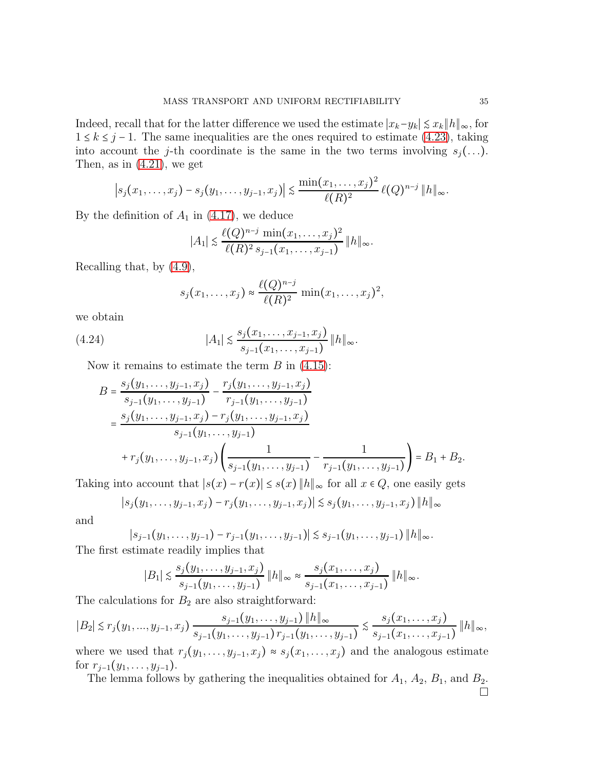Indeed, recall that for the latter difference we used the estimate  $|x_k-y_k| \leq x_k ||h||_{\infty}$ , for  $1 \le k \le j-1$ . The same inequalities are the ones required to estimate [\(4.23\)](#page-33-1), taking into account the j-th coordinate is the same in the two terms involving  $s_j(\ldots)$ . Then, as in  $(4.21)$ , we get

$$
\left|s_j(x_1,\ldots,x_j)-s_j(y_1,\ldots,y_{j-1},x_j)\right|\lesssim \frac{\min(x_1,\ldots,x_j)^2}{\ell(R)^2}\ell(Q)^{n-j}\,\|h\|_{\infty}.
$$

By the definition of  $A_1$  in [\(4.17\)](#page-31-3), we deduce

$$
|A_1| \lesssim \frac{\ell(Q)^{n-j} \min(x_1,\ldots,x_j)^2}{\ell(R)^2 \, s_{j-1}(x_1,\ldots,x_{j-1})} \, \|h\|_{\infty}.
$$

Recalling that, by [\(4.9\)](#page-28-0),

$$
s_j(x_1,\ldots,x_j) \approx \frac{\ell(Q)^{n-j}}{\ell(R)^2} \min(x_1,\ldots,x_j)^2,
$$

we obtain

(4.24) 
$$
|A_1| \lesssim \frac{s_j(x_1,\ldots,x_{j-1},x_j)}{s_{j-1}(x_1,\ldots,x_{j-1})} \|h\|_{\infty}.
$$

Now it remains to estimate the term  $B$  in  $(4.15)$ :

$$
B = \frac{s_j(y_1, \dots, y_{j-1}, x_j)}{s_{j-1}(y_1, \dots, y_{j-1})} - \frac{r_j(y_1, \dots, y_{j-1}, x_j)}{r_{j-1}(y_1, \dots, y_{j-1})}
$$
  
= 
$$
\frac{s_j(y_1, \dots, y_{j-1}, x_j) - r_j(y_1, \dots, y_{j-1}, x_j)}{s_{j-1}(y_1, \dots, y_{j-1})}
$$
  
+ 
$$
r_j(y_1, \dots, y_{j-1}, x_j) \left( \frac{1}{s_{j-1}(y_1, \dots, y_{j-1})} - \frac{1}{r_{j-1}(y_1, \dots, y_{j-1})} \right) = B_1 + B_2.
$$

Taking into account that  $|s(x) - r(x)| \leq s(x) ||h||_{\infty}$  for all  $x \in Q$ , one easily gets

$$
|s_j(y_1,\ldots,y_{j-1},x_j)-r_j(y_1,\ldots,y_{j-1},x_j)|\lesssim s_j(y_1,\ldots,y_{j-1},x_j)\|h\|_{\infty}
$$

and

$$
|s_{j-1}(y_1,\ldots,y_{j-1})-r_{j-1}(y_1,\ldots,y_{j-1})| \lesssim s_{j-1}(y_1,\ldots,y_{j-1}) ||h||_{\infty}.
$$

The first estimate readily implies that

$$
|B_1| \lesssim \frac{s_j(y_1,\ldots,y_{j-1},x_j)}{s_{j-1}(y_1,\ldots,y_{j-1})} ||h||_{\infty} \approx \frac{s_j(x_1,\ldots,x_j)}{s_{j-1}(x_1,\ldots,x_{j-1})} ||h||_{\infty}.
$$

The calculations for  $B_2$  are also straightforward:

$$
|B_2| \lesssim r_j(y_1,...,y_{j-1},x_j) \frac{s_{j-1}(y_1,...,y_{j-1}) \, \|h\|_{\infty}}{s_{j-1}(y_1,...,y_{j-1}) \, r_{j-1}(y_1,...,y_{j-1})} \lesssim \frac{s_j(x_1,...,x_j)}{s_{j-1}(x_1,...,x_{j-1})} \, \|h\|_{\infty},
$$

where we used that  $r_j(y_1, \ldots, y_{j-1}, x_j) \approx s_j(x_1, \ldots, x_j)$  and the analogous estimate for  $r_{j-1}(y_1, \ldots, y_{j-1})$ .

The lemma follows by gathering the inequalities obtained for  $A_1$ ,  $A_2$ ,  $B_1$ , and  $B_2$ .  $\Box$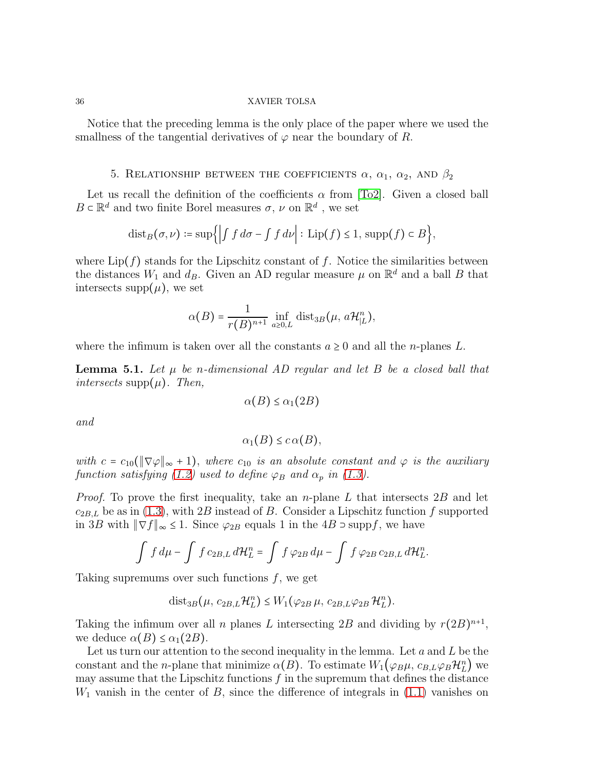Notice that the preceding lemma is the only place of the paper where we used the smallness of the tangential derivatives of  $\varphi$  near the boundary of R.

# 5. RELATIONSHIP BETWEEN THE COEFFICIENTS  $\alpha$ ,  $\alpha_1$ ,  $\alpha_2$ , AND  $\beta_2$

<span id="page-35-1"></span>Let us recall the definition of the coefficients  $\alpha$  from [\[To2\]](#page-50-9). Given a closed ball  $B \subset \mathbb{R}^d$  and two finite Borel measures  $\sigma, \, \nu$  on  $\mathbb{R}^d$  , we set

$$
\mathrm{dist}_B(\sigma,\nu) \coloneqq \sup\Bigl\{\Bigl| \int f \, d\sigma - \int f \, d\nu \Bigr| : \, \mathrm{Lip}(f) \le 1, \, \mathrm{supp}(f) \subset B \Bigr\},\,
$$

where  $\text{Lip}(f)$  stands for the Lipschitz constant of f. Notice the similarities between the distances  $W_1$  and  $d_B$ . Given an AD regular measure  $\mu$  on  $\mathbb{R}^d$  and a ball B that intersects supp $(\mu)$ , we set

$$
\alpha(B) = \frac{1}{r(B)^{n+1}} \inf_{a \ge 0, L} \text{dist}_{3B}(\mu, a\mathcal{H}_{|L}^n),
$$

where the infimum is taken over all the constants  $a \geq 0$  and all the *n*-planes L.

<span id="page-35-0"></span>Lemma 5.1. *Let* µ *be* n*-dimensional AD regular and let* B *be a closed ball that intersects* supp $(\mu)$ *. Then,* 

$$
\alpha(B) \le \alpha_1(2B)
$$

*and*

$$
\alpha_1(B)\leq c\,\alpha(B),
$$

*with*  $c = c_{10}(\|\nabla \varphi\|_{\infty} + 1)$ , where  $c_{10}$  *is an absolute constant and*  $\varphi$  *is the auxiliary function satisfying* [\(1.2\)](#page-1-0) *used to define*  $\varphi_B$  *and*  $\alpha_p$  *in* [\(1.3\)](#page-2-1)*.* 

*Proof.* To prove the first inequality, take an *n*-plane L that intersects 2B and let  $c_{2BL}$  be as in [\(1.3\)](#page-2-1), with 2B instead of B. Consider a Lipschitz function f supported in 3B with  $\|\nabla f\|_{\infty} \leq 1$ . Since  $\varphi_{2B}$  equals 1 in the 4B ⊃ suppf, we have

$$
\int f d\mu - \int f c_{2B,L} d\mathcal{H}_L^n = \int f \varphi_{2B} d\mu - \int f \varphi_{2B} c_{2B,L} d\mathcal{H}_L^n.
$$

Taking supremums over such functions  $f$ , we get

$$
\mathrm{dist}_{3B}(\mu, c_{2B,L}\mathcal{H}_L^n) \leq W_1(\varphi_{2B}\mu, c_{2B,L}\varphi_{2B}\mathcal{H}_L^n).
$$

Taking the infimum over all *n* planes L intersecting 2B and dividing by  $r(2B)^{n+1}$ , we deduce  $\alpha(B) \leq \alpha_1(2B)$ .

Let us turn our attention to the second inequality in the lemma. Let  $a$  and  $L$  be the constant and the *n*-plane that minimize  $\alpha(B)$ . To estimate  $W_1(\varphi_B\mu, c_{B,L}\varphi_B\mathcal{H}_L^n)$  we may assume that the Lipschitz functions  $f$  in the supremum that defines the distance  $W_1$  vanish in the center of B, since the difference of integrals in  $(1.1)$  vanishes on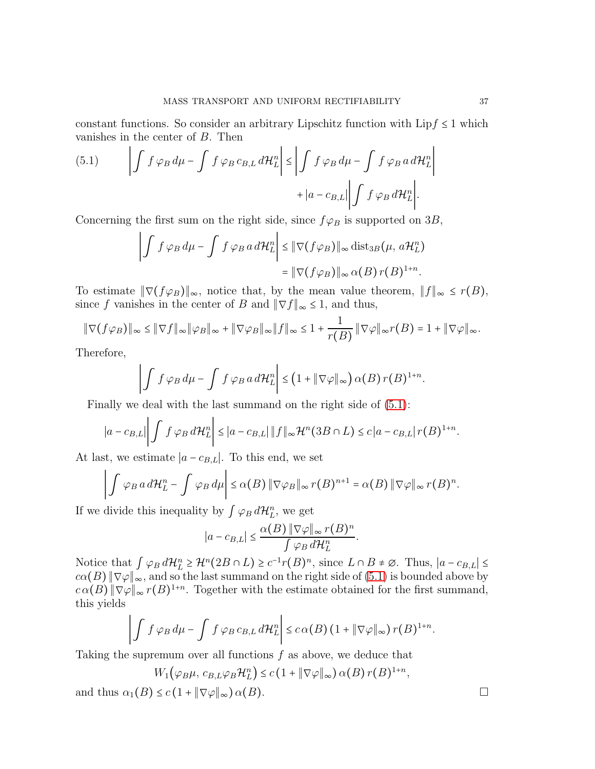constant functions. So consider an arbitrary Lipschitz function with  $\text{Lipf} \leq 1$  which vanishes in the center of  $B$ . Then  $\mathbf{r}$ 

<span id="page-36-0"></span>(5.1) 
$$
\left| \int f \varphi_B d\mu - \int f \varphi_B c_{B,L} d\mathcal{H}_L^n \right| \leq \left| \int f \varphi_B d\mu - \int f \varphi_B a d\mathcal{H}_L^n \right| + \left| a - c_{B,L} \right| \left| \int f \varphi_B d\mathcal{H}_L^n \right|.
$$

Concerning the first sum on the right side, since  $f\varphi_B$  is supported on 3B,

$$
\left| \int f \varphi_B d\mu - \int f \varphi_B a d\mathcal{H}_L^n \right| \leq \|\nabla (f \varphi_B)\|_{\infty} \operatorname{dist}_{3B}(\mu, a\mathcal{H}_L^n)
$$

$$
= \|\nabla (f \varphi_B)\|_{\infty} \alpha(B) r(B)^{1+n}.
$$

To estimate  $\|\nabla (f\varphi_B)\|_{\infty}$ , notice that, by the mean value theorem,  $||f||_{\infty} \leq r(B)$ , since f vanishes in the center of B and  $\|\nabla f\|_{\infty} \leq 1$ , and thus,

$$
\|\nabla (f\varphi_B)\|_{\infty} \le \|\nabla f\|_{\infty} \|\varphi_B\|_{\infty} + \|\nabla \varphi_B\|_{\infty} \|f\|_{\infty} \le 1 + \frac{1}{r(B)} \|\nabla \varphi\|_{\infty} r(B) = 1 + \|\nabla \varphi\|_{\infty}.
$$

Therefore,

$$
\left|\int f \varphi_B d\mu - \int f \varphi_B a d\mathcal{H}_L^n\right| \leq \left(1 + \|\nabla \varphi\|_{\infty}\right) \alpha(B) r(B)^{1+n}.
$$

Finally we deal with the last summand on the right side of [\(5.1\)](#page-36-0):

$$
\left|a-c_{B,L}\right|\left|\int f\,\varphi_B\,d\mathcal{H}_L^n\right|\leq \left|a-c_{B,L}\right|\|f\|_{\infty}\mathcal{H}^n(3B\cap L)\leq c\left|a-c_{B,L}\right|r(B)^{1+n}.
$$

At last, we estimate  $|a - c_{B,L}|$ . To this end, we set

$$
\left|\int \varphi_B\,a\,d\mathcal{H}_L^n-\int \varphi_B\,d\mu\right|\leq \alpha(B)\,\|\nabla\varphi_B\|_\infty\,r(B)^{n+1}=\alpha(B)\,\|\nabla\varphi\|_\infty\,r(B)^n.
$$

If we divide this inequality by  $\int \varphi_B d\mathcal{H}_L^n$ , we get

$$
|a - c_{B,L}| \leq \frac{\alpha(B) \|\nabla \varphi\|_{\infty} r(B)^n}{\int \varphi_B d\mathcal{H}_L^n}.
$$

Notice that  $\int \varphi_B d\mathcal{H}_L^n \geq \mathcal{H}^n(2B \cap L) \geq c^{-1}r(B)^n$ , since  $L \cap B \neq \emptyset$ . Thus,  $|a - c_{B,L}| \leq$  $c\alpha(B) \|\nabla\varphi\|_{\infty}$ , and so the last summand on the right side of [\(5.1\)](#page-36-0) is bounded above by  $c\alpha(B) \|\nabla \varphi\|_{\infty} r(B)^{1+n}$ . Together with the estimate obtained for the first summand, this yields

$$
\left|\int f \varphi_B d\mu - \int f \varphi_B c_{B,L} d\mathcal{H}_L^n\right| \leq c \alpha(B) \left(1 + \|\nabla \varphi\|_{\infty}\right) r(B)^{1+n}.
$$

Taking the supremum over all functions f as above, we deduce that

$$
W_1(\varphi_B\mu, c_{B,L}\varphi_B\mathcal{H}_L^n) \le c\left(1 + \|\nabla\varphi\|_{\infty}\right)\alpha(B)r(B)^{1+n},
$$

and thus  $\alpha_1(B) \leq c \left(1 + \|\nabla \varphi\|_{\infty}\right) \alpha(B)$ .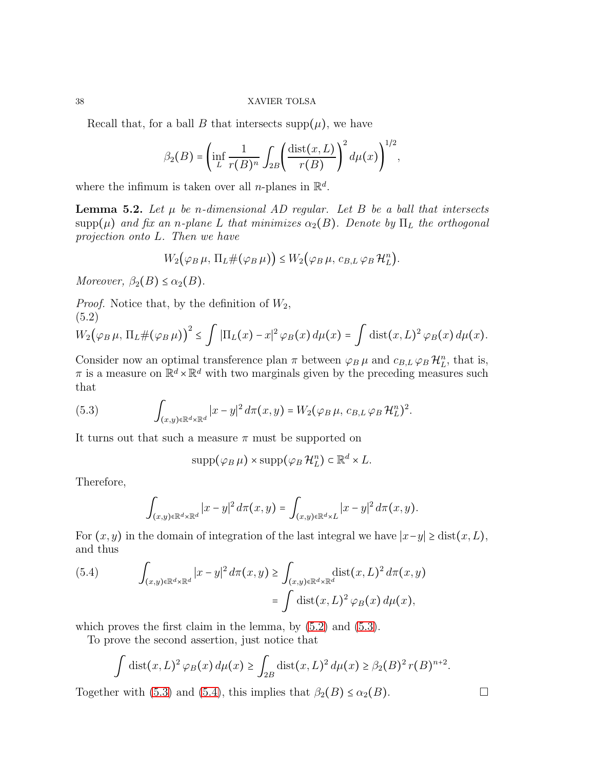Recall that, for a ball B that intersects supp $(\mu)$ , we have

$$
\beta_2(B) = \left(\inf_L \frac{1}{r(B)^n} \int_{2B} \left(\frac{\text{dist}(x,L)}{r(B)}\right)^2 d\mu(x)\right)^{1/2},
$$

where the infimum is taken over all *n*-planes in  $\mathbb{R}^d$ .

<span id="page-37-0"></span>**Lemma 5.2.** Let  $\mu$  be *n*-dimensional AD regular. Let B be a ball that intersects  $\text{supp}(\mu)$  *and fix an n-plane* L *that minimizes*  $\alpha_2(B)$ *. Denote by*  $\Pi_L$  *the orthogonal projection onto* L*. Then we have*

$$
W_2(\varphi_B \mu, \Pi_L \#(\varphi_B \mu)) \le W_2(\varphi_B \mu, c_{B,L} \varphi_B \mathcal{H}_L^n).
$$

*Moreover,*  $\beta_2(B) \leq \alpha_2(B)$ .

*Proof.* Notice that, by the definition of  $W_2$ ,

<span id="page-37-1"></span>(5.2)  
\n
$$
W_2(\varphi_B \mu, \Pi_L \# (\varphi_B \mu))^2 \le \int |\Pi_L(x) - x|^2 \varphi_B(x) d\mu(x) = \int \text{dist}(x, L)^2 \varphi_B(x) d\mu(x).
$$

Consider now an optimal transference plan  $\pi$  between  $\varphi_B \mu$  and  $c_{B,L} \varphi_B \mathcal{H}_L^n$ , that is,  $\pi$  is a measure on  $\mathbb{R}^d \times \mathbb{R}^d$  with two marginals given by the preceding measures such that

(5.3) 
$$
\int_{(x,y)\in\mathbb{R}^d\times\mathbb{R}^d} |x-y|^2 d\pi(x,y) = W_2(\varphi_B \mu, c_{B,L} \varphi_B \mathcal{H}_L^n)^2.
$$

It turns out that such a measure  $\pi$  must be supported on

<span id="page-37-2"></span>
$$
\mathrm{supp}(\varphi_B \,\mu) \times \mathrm{supp}(\varphi_B \,\mathcal{H}_L^n) \subset \mathbb{R}^d \times L.
$$

Therefore,

$$
\int_{(x,y)\in\mathbb{R}^d\times\mathbb{R}^d} |x-y|^2\,d\pi(x,y)=\int_{(x,y)\in\mathbb{R}^d\times L} |x-y|^2\,d\pi(x,y).
$$

For  $(x, y)$  in the domain of integration of the last integral we have  $|x-y| \geq \text{dist}(x, L)$ , and thus

<span id="page-37-3"></span>(5.4) 
$$
\int_{(x,y)\in\mathbb{R}^d\times\mathbb{R}^d} |x-y|^2 d\pi(x,y) \ge \int_{(x,y)\in\mathbb{R}^d\times\mathbb{R}^d} \text{dist}(x,L)^2 d\pi(x,y)
$$

$$
= \int \text{dist}(x,L)^2 \varphi_B(x) d\mu(x),
$$

which proves the first claim in the lemma, by  $(5.2)$  and  $(5.3)$ .

To prove the second assertion, just notice that

$$
\int \mathrm{dist}(x, L)^2 \varphi_B(x) d\mu(x) \ge \int_{2B} \mathrm{dist}(x, L)^2 d\mu(x) \ge \beta_2(B)^2 r(B)^{n+2}
$$

.

Together with [\(5.3\)](#page-37-2) and [\(5.4\)](#page-37-3), this implies that  $\beta_2(B) \leq \alpha_2(B)$ .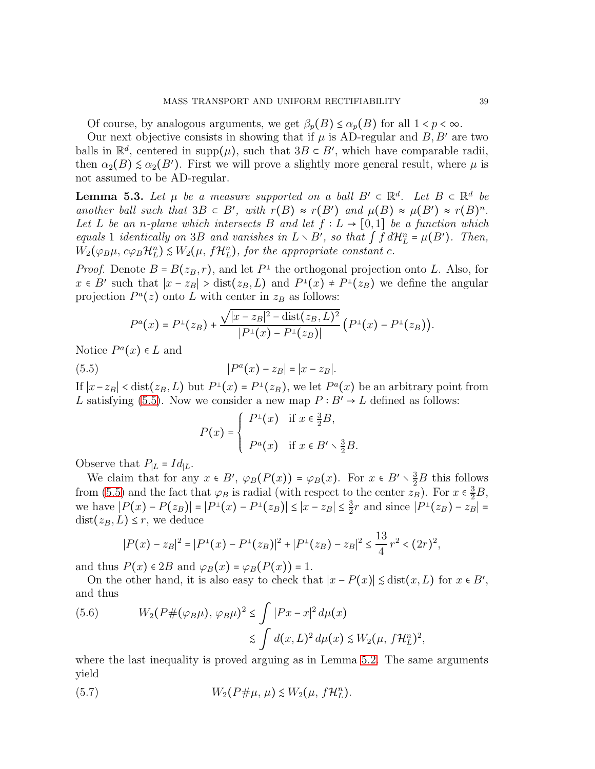Of course, by analogous arguments, we get  $\beta_n(B) \leq \alpha_n(B)$  for all  $1 < p < \infty$ .

Our next objective consists in showing that if  $\mu$  is AD-regular and  $B, B'$  are two balls in  $\mathbb{R}^d$ , centered in supp $(\mu)$ , such that  $3B \subset B'$ , which have comparable radii, then  $\alpha_2(B) \leq \alpha_2(B')$ . First we will prove a slightly more general result, where  $\mu$  is not assumed to be AD-regular.

<span id="page-38-3"></span>**Lemma 5.3.** Let  $\mu$  be a measure supported on a ball  $B' \subset \mathbb{R}^d$ . Let  $B \subset \mathbb{R}^d$  be *another ball such that*  $3B \subset B'$ , with  $r(B) \approx r(B')$  *and*  $\mu(B) \approx \mu(B') \approx r(B)^n$ . *Let* L *be an n-plane which intersects* B *and let*  $f : L \rightarrow [0,1]$  *be a function which equals* 1 *identically on* 3B *and vanishes in*  $L \setminus B'$ , *so that*  $\int f d\mathcal{H}_L^n = \mu(B')$ *. Then,*  $W_2(\varphi_B\mu, c\varphi_B\mathcal{H}_L^n) \leq W_2(\mu, f\mathcal{H}_L^n)$ , for the appropriate constant c.

*Proof.* Denote  $B = B(z_B, r)$ , and let  $P^{\perp}$  the orthogonal projection onto L. Also, for  $x \in B'$  such that  $|x - z_B| > \text{dist}(z_B, L)$  and  $P^{\perp}(x) \neq P^{\perp}(z_B)$  we define the angular projection  $P^{a}(z)$  onto L with center in  $z_{B}$  as follows:

$$
P^{a}(x) = P^{\perp}(z_{B}) + \frac{\sqrt{|x - z_{B}|^{2} - dist(z_{B}, L)^{2}}}{|P^{\perp}(x) - P^{\perp}(z_{B})|} (P^{\perp}(x) - P^{\perp}(z_{B})).
$$

Notice  $P^{a}(x) \in L$  and

(5.5) 
$$
|P^{a}(x) - z_{B}| = |x - z_{B}|.
$$

If  $|x-z_B|$  < dist( $z_B$ , L) but  $P^{\perp}(x) = P^{\perp}(z_B)$ , we let  $P^{\alpha}(x)$  be an arbitrary point from L satisfying [\(5.5\)](#page-38-0). Now we consider a new map  $P : B' \to L$  defined as follows:

<span id="page-38-0"></span>
$$
P(x) = \begin{cases} P^{\perp}(x) & \text{if } x \in \frac{3}{2}B, \\ P^a(x) & \text{if } x \in B' \setminus \frac{3}{2}B. \end{cases}
$$

Observe that  $P_{|L} = Id_{|L}$ .

We claim that for any  $x \in B'$ ,  $\varphi_B(P(x)) = \varphi_B(x)$ . For  $x \in B' \setminus \frac{3}{2}B$  this follows from [\(5.5\)](#page-38-0) and the fact that  $\varphi_B$  is radial (with respect to the center  $z_B$ ). For  $x \in \frac{3}{2}B$ , we have  $|P(x) - P(z_B)| = |P^{\perp}(x) - P^{\perp}(z_B)| \le |x - z_B| \le \frac{3}{2}$  $\frac{3}{2}r$  and since  $|P^{\perp}(z_B) - z_B|$  =  $dist(z_B, L) \leq r$ , we deduce

$$
|P(x) - z_B|^2 = |P^{\perp}(x) - P^{\perp}(z_B)|^2 + |P^{\perp}(z_B) - z_B|^2 \le \frac{13}{4}r^2 < (2r)^2,
$$

and thus  $P(x) \in 2B$  and  $\varphi_B(x) = \varphi_B(P(x)) = 1$ .

On the other hand, it is also easy to check that  $|x - P(x)| \leq \text{dist}(x, L)$  for  $x \in B'$ , and thus

<span id="page-38-2"></span>(5.6) 
$$
W_2(P \#(\varphi_B \mu), \varphi_B \mu)^2 \le \int |Px - x|^2 d\mu(x)
$$

$$
\lesssim \int d(x, L)^2 d\mu(x) \lesssim W_2(\mu, f\mathcal{H}_L^n)^2,
$$

where the last inequality is proved arguing as in Lemma [5.2.](#page-37-0) The same arguments yield

<span id="page-38-1"></span>(5.7) 
$$
W_2(P \# \mu, \mu) \lesssim W_2(\mu, f \mathcal{H}_L^n).
$$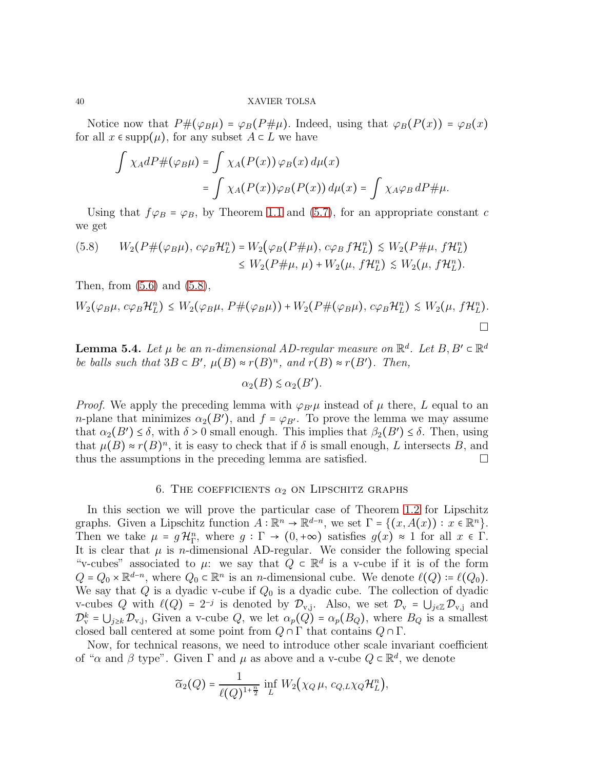Notice now that  $P#(\varphi_B \mu) = \varphi_B(P \# \mu)$ . Indeed, using that  $\varphi_B(P(x)) = \varphi_B(x)$ for all  $x \in \text{supp}(\mu)$ , for any subset  $A \subset L$  we have

$$
\int \chi_A dP \#(\varphi_B \mu) = \int \chi_A(P(x)) \varphi_B(x) d\mu(x)
$$

$$
= \int \chi_A(P(x)) \varphi_B(P(x)) d\mu(x) = \int \chi_A \varphi_B dP \# \mu.
$$

Using that  $f\varphi_B = \varphi_B$ , by Theorem [1.1](#page-3-2) and [\(5.7\)](#page-38-1), for an appropriate constant c we get

<span id="page-39-1"></span>
$$
(5.8) \qquad W_2(P \# (\varphi_B \mu), c\varphi_B \mathcal{H}_L^n) = W_2(\varphi_B(P \# \mu), c\varphi_B f \mathcal{H}_L^n) \le W_2(P \# \mu, f \mathcal{H}_L^n) \le W_2(P \# \mu, \mu) + W_2(\mu, f \mathcal{H}_L^n) \le W_2(\mu, f \mathcal{H}_L^n).
$$

Then, from  $(5.6)$  and  $(5.8)$ ,

$$
W_2(\varphi_B\mu, c\varphi_B\mathcal{H}_L^n) \le W_2(\varphi_B\mu, P\#(\varphi_B\mu)) + W_2(P\#(\varphi_B\mu), c\varphi_B\mathcal{H}_L^n) \le W_2(\mu, f\mathcal{H}_L^n).
$$

<span id="page-39-2"></span>**Lemma 5.4.** Let  $\mu$  be an n-dimensional AD-regular measure on  $\mathbb{R}^d$ . Let  $B, B' \in \mathbb{R}^d$ *be balls such that*  $3B \subset B'$ ,  $\mu(B) \approx r(B)^n$ , and  $r(B) \approx r(B')$ *. Then,* 

$$
\alpha_2(B) \lesssim \alpha_2(B').
$$

*Proof.* We apply the preceding lemma with  $\varphi_{B'}\mu$  instead of  $\mu$  there, L equal to an *n*-plane that minimizes  $\alpha_2(B')$ , and  $f = \varphi_{B'}$ . To prove the lemma we may assume that  $\alpha_2(B') \leq \delta$ , with  $\delta > 0$  small enough. This implies that  $\beta_2(B') \leq \delta$ . Then, using that  $\mu(B) \approx r(B)^n$ , it is easy to check that if  $\delta$  is small enough, L intersects B, and thus the assumptions in the preceding lemma are satisfied.

### 6. THE COEFFICIENTS  $\alpha_2$  on LIPSCHITZ GRAPHS

<span id="page-39-0"></span>In this section we will prove the particular case of Theorem [1.2](#page-4-0) for Lipschitz graphs. Given a Lipschitz function  $A : \mathbb{R}^n \to \mathbb{R}^{d-n}$ , we set  $\Gamma = \{(x, A(x)) : x \in \mathbb{R}^n\}$ . Then we take  $\mu = g \mathcal{H}_{\Gamma}^n$ , where  $g : \Gamma \to (0, +\infty)$  satisfies  $g(x) \approx 1$  for all  $x \in \Gamma$ . It is clear that  $\mu$  is *n*-dimensional AD-regular. We consider the following special "v-cubes" associated to  $\mu$ : we say that  $Q \subset \mathbb{R}^d$  is a v-cube if it is of the form  $Q = Q_0 \times \mathbb{R}^{d-n}$ , where  $Q_0 \subset \mathbb{R}^n$  is an *n*-dimensional cube. We denote  $\ell(Q) := \ell(Q_0)$ . We say that  $Q$  is a dyadic v-cube if  $Q_0$  is a dyadic cube. The collection of dyadic v-cubes Q with  $\ell(Q) = 2^{-j}$  is denoted by  $\mathcal{D}_{v,j}$ . Also, we set  $\mathcal{D}_{v} = \bigcup_{j \in \mathbb{Z}} \mathcal{D}_{v,j}$  and  $\mathcal{D}_{\mathbf{v}}^k = \bigcup_{j\geq k} \mathcal{D}_{\mathbf{v},j}$ , Given a v-cube  $Q$ , we let  $\alpha_p(Q) = \alpha_p(B_Q)$ , where  $B_Q$  is a smallest closed ball centered at some point from  $Q \cap \Gamma$  that contains  $Q \cap \Gamma$ .

Now, for technical reasons, we need to introduce other scale invariant coefficient of " $\alpha$  and  $\beta$  type". Given  $\Gamma$  and  $\mu$  as above and a v-cube  $Q \subset \mathbb{R}^d$ , we denote

$$
\widetilde{\alpha}_2(Q) = \frac{1}{\ell(Q)^{1+\frac{n}{2}}} \inf_L W_2(\chi_Q \mu, c_{Q,L} \chi_Q \mathcal{H}_L^n),
$$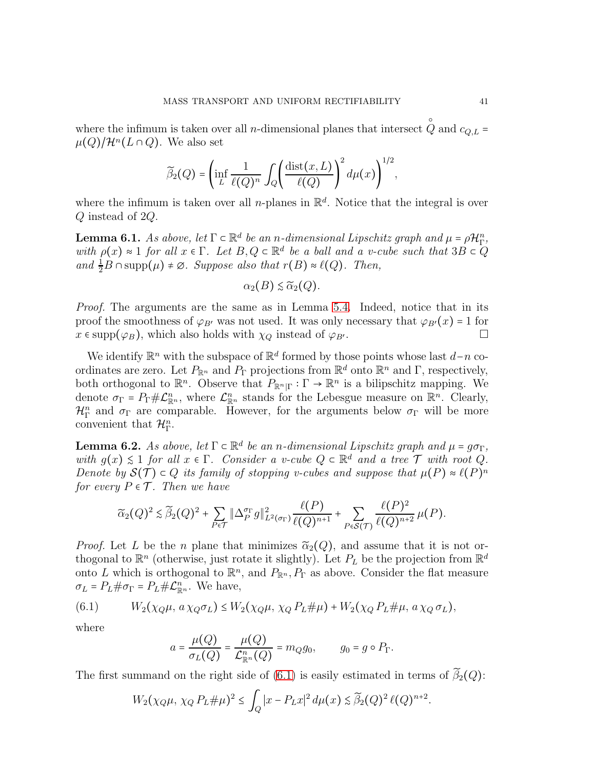where the infimum is taken over all *n*-dimensional planes that intersect  $Q$  and  $c_{Q,L}$  = ○  $\mu(Q)/\mathcal{H}^n(L\cap Q)$ . We also set

$$
\widetilde{\beta}_2(Q) = \left(\inf_L \frac{1}{\ell(Q)^n} \int_Q \left(\frac{\text{dist}(x,L)}{\ell(Q)}\right)^2 d\mu(x)\right)^{1/2},
$$

where the infimum is taken over all *n*-planes in  $\mathbb{R}^d$ . Notice that the integral is over Q instead of 2Q.

<span id="page-40-2"></span>**Lemma 6.1.** As above, let  $\Gamma \subset \mathbb{R}^d$  be an n-dimensional Lipschitz graph and  $\mu = \rho \mathcal{H}_{\Gamma}^n$ , *with*  $\rho(x) \approx 1$  *for all*  $x \in \Gamma$ *. Let*  $B, Q \subset \mathbb{R}^d$  *be a ball and a v-cube such that*  $3B \subset Q$ *and*  $\frac{1}{2}B \cap \text{supp}(\mu) \neq \emptyset$ *. Suppose also that*  $r(B) \approx \ell(Q)$ *. Then,* 

$$
\alpha_2(B) \lesssim \widetilde{\alpha}_2(Q).
$$

*Proof.* The arguments are the same as in Lemma [5.4.](#page-39-2) Indeed, notice that in its proof the smoothness of  $\varphi_{B'}$  was not used. It was only necessary that  $\varphi_{B'}(x) = 1$  for  $x \in \text{supp}(\varphi_B)$  which also holds with  $\chi_{\Omega}$  instead of  $\varphi_{B'}$  $x \in \text{supp}(\varphi_B)$ , which also holds with  $\chi_Q$  instead of  $\varphi_{B'}$ .

We identify  $\mathbb{R}^n$  with the subspace of  $\mathbb{R}^d$  formed by those points whose last  $d-n$  coordinates are zero. Let  $P_{\mathbb{R}^n}$  and  $P_{\Gamma}$  projections from  $\mathbb{R}^d$  onto  $\mathbb{R}^n$  and  $\Gamma$ , respectively, both orthogonal to  $\mathbb{R}^n$ . Observe that  $P_{\mathbb{R}^n|\Gamma}: \Gamma \to \mathbb{R}^n$  is a bilipschitz mapping. We denote  $\sigma_{\Gamma} = P_{\Gamma} \# \mathcal{L}_{\mathbb{R}^n}^n$ , where  $\mathcal{L}_{\mathbb{R}^n}^n$  stands for the Lebesgue measure on  $\mathbb{R}^n$ . Clearly,  $\mathcal{H}_{\Gamma}^{n}$  and  $\sigma_{\Gamma}$  are comparable. However, for the arguments below  $\sigma_{\Gamma}$  will be more convenient that  $\mathcal{H}_{\Gamma}^n$ .

<span id="page-40-1"></span>**Lemma 6.2.** As above, let  $\Gamma \subset \mathbb{R}^d$  be an *n*-dimensional Lipschitz graph and  $\mu = q\sigma_{\Gamma}$ , *with*  $g(x) \leq 1$  *for all*  $x \in \Gamma$ *. Consider a v-cube*  $Q \subset \mathbb{R}^d$  *and a tree*  $\mathcal T$  *with root*  $Q$ *. Denote by*  $\mathcal{S}(\mathcal{T}) \subset Q$  *its family of stopping v-cubes and suppose that*  $\mu(P) \approx \ell(P)^n$ *for every*  $P \in \mathcal{T}$ *. Then we have* 

$$
\widetilde{\alpha}_2(Q)^2 \lesssim \widetilde{\beta}_2(Q)^2 + \sum_{P \in \mathcal{T}} \|\Delta^{\sigma_{\Gamma}}_P g\|_{L^2(\sigma_{\Gamma})}^2 \frac{\ell(P)}{\ell(Q)^{n+1}} + \sum_{P \in \mathcal{S}(\mathcal{T})} \frac{\ell(P)^2}{\ell(Q)^{n+2}} \mu(P).
$$

*Proof.* Let L be the n plane that minimizes  $\tilde{\alpha}_2(Q)$ , and assume that it is not orthogonal to  $\mathbb{R}^n$  (otherwise, just rotate it slightly). Let  $P_L$  be the projection from  $\mathbb{R}^d$ onto L which is orthogonal to  $\mathbb{R}^n$ , and  $P_{\mathbb{R}^n}$ ,  $P_{\Gamma}$  as above. Consider the flat measure  $\sigma_L = P_L \# \sigma_\Gamma = P_L \# \mathcal{L}_{\mathbb{R}^n}^n$ . We have,

(6.1) 
$$
W_2(\chi_Q\mu, a\chi_Q\sigma_L) \le W_2(\chi_Q\mu, \chi_Q P_L \# \mu) + W_2(\chi_Q P_L \# \mu, a\chi_Q \sigma_L),
$$

where

<span id="page-40-0"></span>
$$
a = \frac{\mu(Q)}{\sigma_L(Q)} = \frac{\mu(Q)}{\mathcal{L}_{\mathbb{R}^n}^n(Q)} = m_Q g_0, \qquad g_0 = g \circ P_\Gamma.
$$

The first summand on the right side of [\(6.1\)](#page-40-0) is easily estimated in terms of  $\widetilde{\beta}_2(Q)$ :

$$
W_2(\chi_Q\mu, \chi_Q P_L \# \mu)^2 \le \int_Q |x - P_L x|^2 d\mu(x) \lesssim \widetilde{\beta}_2(Q)^2 \ell(Q)^{n+2}.
$$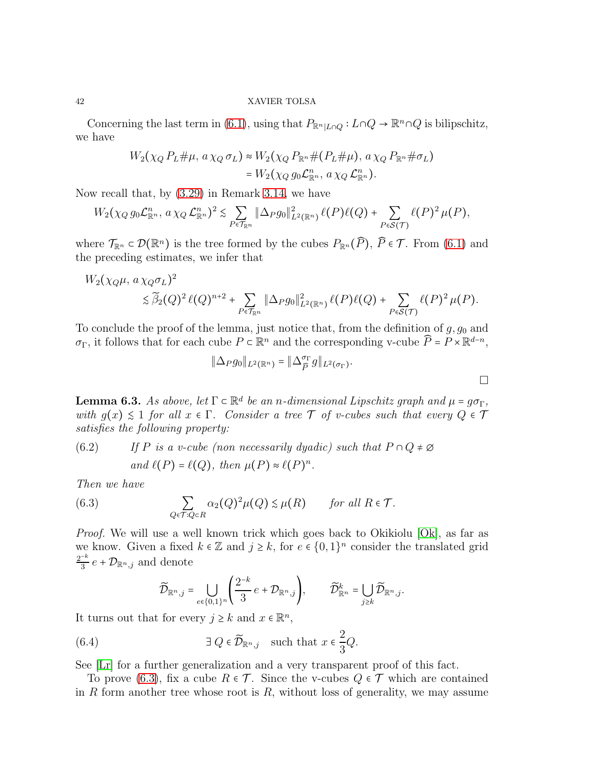Concerning the last term in [\(6.1\)](#page-40-0), using that  $P_{\mathbb{R}^n|L\cap Q} : L\cap Q \to \mathbb{R}^n \cap Q$  is bilipschitz, we have

$$
W_2(\chi_Q P_L \# \mu, a \chi_Q \sigma_L) \approx W_2(\chi_Q P_{\mathbb{R}^n} \# (P_L \# \mu), a \chi_Q P_{\mathbb{R}^n} \# \sigma_L)
$$
  
= 
$$
W_2(\chi_Q g_0 \mathcal{L}_{\mathbb{R}^n}^n, a \chi_Q \mathcal{L}_{\mathbb{R}^n}^n).
$$

Now recall that, by [\(3.29\)](#page-17-2) in Remark [3.14,](#page-17-3) we have

$$
W_2(\chi_Q g_0 \mathcal{L}_{\mathbb{R}^n}^n, a\chi_Q \mathcal{L}_{\mathbb{R}^n}^n)^2 \lesssim \sum_{P \in \mathcal{T}_{\mathbb{R}^n}} \|\Delta_P g_0\|_{L^2(\mathbb{R}^n)}^2 \ell(P) \ell(Q) + \sum_{P \in \mathcal{S}(\mathcal{T})} \ell(P)^2 \mu(P),
$$

where  $\mathcal{T}_{\mathbb{R}^n} \subset \mathcal{D}(\mathbb{R}^n)$  is the tree formed by the cubes  $P_{\mathbb{R}^n}(\widehat{P})$ ,  $\widehat{P} \in \mathcal{T}$ . From [\(6.1\)](#page-40-0) and the preceding estimates, we infer that

$$
W_2(\chi_Q\mu, a\chi_Q\sigma_L)^2
$$
  
\$\lesssim \widetilde{\beta}\_2(Q)^2 \ell(Q)^{n+2} + \sum\_{P \in \mathcal{T}\_{\mathbb{R}^n}} ||\Delta\_P g\_0||^2\_{L^2(\mathbb{R}^n)} \ell(P)\ell(Q) + \sum\_{P \in \mathcal{S}(\mathcal{T})} \ell(P)^2 \mu(P).

To conclude the proof of the lemma, just notice that, from the definition of  $g, g_0$  and σ<sub>Γ</sub>, it follows that for each cube  $P \subset \mathbb{R}^n$  and the corresponding v-cube  $\widehat{P} = P \times \mathbb{R}^{d-n}$ ,

$$
\|\Delta_P g_0\|_{L^2(\mathbb R^n)}=\|\Delta_{\widehat{P}}^{\sigma_\Gamma} g\|_{L^2(\sigma_\Gamma)}.
$$

 $\Box$ 

<span id="page-41-3"></span>**Lemma 6.3.** *As above, let*  $\Gamma \subset \mathbb{R}^d$  *be an n-dimensional Lipschitz graph and*  $\mu = g\sigma_{\Gamma}$ , *with*  $g(x) \leq 1$  *for all*  $x \in \Gamma$ *. Consider a tree*  $\mathcal{T}$  *of v-cubes such that every*  $Q \in \mathcal{T}$ *satisfies the following property:*

<span id="page-41-2"></span>(6.2) If P is a v-cube (non necessarily dyadic) such that 
$$
P \cap Q \neq \emptyset
$$
  
and  $\ell(P) = \ell(Q)$ , then  $\mu(P) \approx \ell(P)^n$ .

*Then we have*

(6.3) 
$$
\sum_{Q \in \mathcal{T}: Q \subset R} \alpha_2(Q)^2 \mu(Q) \lesssim \mu(R) \quad \text{for all } R \in \mathcal{T}.
$$

*Proof.* We will use a well known trick which goes back to Okikiolu [\[Ok\]](#page-50-18), as far as we know. Given a fixed  $k \in \mathbb{Z}$  and  $j \geq k$ , for  $e \in \{0,1\}^n$  consider the translated grid  $2^{-k}$  $\frac{-\kappa}{3} e + \mathcal{D}_{\mathbb{R}^n, j}$  and denote

<span id="page-41-1"></span><span id="page-41-0"></span>
$$
\widetilde{\mathcal{D}}_{\mathbb{R}^n,j} = \bigcup_{e \in \{0,1\}^n} \left( \frac{2^{-k}}{3} e + \mathcal{D}_{\mathbb{R}^n,j} \right), \qquad \widetilde{\mathcal{D}}_{\mathbb{R}^n}^k = \bigcup_{j \geq k} \widetilde{\mathcal{D}}_{\mathbb{R}^n,j}.
$$

It turns out that for every  $j \geq k$  and  $x \in \mathbb{R}^n$ ,

(6.4) 
$$
\exists Q \in \widetilde{\mathcal{D}}_{\mathbb{R}^n,j} \text{ such that } x \in \frac{2}{3}Q.
$$

See [\[Lr\]](#page-50-19) for a further generalization and a very transparent proof of this fact.

To prove [\(6.3\)](#page-41-0), fix a cube  $R \in \mathcal{T}$ . Since the v-cubes  $Q \in \mathcal{T}$  which are contained in R form another tree whose root is  $R$ , without loss of generality, we may assume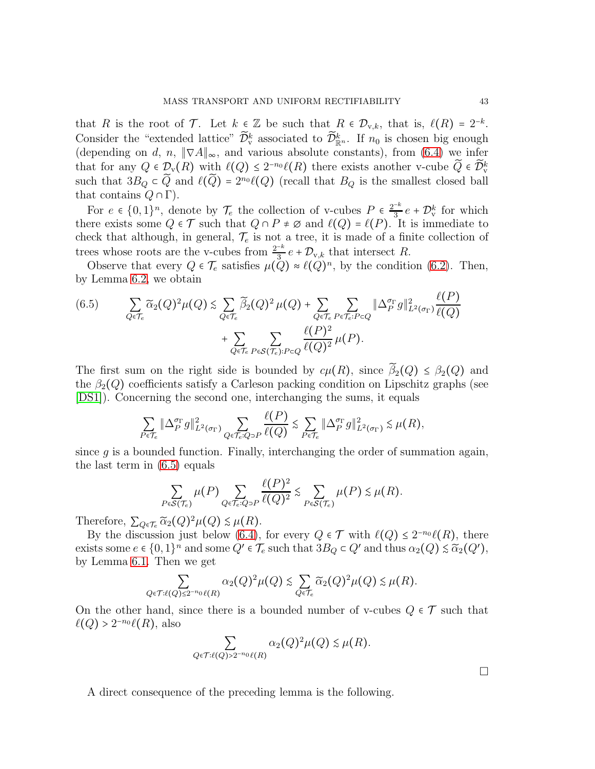that R is the root of T. Let  $k \in \mathbb{Z}$  be such that  $R \in \mathcal{D}_{v,k}$ , that is,  $\ell(R) = 2^{-k}$ . Consider the "extended lattice"  $\tilde{\mathcal{D}}_{\mathbf{v}}^k$  associated to  $\tilde{\mathcal{D}}_{\mathbb{R}^n}^k$ . If  $n_0$  is chosen big enough (depending on d, n,  $\|\nabla A\|_{\infty}$ , and various absolute constants), from [\(6.4\)](#page-41-1) we infer that for any  $Q \in \mathcal{D}_{\mathbf{v}}(R)$  with  $\ell(Q) \leq 2^{-n_0} \ell(R)$  there exists another v-cube  $\widetilde{Q} \in \widetilde{\mathcal{D}}_{\mathbf{v}}^k$ such that  $3B_Q \subset \tilde{Q}$  and  $\ell(\tilde{Q}) = 2^{n_0} \ell(Q)$  (recall that  $B_Q$  is the smallest closed ball that contains  $Q \cap \Gamma$ ).

For  $e \in \{0,1\}^n$ , denote by  $\mathcal{T}_e$  the collection of v-cubes  $P \in \frac{2^{-k}}{3}$  $\frac{-\kappa}{3}e + \mathcal{D}_{\mathrm{v}}^k$  for which there exists some  $Q \in \mathcal{T}$  such that  $Q \cap P \neq \emptyset$  and  $\ell(Q) = \ell(P)$ . It is immediate to check that although, in general,  $\mathcal{T}_e$  is not a tree, it is made of a finite collection of trees whose roots are the v-cubes from  $\frac{2^{-k}}{3}$  $\frac{-\kappa}{3}e + \mathcal{D}_{v,k}$  that intersect R.

Observe that every  $Q \in \mathcal{T}_e$  satisfies  $\mu(Q) \approx \ell(Q)^n$ , by the condition [\(6.2\)](#page-41-2). Then, by Lemma [6.2,](#page-40-1) we obtain

<span id="page-42-0"></span>
$$
(6.5) \qquad \sum_{Q \in \mathcal{T}_e} \widetilde{\alpha}_2(Q)^2 \mu(Q) \lesssim \sum_{Q \in \mathcal{T}_e} \widetilde{\beta}_2(Q)^2 \mu(Q) + \sum_{Q \in \mathcal{T}_e} \sum_{P \in \mathcal{T}_e: P \subset Q} \|\Delta_P^{\sigma_{\Gamma}} g\|_{L^2(\sigma_{\Gamma})}^2 \frac{\ell(P)}{\ell(Q)} + \sum_{Q \in \mathcal{T}_e} \sum_{P \in \mathcal{S}(\mathcal{T}_e): P \subset Q} \frac{\ell(P)^2}{\ell(Q)^2} \mu(P).
$$

The first sum on the right side is bounded by  $c\mu(R)$ , since  $\tilde{\beta}_2(Q) \leq \beta_2(Q)$  and the  $\beta_2(Q)$  coefficients satisfy a Carleson packing condition on Lipschitz graphs (see [\[DS1\]](#page-50-8)). Concerning the second one, interchanging the sums, it equals

$$
\sum_{P \in \mathcal{T}_e} \|\Delta_P^{\sigma_{\Gamma}}g\|_{L^2(\sigma_{\Gamma})}^2 \sum_{Q \in \mathcal{T}_e: Q \supset P} \frac{\ell(P)}{\ell(Q)} \lesssim \sum_{P \in \mathcal{T}_e} \|\Delta_P^{\sigma_{\Gamma}}g\|_{L^2(\sigma_{\Gamma})}^2 \lesssim \mu(R),
$$

since  $q$  is a bounded function. Finally, interchanging the order of summation again, the last term in [\(6.5\)](#page-42-0) equals

$$
\sum_{P \in \mathcal{S}(\mathcal{T}_e)} \mu(P) \sum_{Q \in \mathcal{T}_e: Q \supset P} \frac{\ell(P)^2}{\ell(Q)^2} \lesssim \sum_{P \in \mathcal{S}(\mathcal{T}_e)} \mu(P) \lesssim \mu(R).
$$

Therefore,  $\sum_{Q \in \mathcal{T}_e} \widetilde{\alpha}_2(Q)^2 \mu(Q) \lesssim \mu(R)$ .

By the discussion just below [\(6.4\)](#page-41-1), for every  $Q \in \mathcal{T}$  with  $\ell(Q) \leq 2^{-n_0} \ell(R)$ , there exists some  $e \in \{0,1\}^n$  and some  $Q' \in \mathcal{T}_e$  such that  $3B_Q \subset Q'$  and thus  $\alpha_2(Q) \lesssim \widetilde{\alpha}_2(Q')$ , by Lemma [6.1.](#page-40-2) Then we get

$$
\sum_{Q \in \mathcal{T}: \ell(Q) \leq 2^{-n_0} \ell(R)} \alpha_2(Q)^2 \mu(Q) \lesssim \sum_{Q \in \mathcal{T}_e} \widetilde{\alpha}_2(Q)^2 \mu(Q) \lesssim \mu(R).
$$

On the other hand, since there is a bounded number of v-cubes  $Q \in \mathcal{T}$  such that  $\ell(Q)$  >  $2^{-n_0}\ell(R)$ , also

$$
\sum_{Q \in \mathcal{T}:\ell(Q) > 2^{-n_0} \ell(R)} \alpha_2(Q)^2 \mu(Q) \lesssim \mu(R).
$$

A direct consequence of the preceding lemma is the following.

 $\Box$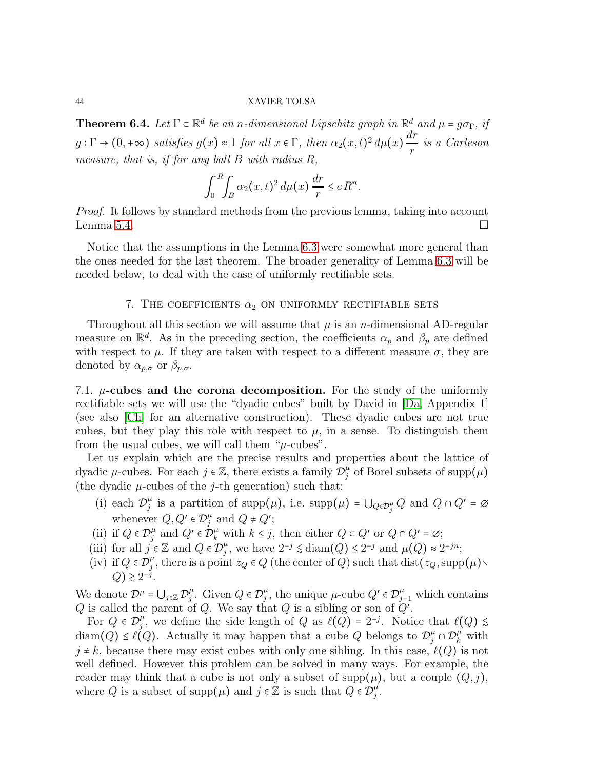**Theorem 6.4.** *Let*  $\Gamma \subset \mathbb{R}^d$  *be an n-dimensional Lipschitz graph in*  $\mathbb{R}^d$  *and*  $\mu = g \sigma_{\Gamma}$ *, if*  $g:\Gamma \to (0,+\infty)$  satisfies  $g(x) \approx 1$  for all  $x \in \Gamma$ , then  $\alpha_2(x,t)^2 d\mu(x) \frac{dr}{dx}$ r *is a Carleson measure, that is, if for any ball* B *with radius* R*,*

$$
\int_0^R \int_B \alpha_2(x,t)^2 d\mu(x) \frac{dr}{r} \leq c R^n.
$$

*Proof.* It follows by standard methods from the previous lemma, taking into account Lemma [5.4.](#page-39-2)  $\Box$ 

Notice that the assumptions in the Lemma [6.3](#page-41-3) were somewhat more general than the ones needed for the last theorem. The broader generality of Lemma [6.3](#page-41-3) will be needed below, to deal with the case of uniformly rectifiable sets.

# 7. THE COEFFICIENTS  $\alpha_2$  ON UNIFORMLY RECTIFIABLE SETS

<span id="page-43-0"></span>Throughout all this section we will assume that  $\mu$  is an *n*-dimensional AD-regular measure on  $\mathbb{R}^d$ . As in the preceding section, the coefficients  $\alpha_p$  and  $\beta_p$  are defined with respect to  $\mu$ . If they are taken with respect to a different measure  $\sigma$ , they are denoted by  $\alpha_{p,\sigma}$  or  $\beta_{p,\sigma}$ .

7.1.  $\mu$ -cubes and the corona decomposition. For the study of the uniformly rectifiable sets we will use the "dyadic cubes" built by David in [\[Da,](#page-50-17) Appendix 1] (see also [\[Ch\]](#page-50-20) for an alternative construction). These dyadic cubes are not true cubes, but they play this role with respect to  $\mu$ , in a sense. To distinguish them from the usual cubes, we will call them " $\mu$ -cubes".

Let us explain which are the precise results and properties about the lattice of dyadic  $\mu$ -cubes. For each  $j \in \mathbb{Z}$ , there exists a family  $\mathcal{D}_j^{\mu}$  $_j^\mu$  of Borel subsets of  $\operatorname{supp}(\mu)$ (the dyadic  $\mu$ -cubes of the *j*-th generation) such that:

- (i) each  $\mathcal{D}_i^{\mu}$  $_j^{\mu}$  is a partition of supp $(\mu)$ , i.e. supp $(\mu) = \bigcup_{Q \in \mathcal{D}_j^{\mu}} Q$  and  $Q \cap Q' = \emptyset$ whenever  $Q, Q' \in \mathcal{D}_j^{\mu}$  $_j^{\mu}$  and  $Q \neq Q'$ ;
- (ii) if  $Q \in \mathcal{D}_j^{\mu}$  $j^{\mu}$  and  $Q' \in \mathcal{D}_{k}^{\mu}$  with  $k \leq j$ , then either  $Q \subset Q'$  or  $Q \cap Q' = \emptyset$ ;
- (iii) for all  $j \in \mathbb{Z}$  and  $Q \in \mathcal{D}_j^{\mu}$  $j^{\mu}$ , we have  $2^{-j} \leq \text{diam}(Q) \leq 2^{-j}$  and  $\mu(Q) \approx 2^{-jn}$ ;
- (iv) if  $Q \in \mathcal{D}_j^{\mu}$  $_j^{\mu}$ , there is a point  $z_Q \in Q$  (the center of Q) such that  $dist(z_Q, supp(\mu) \setminus$  $Q$ )  $\geq 2^{-j}$ .

We denote  $\mathcal{D}^{\mu} = \bigcup_{j \in \mathbb{Z}} \mathcal{D}_{j}^{\mu}$  $_{j}^{\mu}$ . Given  $Q \in \mathcal{D}_{j}^{\mu}$  $_j^{\mu}$ , the unique  $\mu$ -cube  $Q' \in \mathcal{D}_{j-1}^{\mu}$  which contains Q is called the parent of Q. We say that Q is a sibling or son of  $Q'$ .

For  $Q \in \mathcal{D}_j^{\mu}$  $_j^{\mu}$ , we define the side length of Q as  $\ell(Q) = 2^{-j}$ . Notice that  $\ell(Q) \leq$ diam(Q)  $\leq \ell(Q)$ . Actually it may happen that a cube Q belongs to  $\mathcal{D}_j^{\mu} \cap \mathcal{D}_k^{\mu}$  with  $j \neq k$ , because there may exist cubes with only one sibling. In this case,  $\ell(Q)$  is not well defined. However this problem can be solved in many ways. For example, the reader may think that a cube is not only a subset of supp $(\mu)$ , but a couple  $(Q, j)$ , where Q is a subset of supp $(\mu)$  and  $j \in \mathbb{Z}$  is such that  $Q \in \mathcal{D}_j^{\mu}$  $_{j}^{\mu}$  .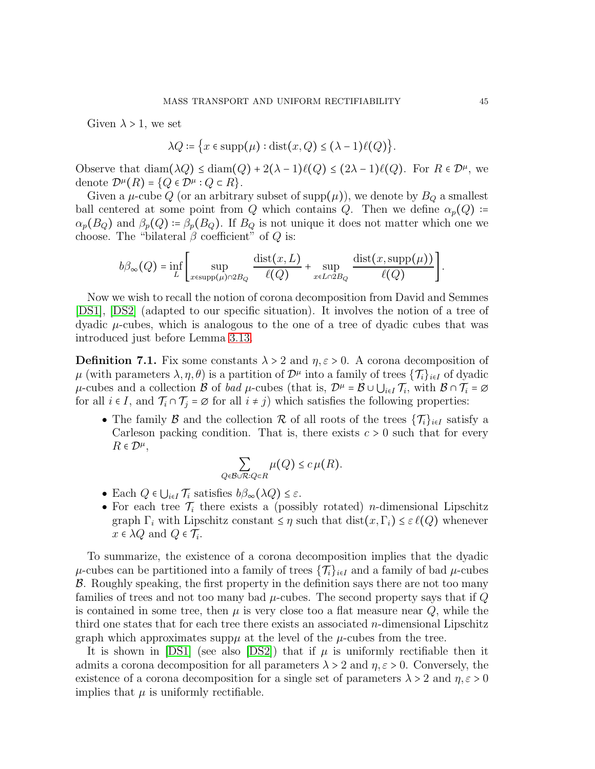Given  $\lambda > 1$ , we set

$$
\lambda Q \coloneqq \big\{ x \in \text{supp}(\mu) : \text{dist}(x, Q) \le (\lambda - 1)\ell(Q) \big\}.
$$

Observe that  $\text{diam}(\lambda Q) \leq \text{diam}(Q) + 2(\lambda - 1)\ell(Q) \leq (2\lambda - 1)\ell(Q)$ . For  $R \in \mathcal{D}^{\mu}$ , we denote  $\mathcal{D}^{\mu}(R) = \{Q \in \mathcal{D}^{\mu} : Q \subset R\}.$ 

Given a  $\mu$ -cube Q (or an arbitrary subset of supp $(\mu)$ ), we denote by  $B_Q$  a smallest ball centered at some point from Q which contains Q. Then we define  $\alpha_p(Q)$  :=  $\alpha_p(B_Q)$  and  $\beta_p(Q) = \beta_p(B_Q)$ . If  $B_Q$  is not unique it does not matter which one we choose. The "bilateral  $\beta$  coefficient" of  $Q$  is:

$$
b\beta_{\infty}(Q) = \inf_{L} \left[ \sup_{x \in \text{supp}(\mu) \cap 2B_Q} \frac{\text{dist}(x, L)}{\ell(Q)} + \sup_{x \in L \cap 2B_Q} \frac{\text{dist}(x, \text{supp}(\mu))}{\ell(Q)} \right].
$$

Now we wish to recall the notion of corona decomposition from David and Semmes [\[DS1\]](#page-50-8), [\[DS2\]](#page-50-0) (adapted to our specific situation). It involves the notion of a tree of dyadic  $\mu$ -cubes, which is analogous to the one of a tree of dyadic cubes that was introduced just before Lemma [3.13.](#page-14-1)

<span id="page-44-0"></span>**Definition 7.1.** Fix some constants  $\lambda > 2$  and  $\eta, \varepsilon > 0$ . A corona decomposition of  $\mu$  (with parameters  $\lambda, \eta, \theta$ ) is a partition of  $\mathcal{D}^{\mu}$  into a family of trees  $\{\mathcal{T}_i\}_{i\in I}$  of dyadic  $\mu$ -cubes and a collection B of *bad*  $\mu$ -cubes (that is,  $\mathcal{D}^{\mu} = \mathcal{B} \cup \bigcup_{i \in I} \mathcal{T}_i$ , with  $\mathcal{B} \cap \mathcal{T}_i = \varnothing$ for all  $i \in I$ , and  $\mathcal{T}_i \cap \mathcal{T}_j = \emptyset$  for all  $i \neq j$ ) which satisfies the following properties:

• The family B and the collection R of all roots of the trees  $\{\mathcal{T}_i\}_{i\in I}$  satisfy a Carleson packing condition. That is, there exists  $c > 0$  such that for every  $R \in \mathcal{D}^{\mu}$ ,

$$
\sum_{Q \in \mathcal{B} \cup \mathcal{R}: Q \subset R} \mu(Q) \leq c \,\mu(R).
$$

- Each  $Q \in \bigcup_{i \in I} \mathcal{T}_i$  satisfies  $b\beta_{\infty}(\lambda Q) \leq \varepsilon$ .
- For each tree  $\mathcal{T}_i$  there exists a (possibly rotated) *n*-dimensional Lipschitz graph  $\Gamma_i$  with Lipschitz constant  $\leq \eta$  such that  $dist(x, \Gamma_i) \leq \varepsilon \ell(Q)$  whenever  $x \in \lambda Q$  and  $Q \in \mathcal{T}_i$ .

To summarize, the existence of a corona decomposition implies that the dyadic  $\mu$ -cubes can be partitioned into a family of trees  $\{\mathcal{T}_i\}_{i\in I}$  and a family of bad  $\mu$ -cubes B. Roughly speaking, the first property in the definition says there are not too many families of trees and not too many bad  $\mu$ -cubes. The second property says that if  $Q$ is contained in some tree, then  $\mu$  is very close too a flat measure near  $Q$ , while the third one states that for each tree there exists an associated  $n$ -dimensional Lipschitz graph which approximates supp $\mu$  at the level of the  $\mu$ -cubes from the tree.

It is shown in [\[DS1\]](#page-50-8) (see also [\[DS2\]](#page-50-0)) that if  $\mu$  is uniformly rectifiable then it admits a corona decomposition for all parameters  $\lambda > 2$  and  $\eta, \varepsilon > 0$ . Conversely, the existence of a corona decomposition for a single set of parameters  $\lambda > 2$  and  $\eta, \varepsilon > 0$ implies that  $\mu$  is uniformly rectifiable.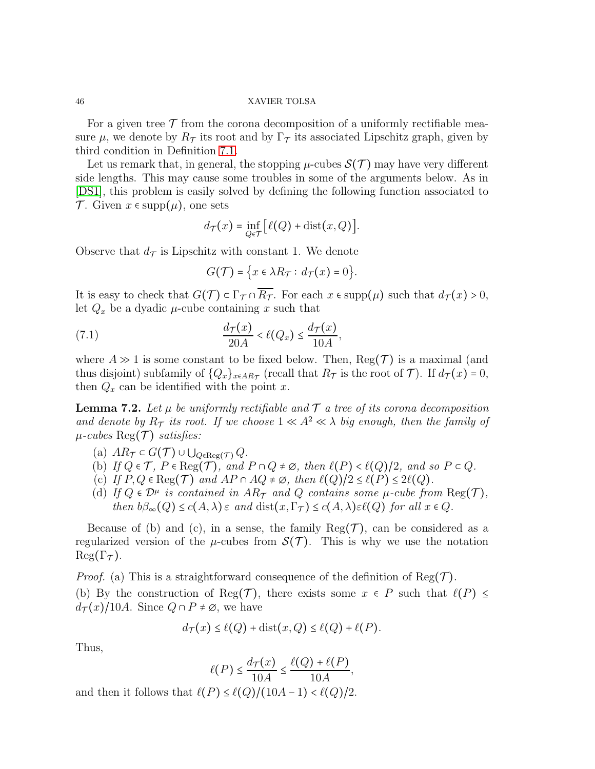For a given tree  $\mathcal T$  from the corona decomposition of a uniformly rectifiable measure  $\mu$ , we denote by  $R_{\mathcal{T}}$  its root and by  $\Gamma_{\mathcal{T}}$  its associated Lipschitz graph, given by third condition in Definition [7.1.](#page-44-0)

Let us remark that, in general, the stopping  $\mu$ -cubes  $\mathcal{S}(\mathcal{T})$  may have very different side lengths. This may cause some troubles in some of the arguments below. As in [\[DS1\]](#page-50-8), this problem is easily solved by defining the following function associated to T. Given  $x \in \text{supp}(\mu)$ , one sets

$$
d_{\mathcal{T}}(x) = \inf_{Q \in \mathcal{T}} \bigl[ \ell(Q) + \text{dist}(x, Q) \bigr].
$$

Observe that  $d_{\mathcal{T}}$  is Lipschitz with constant 1. We denote

<span id="page-45-0"></span>
$$
G(\mathcal{T})=\big\{x\in\lambda R_{\mathcal{T}}:\,d_{\mathcal{T}}(x)=0\big\}.
$$

It is easy to check that  $G(\mathcal{T}) \subset \Gamma_{\mathcal{T}} \cap \overline{R_{\mathcal{T}}}$ . For each  $x \in \text{supp}(\mu)$  such that  $d_{\mathcal{T}}(x) > 0$ , let  $Q_x$  be a dyadic  $\mu$ -cube containing x such that

(7.1) 
$$
\frac{d_{\mathcal{T}}(x)}{20A} < \ell(Q_x) \leq \frac{d_{\mathcal{T}}(x)}{10A},
$$

where  $A \gg 1$  is some constant to be fixed below. Then,  $\text{Reg}(\mathcal{T})$  is a maximal (and thus disjoint) subfamily of  $\{Q_x\}_{x \in AR_{\mathcal{T}}}$  (recall that  $R_{\mathcal{T}}$  is the root of  $\mathcal{T}$ ). If  $d_{\mathcal{T}}(x) = 0$ , then  $Q_x$  can be identified with the point x.

<span id="page-45-1"></span>**Lemma 7.2.** Let  $\mu$  be uniformly rectifiable and  $\mathcal T$  a tree of its corona decomposition *and denote by*  $R_{\tau}$  *its root. If we choose*  $1 \ll A^2 \ll \lambda$  *big enough, then the family of*  $\mu$ -cubes Reg(T) *satisfies*:

- (a)  $AR_{\mathcal{T}} \subset G(\mathcal{T}) \cup \bigcup_{Q \in \text{Reg}(\mathcal{T})} Q$ .
- (b) *If*  $Q \in \mathcal{T}$ *,*  $P \in \text{Reg}(\mathcal{T})$ *, and*  $P \cap Q \neq \emptyset$ *, then*  $\ell(P) < \ell(Q)/2$ *, and so*  $P \subset Q$ *.*
- (c) *If*  $P, Q \in \text{Reg}(\mathcal{T})$  *and*  $AP \cap AQ \neq \emptyset$ *, then*  $\ell(Q)/2 \leq \ell(P) \leq 2\ell(Q)$ *.*
- (d) If  $Q \in \mathcal{D}^{\mu}$  *is contained in*  $AR_{\tau}$  *and*  $Q$  *contains some*  $\mu$ -*cube from*  $\text{Reg}(\tau)$ *, then*  $b\beta_{\infty}(Q) \leq c(A, \lambda) \varepsilon$  *and*  $dist(x, \Gamma_{\mathcal{T}}) \leq c(A, \lambda) \varepsilon \ell(Q)$  *for all*  $x \in Q$ *.*

Because of (b) and (c), in a sense, the family  $\text{Reg}(\mathcal{T})$ , can be considered as a regularized version of the  $\mu$ -cubes from  $\mathcal{S}(\mathcal{T})$ . This is why we use the notation  $\text{Reg}(\Gamma_{\mathcal{T}}).$ 

*Proof.* (a) This is a straightforward consequence of the definition of  $\text{Reg}(\mathcal{T})$ . (b) By the construction of Reg(T), there exists some  $x \in P$  such that  $\ell(P) \leq$  $d_{\mathcal{T}}(x)/10A$ . Since  $Q \cap P \neq \emptyset$ , we have

$$
d_{\mathcal{T}}(x) \leq \ell(Q) + \text{dist}(x, Q) \leq \ell(Q) + \ell(P).
$$

Thus,

$$
\ell(P) \le \frac{d_{\mathcal{T}}(x)}{10A} \le \frac{\ell(Q) + \ell(P)}{10A},
$$

and then it follows that  $\ell(P) \leq \ell(Q)/(10A-1) < \ell(Q)/2$ .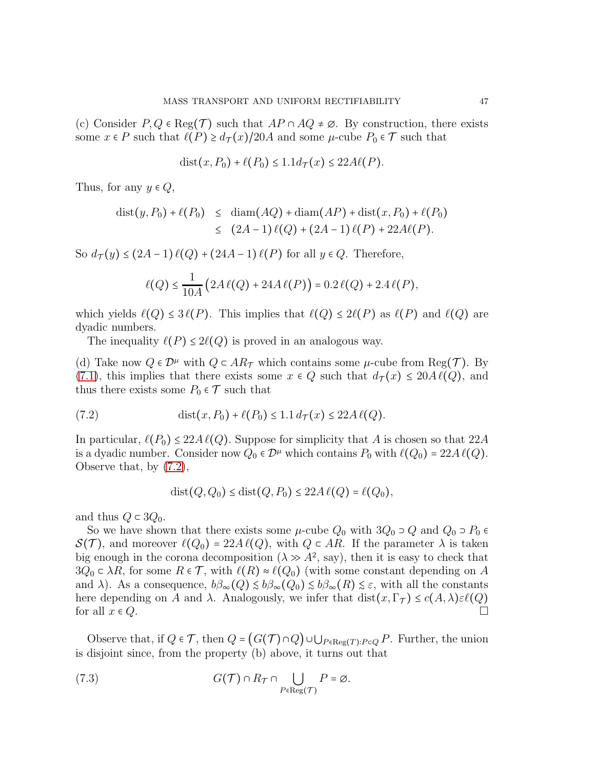(c) Consider  $P, Q \in \text{Reg}(\mathcal{T})$  such that  $AP \cap AQ \neq \emptyset$ . By construction, there exists some  $x \in P$  such that  $\ell(P) \geq d_{\mathcal{T}}(x)/20A$  and some  $\mu$ -cube  $P_0 \in \mathcal{T}$  such that

$$
dist(x, P_0) + \ell(P_0) \le 1.1 d_{\mathcal{T}}(x) \le 22A\ell(P).
$$

Thus, for any  $y \in Q$ ,

dist
$$
(y, P_0)
$$
 +  $\ell(P_0)$   $\leq$  diam $(AQ)$  + diam $(AP)$  + dist $(x, P_0)$  +  $\ell(P_0)$   
 $\leq$   $(2A - 1) \ell(Q) + (2A - 1) \ell(P) + 22A\ell(P)$ .

So  $d_{\mathcal{T}}(y) \leq (2A-1)\ell(Q) + (24A-1)\ell(P)$  for all  $y \in Q$ . Therefore,

$$
\ell(Q) \le \frac{1}{10A} \left( 2A \ell(Q) + 24A \ell(P) \right) = 0.2 \ell(Q) + 2.4 \ell(P),
$$

which yields  $\ell(Q) \leq 3\ell(P)$ . This implies that  $\ell(Q) \leq 2\ell(P)$  as  $\ell(P)$  and  $\ell(Q)$  are dyadic numbers.

The inequality  $\ell(P) \leq 2\ell(Q)$  is proved in an analogous way.

(d) Take now  $Q \in \mathcal{D}^{\mu}$  with  $Q \subset AR_{\tau}$  which contains some  $\mu$ -cube from Reg( $\tau$ ). By [\(7.1\)](#page-45-0), this implies that there exists some  $x \in Q$  such that  $d_{\mathcal{T}}(x) \leq 20A\ell(Q)$ , and thus there exists some  $P_0 \in \mathcal{T}$  such that

(7.2) 
$$
\text{dist}(x, P_0) + \ell(P_0) \le 1.1 d_{\mathcal{T}}(x) \le 22A \ell(Q).
$$

In particular,  $\ell(P_0) \leq 22A\ell(Q)$ . Suppose for simplicity that A is chosen so that  $22A$ is a dyadic number. Consider now  $Q_0 \in \mathcal{D}^{\mu}$  which contains  $P_0$  with  $\ell(Q_0) = 22A \ell(Q)$ . Observe that, by [\(7.2\)](#page-46-0),

<span id="page-46-0"></span>
$$
dist(Q, Q_0) \leq dist(Q, P_0) \leq 22A \ell(Q) = \ell(Q_0),
$$

and thus  $Q \subset 3Q_0$ .

So we have shown that there exists some  $\mu$ -cube  $Q_0$  with  $3Q_0 \supset Q$  and  $Q_0 \supset P_0 \in$  $S(\mathcal{T})$ , and moreover  $\ell(Q_0) = 22A\ell(Q)$ , with  $Q \in AR$ . If the parameter  $\lambda$  is taken big enough in the corona decomposition  $(\lambda \gg A^2, \text{ say})$ , then it is easy to check that  $3Q_0 \subset \lambda R$ , for some  $R \in \mathcal{T}$ , with  $\ell(R) \approx \ell(Q_0)$  (with some constant depending on A and  $\lambda$ ). As a consequence,  $b\beta_{\infty}(Q) \leq b\beta_{\infty}(Q_0) \leq b\beta_{\infty}(R) \leq \varepsilon$ , with all the constants here depending on A and  $\lambda$ . Analogously, we infer that dist $(x, \Gamma_{\mathcal{T}}) \leq c(A, \lambda) \varepsilon \ell(Q)$ <br>for all  $x \in \Omega$ . for all  $x \in Q$ .

Observe that, if  $Q \in \mathcal{T}$ , then  $Q = (G(\mathcal{T}) \cap Q) \cup \bigcup_{P \in \text{Reg}(T): P \subset Q} P$ . Further, the union is disjoint since, from the property (b) above, it turns out that

<span id="page-46-1"></span>(7.3) 
$$
G(\mathcal{T}) \cap R_{\mathcal{T}} \cap \bigcup_{P \in \text{Reg}(\mathcal{T})} P = \emptyset.
$$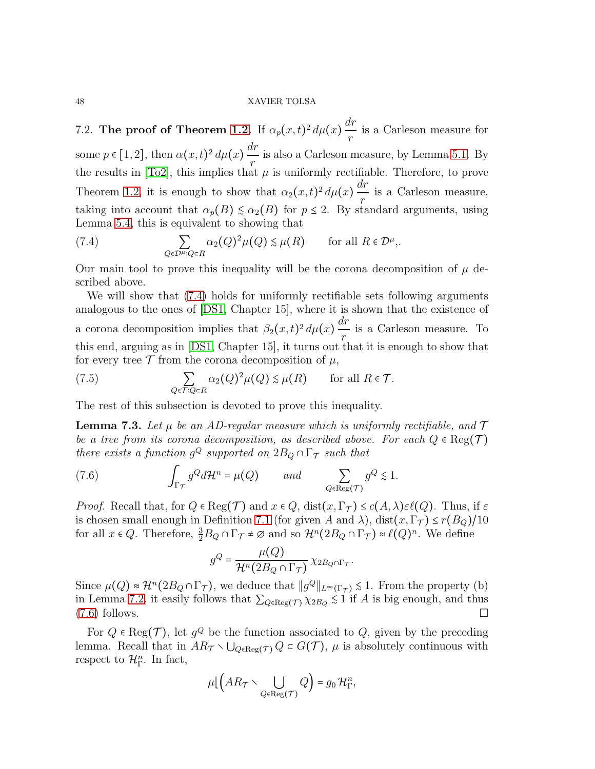7.2. The proof of Theorem [1.2.](#page-4-0) If  $\alpha_p(x,t)^2 d\mu(x) \frac{dr}{x}$ r is a Carleson measure for some  $p \in [1,2]$ , then  $\alpha(x,t)^2 d\mu(x) \frac{dr}{x}$ r is also a Carleson measure, by Lemma [5.1.](#page-35-0) By the results in [\[To2\]](#page-50-9), this implies that  $\mu$  is uniformly rectifiable. Therefore, to prove Theorem [1.2,](#page-4-0) it is enough to show that  $\alpha_2(x,t)^2 d\mu(x) \frac{dr}{x}$ r is a Carleson measure, taking into account that  $\alpha_p(B) \leq \alpha_2(B)$  for  $p \leq 2$ . By standard arguments, using Lemma [5.4,](#page-39-2) this is equivalent to showing that

<span id="page-47-0"></span>(7.4) 
$$
\sum_{Q \in \mathcal{D}^{\mu}: Q \subset R} \alpha_2(Q)^2 \mu(Q) \lesssim \mu(R) \quad \text{for all } R \in \mathcal{D}^{\mu},
$$

Our main tool to prove this inequality will be the corona decomposition of  $\mu$  described above.

We will show that [\(7.4\)](#page-47-0) holds for uniformly rectifiable sets following arguments analogous to the ones of [\[DS1,](#page-50-8) Chapter 15], where it is shown that the existence of a corona decomposition implies that  $\beta_2(x,t)^2 d\mu(x) \frac{dr}{x}$ r is a Carleson measure. To this end, arguing as in [\[DS1,](#page-50-8) Chapter 15], it turns out that it is enough to show that for every tree  $\mathcal T$  from the corona decomposition of  $\mu$ ,

<span id="page-47-2"></span>(7.5) 
$$
\sum_{Q \in \mathcal{T}: Q \subset R} \alpha_2(Q)^2 \mu(Q) \lesssim \mu(R) \quad \text{for all } R \in \mathcal{T}.
$$

The rest of this subsection is devoted to prove this inequality.

**Lemma 7.3.** Let  $\mu$  be an AD-regular measure which is uniformly rectifiable, and  $\mathcal{T}$ *be a tree from its corona decomposition, as described above. For each*  $Q \in \text{Reg}(\mathcal{T})$ *there exists a function*  $g^Q$  *supported on*  $2B_Q \cap \Gamma_T$  *such that* 

(7.6) 
$$
\int_{\Gamma_{\mathcal{T}}} g^Q d\mathcal{H}^n = \mu(Q) \quad and \quad \sum_{Q \in \text{Reg}(\mathcal{T})} g^Q \lesssim 1.
$$

*Proof.* Recall that, for  $Q \in \text{Reg}(\mathcal{T})$  and  $x \in Q$ ,  $dist(x, \Gamma_{\mathcal{T}}) \leq c(A, \lambda) \varepsilon \ell(Q)$ . Thus, if  $\varepsilon$ is chosen small enough in Definition [7.1](#page-44-0) (for given A and  $\lambda$ ), dist $(x, \Gamma_{\mathcal{T}}) \leq r(B_Q)/10$ for all  $x \in Q$ . Therefore,  $\frac{3}{2}B_Q \cap \Gamma_{\mathcal{T}} \neq \emptyset$  and so  $\mathcal{H}^n(2B_Q \cap \Gamma_{\mathcal{T}}) \approx \ell(Q)^n$ . We define

<span id="page-47-1"></span>
$$
g^{Q} = \frac{\mu(Q)}{\mathcal{H}^{n}(2B_{Q} \cap \Gamma_{\mathcal{T}})} \chi_{2B_{Q} \cap \Gamma_{\mathcal{T}}}.
$$

Since  $\mu(Q) \approx H^n(2B_Q \cap \Gamma_T)$ , we deduce that  $||g^Q||_{L^{\infty}(\Gamma_T)} \lesssim 1$ . From the property (b) in Lemma [7.2,](#page-45-1) it easily follows that  $\sum_{Q \in \text{Reg}(\mathcal{T})} \chi_{2B_Q} \leq 1$  if A is big enough, and thus  $(7.6)$  follows.

For  $Q \in \text{Reg}(\mathcal{T})$ , let  $g^Q$  be the function associated to  $Q$ , given by the preceding lemma. Recall that in  $AR_{\mathcal{T}} \setminus \bigcup_{Q \in \text{Reg}(\mathcal{T})} Q \subset G(\mathcal{T})$ ,  $\mu$  is absolutely continuous with respect to  $\mathcal{H}_{\Gamma}^n$ . In fact,

$$
\mu\big(\big(AR_{\mathcal{T}}\setminus \bigcup_{Q\in \text{Reg}(\mathcal{T})}Q\big)=g_0\,\mathcal{H}_\Gamma^n,
$$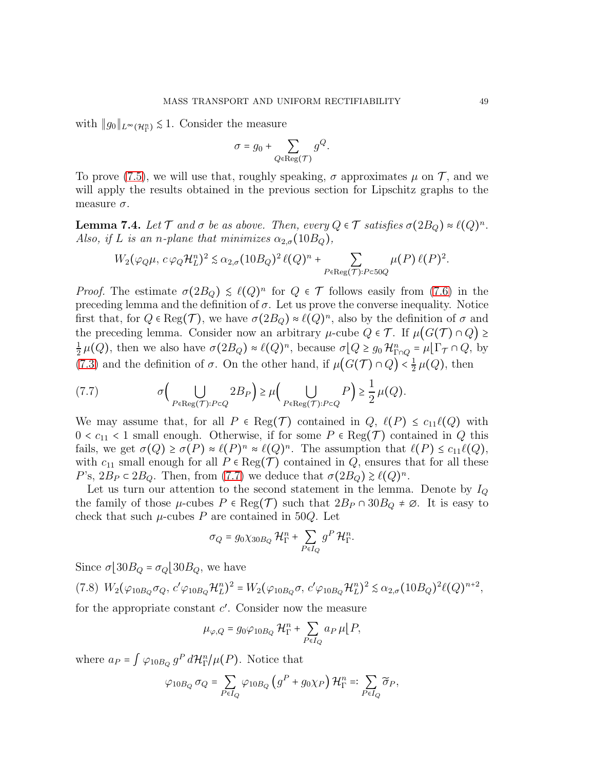with  $||g_0||_{L^{\infty}(\mathcal{H}_{\Gamma}^n)} \lesssim 1$ . Consider the measure

$$
\sigma = g_0 + \sum_{Q \in \text{Reg}(\mathcal{T})} g^Q.
$$

To prove [\(7.5\)](#page-47-2), we will use that, roughly speaking,  $\sigma$  approximates  $\mu$  on  $\mathcal{T}$ , and we will apply the results obtained in the previous section for Lipschitz graphs to the measure  $\sigma$ .

**Lemma 7.4.** Let  $\mathcal T$  and  $\sigma$  be as above. Then, every  $Q \in \mathcal T$  satisfies  $\sigma(2B_Q) \approx \ell(Q)^n$ . *Also, if* L *is an n-plane that minimizes*  $\alpha_{2,\sigma}(10B_Q)$ ,

$$
W_2(\varphi_Q\mu, c\varphi_Q\mathcal{H}_L^n)^2 \lesssim \alpha_{2,\sigma}(10B_Q)^2 \ell(Q)^n + \sum_{P \in \text{Reg}(\mathcal{T}): P \subset 50Q} \mu(P) \ell(P)^2.
$$

*Proof.* The estimate  $\sigma(2B_Q) \leq \ell(Q)^n$  for  $Q \in \mathcal{T}$  follows easily from [\(7.6\)](#page-47-1) in the preceding lemma and the definition of  $\sigma$ . Let us prove the converse inequality. Notice first that, for  $Q \in \text{Reg}(\mathcal{T})$ , we have  $\sigma(2B_Q) \approx \ell(Q)^n$ , also by the definition of  $\sigma$  and the preceding lemma. Consider now an arbitrary  $\mu$ -cube  $Q \in \mathcal{T}$ . If  $\mu(G(\mathcal{T}) \cap Q) \ge$ 1  $\frac{1}{2}\,\mu(Q)$ , then we also have  $\sigma(2B_Q) \approx \ell(Q)^n$ , because  $\sigma[Q \geq g_0 \mathcal{H}_{\Gamma \cap Q}^n = \mu[\Gamma_{\mathcal{T}} \cap Q]$ , by [\(7.3\)](#page-46-1) and the definition of  $\sigma$ . On the other hand, if  $\mu(G(\mathcal{T}) \cap Q) < \frac{1}{2}$  $\frac{1}{2}\mu(Q)$ , then

<span id="page-48-0"></span>(7.7) 
$$
\sigma\Big(\bigcup_{P \in \text{Reg}(\mathcal{T}): P \subset Q} 2B_P\Big) \geq \mu\Big(\bigcup_{P \in \text{Reg}(\mathcal{T}): P \subset Q} P\Big) \geq \frac{1}{2}\mu(Q).
$$

We may assume that, for all  $P \in \text{Reg}(\mathcal{T})$  contained in  $Q, \ell(P) \leq c_{11}\ell(Q)$  with  $0 < c_{11} < 1$  small enough. Otherwise, if for some  $P \in \text{Reg}(\mathcal{T})$  contained in Q this fails, we get  $\sigma(Q) \ge \sigma(P) \approx \ell(P)^n \approx \ell(Q)^n$ . The assumption that  $\ell(P) \le c_{11}\ell(Q)$ , with  $c_{11}$  small enough for all  $P \in \text{Reg}(\mathcal{T})$  contained in  $Q$ , ensures that for all these P's,  $2B_P \subset 2B_Q$ . Then, from [\(7.7\)](#page-48-0) we deduce that  $\sigma(2B_Q) \ge \ell(Q)^n$ .

Let us turn our attention to the second statement in the lemma. Denote by  $I_Q$ the family of those  $\mu$ -cubes  $P \in \text{Reg}(\mathcal{T})$  such that  $2B_P \cap 30B_Q \neq \emptyset$ . It is easy to check that such  $\mu$ -cubes P are contained in 50Q. Let

$$
\sigma_Q = g_0 \chi_{30B_Q} \mathcal{H}^n_\Gamma + \sum_{P \in I_Q} g^P \mathcal{H}^n_\Gamma.
$$

Since  $\sigma$ [30 $B_Q$  =  $\sigma_Q$ [30 $B_Q$ , we have

<span id="page-48-1"></span>
$$
(7.8) W_2(\varphi_{10B_Q}\sigma_Q, c'\varphi_{10B_Q}\mathcal{H}_L^n)^2 = W_2(\varphi_{10B_Q}\sigma, c'\varphi_{10B_Q}\mathcal{H}_L^n)^2 \lesssim \alpha_{2,\sigma}(10B_Q)^2 \ell(Q)^{n+2},
$$

for the appropriate constant  $c'$ . Consider now the measure

$$
\mu_{\varphi,Q} = g_0 \varphi_{10B_Q} \mathcal{H}^n_{\Gamma} + \sum_{P \in I_Q} a_P \mu \, | \, P,
$$

where  $a_P = \int \varphi_{10B_Q} g^P d\mathcal{H}_\Gamma^n/\mu(P)$ . Notice that

$$
\varphi_{10B_Q} \sigma_Q = \sum_{P \in I_Q} \varphi_{10B_Q} \left( g^P + g_0 \chi_P \right) \mathcal{H}^n_{\Gamma} =: \sum_{P \in I_Q} \widetilde{\sigma}_P,
$$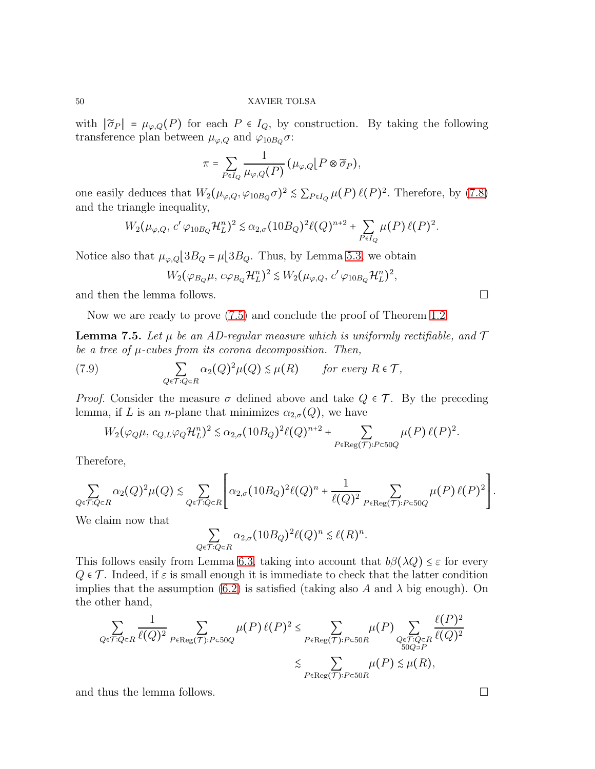with  $\|\tilde{\sigma}_P\| = \mu_{\varphi,Q}(P)$  for each  $P \in I_Q$ , by construction. By taking the following transference plan between  $\mu_{\varphi, Q}$  and  $\varphi_{10B_Q}\sigma$ :

$$
\pi = \sum_{P \in I_Q} \frac{1}{\mu_{\varphi,Q}(P)} (\mu_{\varphi,Q} | P \otimes \widetilde{\sigma}_P),
$$

one easily deduces that  $W_2(\mu_{\varphi,Q}, \varphi_{10B_Q}\sigma)^2 \lesssim \sum_{P \in I_Q} \mu(P) \ell(P)^2$ . Therefore, by [\(7.8\)](#page-48-1) and the triangle inequality,

$$
W_2(\mu_{\varphi,Q}, c' \varphi_{10B_Q} \mathcal{H}_L^n)^2 \lesssim \alpha_{2,\sigma} (10B_Q)^2 \ell(Q)^{n+2} + \sum_{P \in I_Q} \mu(P) \ell(P)^2.
$$

Notice also that  $\mu_{\varphi,Q}$  [3 $B_Q = \mu$  [3 $B_Q$ . Thus, by Lemma [5.3,](#page-38-3) we obtain

$$
W_2(\varphi_{B_Q}\mu, c\varphi_{B_Q}\mathcal{H}_L^n)^2 \lesssim W_2(\mu_{\varphi,Q}, c'\varphi_{10B_Q}\mathcal{H}_L^n)^2,
$$

and then the lemma follows.  $\Box$ 

Now we are ready to prove [\(7.5\)](#page-47-2) and conclude the proof of Theorem [1.2.](#page-4-0)

**Lemma 7.5.** Let  $\mu$  be an AD-regular measure which is uniformly rectifiable, and  $\mathcal{T}$ *be a tree of* µ*-cubes from its corona decomposition. Then,*

(7.9) 
$$
\sum_{Q \in \mathcal{T}: Q \subset R} \alpha_2(Q)^2 \mu(Q) \lesssim \mu(R) \quad \text{for every } R \in \mathcal{T},
$$

*Proof.* Consider the measure  $\sigma$  defined above and take  $Q \in \mathcal{T}$ . By the preceding lemma, if L is an *n*-plane that minimizes  $\alpha_{2,\sigma}(Q)$ , we have

$$
W_2(\varphi_Q\mu, c_{Q,L}\varphi_Q\mathcal{H}_L^n)^2 \lesssim \alpha_{2,\sigma}(10B_Q)^2 \ell(Q)^{n+2} + \sum_{P \in \text{Reg}(\mathcal{T}): P \subset 50Q} \mu(P) \ell(P)^2.
$$

Therefore,

$$
\sum_{Q \in \mathcal{T}: Q \subset R} \alpha_2(Q)^2 \mu(Q) \lesssim \sum_{Q \in \mathcal{T}: Q \subset R} \left[ \alpha_{2,\sigma} (10B_Q)^2 \ell(Q)^n + \frac{1}{\ell(Q)^2} \sum_{P \in \text{Reg}(\mathcal{T}): P \subset 50Q} \mu(P) \ell(P)^2 \right].
$$

We claim now that

$$
\sum_{Q \in \mathcal{T}: Q \subset R} \alpha_{2,\sigma} (10B_Q)^2 \ell(Q)^n \lesssim \ell(R)^n.
$$

This follows easily from Lemma [6.3,](#page-41-3) taking into account that  $b\beta(\lambda Q) \leq \varepsilon$  for every  $Q \in \mathcal{T}$ . Indeed, if  $\varepsilon$  is small enough it is immediate to check that the latter condition implies that the assumption [\(6.2\)](#page-41-2) is satisfied (taking also A and  $\lambda$  big enough). On the other hand,

$$
\sum_{Q \in \mathcal{T}: Q \subset R} \frac{1}{\ell(Q)^2} \sum_{P \in \text{Reg}(\mathcal{T}): P \subset 50Q} \mu(P) \ell(P)^2 \le \sum_{P \in \text{Reg}(\mathcal{T}): P \subset 50R} \mu(P) \sum_{\substack{Q \in \mathcal{T}: Q \subset R \\ 50Q > P}} \frac{\ell(P)^2}{\ell(Q)^2} \le \sum_{P \in \text{Reg}(\mathcal{T}): P \subset 50R} \mu(P) \le \mu(R),
$$

and thus the lemma follows.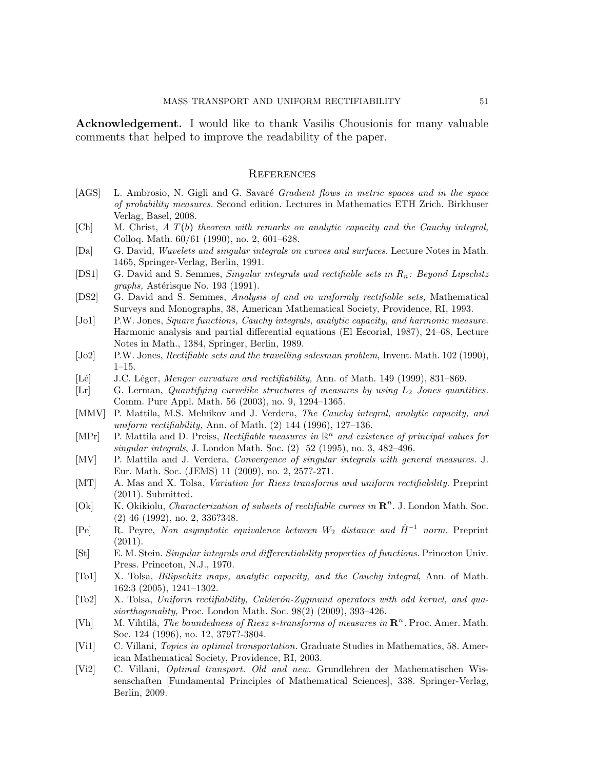Acknowledgement. I would like to thank Vasilis Chousionis for many valuable comments that helped to improve the readability of the paper.

#### **REFERENCES**

- <span id="page-50-2"></span>[AGS] L. Ambrosio, N. Gigli and G. Savaré Gradient flows in metric spaces and in the space of probability measures. Second edition. Lectures in Mathematics ETH Zrich. Birkhuser Verlag, Basel, 2008.
- <span id="page-50-20"></span> $[Ch]$  M. Christ, A  $T(b)$  theorem with remarks on analytic capacity and the Cauchy integral, Colloq. Math. 60/61 (1990), no. 2, 601–628.
- <span id="page-50-17"></span>[Da] G. David, Wavelets and singular integrals on curves and surfaces. Lecture Notes in Math. 1465, Springer-Verlag, Berlin, 1991.
- <span id="page-50-8"></span>[DS1] G. David and S. Semmes, Singular integrals and rectifiable sets in  $R_n$ : Beyond Lipschitz  $graphs,$  Astérisque No. 193 (1991).
- <span id="page-50-0"></span>[DS2] G. David and S. Semmes, Analysis of and on uniformly rectifiable sets, Mathematical Surveys and Monographs, 38, American Mathematical Society, Providence, RI, 1993.
- <span id="page-50-10"></span>[Jo1] P.W. Jones, Square functions, Cauchy integrals, analytic capacity, and harmonic measure. Harmonic analysis and partial differential equations (El Escorial, 1987), 24–68, Lecture Notes in Math., 1384, Springer, Berlin, 1989.
- <span id="page-50-11"></span>[Jo2] P.W. Jones, Rectifiable sets and the travelling salesman problem, Invent. Math. 102 (1990), 1–15.
- <span id="page-50-12"></span>[Lé] J.C. Léger, *Menger curvature and rectifiability*, Ann. of Math. 149 (1999), 831–869.
- <span id="page-50-19"></span>[Lr] G. Lerman, Quantifying curvelike structures of measures by using  $L_2$  Jones quantities. Comm. Pure Appl. Math. 56 (2003), no. 9, 1294–1365.
- <span id="page-50-3"></span>[MMV] P. Mattila, M.S. Melnikov and J. Verdera, The Cauchy integral, analytic capacity, and uniform rectifiability, Ann. of Math. (2) 144 (1996), 127–136.
- <span id="page-50-4"></span>[MPr] P. Mattila and D. Preiss, Rectifiable measures in  $\mathbb{R}^n$  and existence of principal values for singular integrals, J. London Math. Soc. (2) 52 (1995), no. 3, 482–496.
- <span id="page-50-5"></span>[MV] P. Mattila and J. Verdera, Convergence of singular integrals with general measures. J. Eur. Math. Soc. (JEMS) 11 (2009), no. 2, 257?-271.
- <span id="page-50-6"></span>[MT] A. Mas and X. Tolsa, Variation for Riesz transforms and uniform rectifiability. Preprint (2011). Submitted.
- <span id="page-50-18"></span>[Ok]  $\overrightarrow{K}$ . Okikiolu, *Characterization of subsets of rectifiable curves in*  $\mathbb{R}^n$ . J. London Math. Soc. (2) 46 (1992), no. 2, 336?348.
- <span id="page-50-16"></span>[Pe] R. Peyre, Non asymptotic equivalence between  $W_2$  distance and  $\dot{H}^{-1}$  norm. Preprint  $(2011).$
- <span id="page-50-14"></span>[St] E. M. Stein. Singular integrals and differentiability properties of functions. Princeton Univ. Press. Princeton, N.J., 1970.
- <span id="page-50-13"></span>[To1] X. Tolsa, Bilipschitz maps, analytic capacity, and the Cauchy integral, Ann. of Math. 162:3 (2005), 1241–1302.
- <span id="page-50-9"></span>[To2] X. Tolsa, Uniform rectifiability, Calderón-Zygmund operators with odd kernel, and quasiorthogonality, Proc. London Math. Soc. 98(2) (2009), 393–426.
- <span id="page-50-7"></span>[Vh] M. Vihtilä, *The boundedness of Riesz s-transforms of measures in*  $\mathbb{R}^n$ . Proc. Amer. Math. Soc. 124 (1996), no. 12, 3797?-3804.
- <span id="page-50-1"></span>[Vi1] C. Villani, Topics in optimal transportation. Graduate Studies in Mathematics, 58. American Mathematical Society, Providence, RI, 2003.
- <span id="page-50-15"></span>[Vi2] C. Villani, Optimal transport. Old and new. Grundlehren der Mathematischen Wissenschaften [Fundamental Principles of Mathematical Sciences], 338. Springer-Verlag, Berlin, 2009.